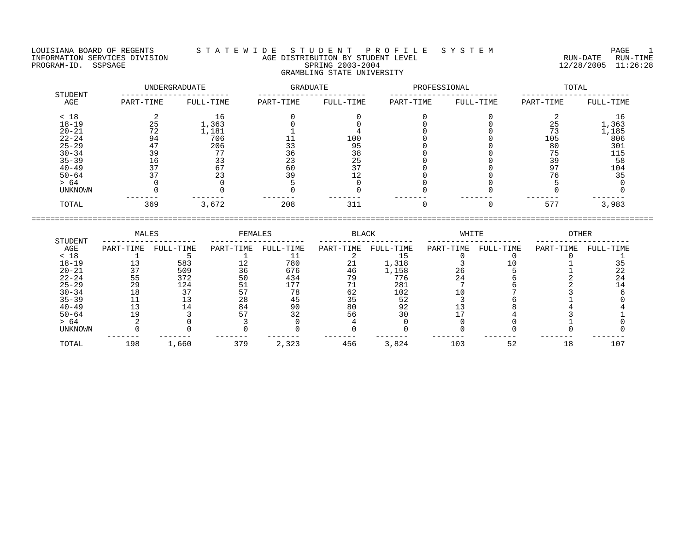LOUISIANA BOARD OF REGENTS S T A T E W I D E S T U D E N T P R O F I L E S Y S T E M PAGE 1 INFORMATION SERVICES DIVISION AGE DISTRIBUTION BY STUDENT LEVEL RUN-DATE RUN-TIME PROGRAM-ID. SSPSAGE SPRING 2003-2004 12/28/2005 11:26:28 GRAMBLING STATE UNIVERSITY

|                |           | <b>UNDERGRADUATE</b> | GRADUATE  |           | PROFESSIONAL |           | TOTAL     |           |  |
|----------------|-----------|----------------------|-----------|-----------|--------------|-----------|-----------|-----------|--|
| STUDENT<br>AGE | PART-TIME | FULL-TIME            | PART-TIME | FULL-TIME | PART-TIME    | FULL-TIME | PART-TIME | FULL-TIME |  |
| < 18           |           | 16                   |           |           |              |           |           | 16        |  |
| $18 - 19$      | 25        | 1,363                |           |           |              |           | 25        | 1,363     |  |
| $20 - 21$      | 72        | 1,181                |           |           |              |           | 73        | 1,185     |  |
| $22 - 24$      | 94        | 706                  |           | 100       |              |           | 105       | 806       |  |
| $25 - 29$      | 47        | 206                  | 33        | 95        |              |           | 80        | 301       |  |
| $30 - 34$      | 39        |                      | 36        | 38        |              |           | 75        | 115       |  |
| $35 - 39$      | 16        | 33                   | 23        | 25        |              |           | 39        | 58        |  |
| $40 - 49$      | 37        |                      | 60        | 37        |              |           | 97        | 104       |  |
| $50 - 64$      |           |                      | 39        |           |              |           |           | 35        |  |
| > 64           |           |                      |           |           |              |           |           |           |  |
| UNKNOWN        |           |                      |           |           |              |           |           |           |  |
| TOTAL          | 369       | 3,672                | 208       | 311       |              |           | 577       | 3,983     |  |

====================================================================================================================================

 MALES FEMALES BLACK WHITE OTHER STUDENT -------------------- -------------------- -------------------- -------------------- -------------------- AGE PART-TIME FULL-TIME PART-TIME FULL-TIME PART-TIME FULL-TIME PART-TIME FULL-TIME PART-TIME FULL-TIME < 18 1 5 1 11 2 15 0 0 0 1 18-19 13 583 12 780 21 1,318 3 10 1 35 20-21 37 509 36 676 46 1,158 26 5 1 22 22-24 55 372 50 434 79 776 24 6 2 24 25-29 29 124 51 177 71 281 7 6 2 14 30-34 18 37 57 78 62 102 10 7 3 6 35-39 11 13 28 45 35 52 3 6 1 0 40-49 13 14 84 90 80 92 13 8 4 4 50-64 19 3 57 32 56 30 17 4 3 1 > 64 2 0 3 0 4 0 0 0 1 0 UNKNOWN 0 0 0 0 0 0 0 0 0 0 ------- ------- ------- ------- ------- ------- ------- ------- ------- ------- TOTAL 198 1,660 379 2,323 456 3,824 103 52 18 107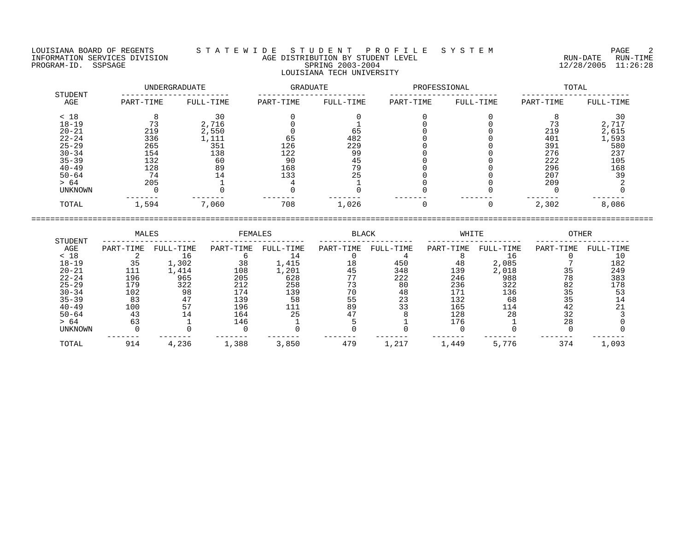LOUISIANA BOARD OF REGENTS STATEWIDE STUDENT PROFILE SYSTEM PAGE 2 INFORMATION SERVICES DIVISION CONSUMERTY AGE DISTRIBUTION BY STUDENT LEVEL THE RUN-DATE RUN-DATE RUN-TIME RUN-<br>PROGRAM-ID. SSPSAGE 11:26:28 PROGRAM-ID. SSPSAGE SPRING 2003-2004 12/28/2005 11:26:28 LOUISIANA TECH UNIVERSITY

| STUDENT        |           | UNDERGRADUATE | <b>GRADUATE</b> |           | PROFESSIONAL |           | TOTAL     |           |  |
|----------------|-----------|---------------|-----------------|-----------|--------------|-----------|-----------|-----------|--|
| AGE            | PART-TIME | FULL-TIME     | PART-TIME       | FULL-TIME | PART-TIME    | FULL-TIME | PART-TIME | FULL-TIME |  |
| < 18           |           | 30            |                 |           |              |           |           | 30        |  |
| $18 - 19$      |           | 2,716         |                 |           |              |           |           | 2,717     |  |
| $20 - 21$      | 219       | 2,550         |                 | 65        |              |           | 219       | 2,615     |  |
| $22 - 24$      | 336       | 1,111         | 65              | 482       |              |           | 401       | 1,593     |  |
| $25 - 29$      | 265       | 351           | 126             | 229       |              |           | 391       | 580       |  |
| $30 - 34$      | 154       | 138           | 122             | 99        |              |           | 276       | 237       |  |
| $35 - 39$      | 132       | 60            | 90              | 45        |              |           | 222       | 105       |  |
| $40 - 49$      | 128       | 89            | 168             | 79        |              |           | 296       | 168       |  |
| $50 - 64$      | 74        | 14            | 133             | 25        |              |           | 207       | 39        |  |
| > 64           | 205       |               |                 |           |              |           | 209       |           |  |
| <b>UNKNOWN</b> |           |               |                 |           |              |           |           |           |  |
| TOTAL          | 1,594     | 7,060         | 708             | 1,026     |              |           | 2,302     | 8,086     |  |

|                | MALES     |           | FEMALES   |           | <b>BLACK</b> |           | WHITE     |           | <b>OTHER</b> |           |
|----------------|-----------|-----------|-----------|-----------|--------------|-----------|-----------|-----------|--------------|-----------|
| STUDENT<br>AGE | PART-TIME | FULL-TIME | PART-TIME | FULL-TIME | PART-TIME    | FULL-TIME | PART-TIME | FULL-TIME | PART-TIME    | FULL-TIME |
| < 18           |           | 16        |           | 14        |              |           |           | 16        |              | 10        |
| $18 - 19$      | 35        | 1,302     | 38        | 1,415     | 18           | 450       | 48        | 2,085     |              | 182       |
| $20 - 21$      | 111       | L,414     | 108       | .,201     | 45           | 348       | 139       | 2,018     | 35           | 249       |
| $22 - 24$      | 196       | 965       | 205       | 628       | 77           | 222       | 246       | 988       | 78           | 383       |
| $25 - 29$      | 179       | 322       | 212       | 258       | 73           | 80        | 236       | 322       | 82           | 178       |
| $30 - 34$      | 102       | 98        | 174       | 139       | 70           | 48        | 171       | 136       | 35           | 53        |
| $35 - 39$      | 83        | 47        | 139       | 58        | 55           | 23        | 132       | 68        | 35           |           |
| $40 - 49$      | 100       | 57        | 196       | 111       | 89           | 33        | 165       | 114       | 42           | 21        |
| $50 - 64$      | 43        | 14        | 164       | 25        | 47           |           | 128       | 28        | 32           |           |
| > 64           | 63        |           | 146       |           |              |           | 176       |           | 28           |           |
| UNKNOWN        |           |           |           |           |              |           |           |           |              |           |
| TOTAL          | 914       | 4,236     | 1,388     | 3,850     | 479          | 1,217     | 1,449     | 5,776     | 374          | 1,093     |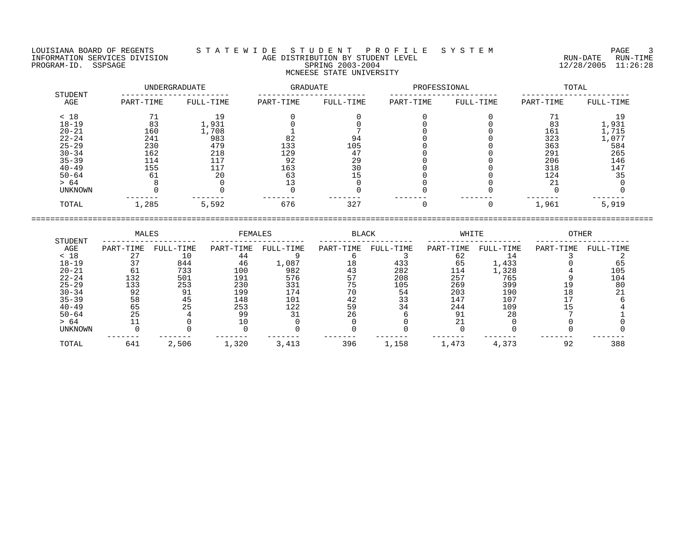## LOUISIANA BOARD OF REGENTS S T A T E W I D E S T U D E N T P R O F I L E S Y S T E M PAGE 3 INFORMATION SERVICES DIVISION AGE DISTRIBUTION BY STUDENT LEVEL RUN-DATE RUN-TIME PROGRAM-ID. SSPSAGE SPRING 2003-2004 12/28/2005 11:26:28 MCNEESE STATE UNIVERSITY

|                |           | UNDERGRADUATE | GRADUATE  |           | PROFESSIONAL |           | TOTAL     |           |  |
|----------------|-----------|---------------|-----------|-----------|--------------|-----------|-----------|-----------|--|
| STUDENT<br>AGE | PART-TIME | FULL-TIME     | PART-TIME | FULL-TIME | PART-TIME    | FULL-TIME | PART-TIME | FULL-TIME |  |
| < 18           |           | 19            |           |           |              |           | 71        | 19        |  |
| $18 - 19$      | 83        | 1,931         |           |           |              |           | 83        | 1,931     |  |
| $20 - 21$      | 160       | 1,708         |           |           |              |           | 161       | 1,715     |  |
| $22 - 24$      | 241       | 983           | 82        | 94        |              |           | 323       | 1,077     |  |
| $25 - 29$      | 230       | 479           | 133       | 105       |              |           | 363       | 584       |  |
| $30 - 34$      | 162       | 218           | 129       | 47        |              |           | 291       | 265       |  |
| $35 - 39$      | 114       | 117           | 92        | 29        |              |           | 206       | 146       |  |
| $40 - 49$      | 155       | 117           | 163       | 30        |              |           | 318       | 147       |  |
| $50 - 64$      | 61        | 20            | 63        |           |              |           | 124       | 35        |  |
| > 64           |           |               |           |           |              |           | 21        |           |  |
| <b>UNKNOWN</b> |           |               |           |           |              |           |           |           |  |
| TOTAL          | 1,285     | 5,592         | 676       | 327       |              |           | 1,961     | 5,919     |  |

|                | MALES     |           | FEMALES   |           | <b>BLACK</b> |           | WHITE     |           | OTHER     |           |
|----------------|-----------|-----------|-----------|-----------|--------------|-----------|-----------|-----------|-----------|-----------|
| STUDENT<br>AGE | PART-TIME | FULL-TIME | PART-TIME | FULL-TIME | PART-TIME    | FULL-TIME | PART-TIME | FULL-TIME | PART-TIME | FULL-TIME |
| < 18           |           | 10        | 44        |           |              |           | 62        |           |           |           |
| $18 - 19$      |           | 844       | 46        | 1,087     | 18           | 433       | 65        | 1,433     |           |           |
| $20 - 21$      |           | 733       | 100       | 982       | 43           | 282       | 114       | 1,328     |           | 105       |
| $22 - 24$      | 132       | 501       | 191       | 576       | 57           | 208       | 257       | 765       |           | 104       |
| $25 - 29$      | 133       | 253       | 230       | 331       |              | 105       | 269       | 399       |           | 80        |
| $30 - 34$      | 92        | 91        | 199       | -74       |              | 54        | 203       | 190       |           |           |
| $35 - 39$      | 58        | 45        | 148       | 101       | 42           | 33        | 147       | 107       |           |           |
| $40 - 49$      | 65        | 25        | 253       | 122       | 59           | 34        | 244       | 109       |           |           |
| $50 - 64$      | 25        |           | 99        |           | 26           |           | 91        | 28        |           |           |
| > 64           |           |           |           |           |              |           |           |           |           |           |
| UNKNOWN        |           |           |           |           |              |           |           |           |           |           |
| TOTAL          | 641       | 2,506     | 1,320     | 3,413     | 396          | 1,158     | 1,473     | 4,373     | 92        | 388       |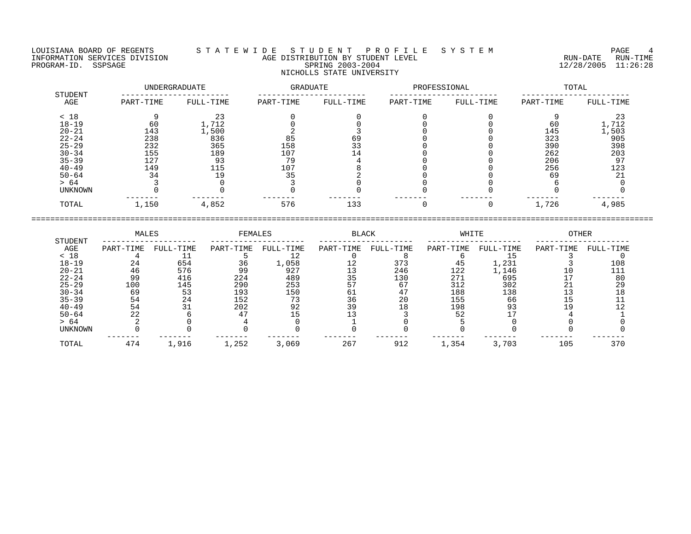LOUISIANA BOARD OF REGENTS S T A T E W I D E S T U D E N T P R O F I L E S Y S T E M PAGE 4 INFORMATION SERVICES DIVISION AGE DISTRIBUTION BY STUDENT LEVEL RUN-DATE RUN-TIME INFORMATION SERVICES DIVISION CONSUMERTY AGE DISTRIBUTION BY STUDENT LEVEL THE SUM PROGRAM-ID. SSPSAGE RUN-TIME<br>PROGRAM-ID. SSPSAGE SPRING 2003-2004 SPRING 2003-2004 NICHOLLS STATE UNIVERSITY

 UNDERGRADUATE GRADUATE PROFESSIONAL TOTAL STUDENT ----------------------- ----------------------- ----------------------- ----------------------- AGE PART-TIME FULL-TIME PART-TIME FULL-TIME PART-TIME FULL-TIME PART-TIME FULL-TIME < 18 9 23 0 0 0 0 9 23 18-19 60 1,712 0 0 0 0 60 1,712 20-21 143 1,500 2 3 0 0 145 1,503 22-24 238 836 85 69 0 0 323 905 25-29 232 365 158 33 0 0 390 398 30-34 155 189 107 14 0 0 262 203 35-39 127 93 79 4 0 0 206 97

40-49 149 115 107 8 0 0 256 123 50-64 34 19 35 2 0 0 69 21 > 64 3 0 3 0 0 0 6 0 UNKNOWN 0 0 0 0 0 0 0 0 ------- ------- ------- ------- ------- ------- ------- ------- TOTAL 1,150 4,852 576 133 0 0 1,726 4,985 ====================================================================================================================================

| STUDENT   | MALES     |           | FEMALES   |           | BLACK     |           | WHITE     |           | <b>OTHER</b> |           |
|-----------|-----------|-----------|-----------|-----------|-----------|-----------|-----------|-----------|--------------|-----------|
| AGE       | PART-TIME | FULL-TIME | PART-TIME | FULL-TIME | PART-TIME | FULL-TIME | PART-TIME | FULL-TIME | PART-TIME    | FULL-TIME |
| < 18      |           |           |           |           |           |           |           |           |              |           |
| $18 - 19$ | 24        | 654       | 36        | 1,058     | 12        | 373       | 45        | 1,231     |              | 108       |
| $20 - 21$ | 46        | 576       | 99        | 927       |           | 246       | 122       | 1,146     |              | 111       |
| $22 - 24$ | 99        | 416       | 224       | 489       | 35        | 130       | 271       | 695       |              | 80        |
| $25 - 29$ | 100       | 145       | 290       | 253       |           | 67        | 312       | 302       |              | 29        |
| $30 - 34$ | 69        | 53        | 193       | 150       | 6 L       | 47        | 188       | 138       |              | 18        |
| $35 - 39$ | 54        | 24        | 152       | 73        | 36        | 20        | 155       | 66        |              |           |
| $40 - 49$ | 54        |           | 202       | 92        | 39        | 18        | 198       | 93        |              |           |
| $50 - 64$ | 22        |           | 47        |           |           |           | 52        |           |              |           |
| > 64      |           |           |           |           |           |           |           |           |              |           |
| UNKNOWN   |           |           |           |           |           |           |           |           |              |           |
| TOTAL     | 474       | 1,916     | 1,252     | 3,069     | 267       | 912       | 1,354     | 3,703     | 105          | 370       |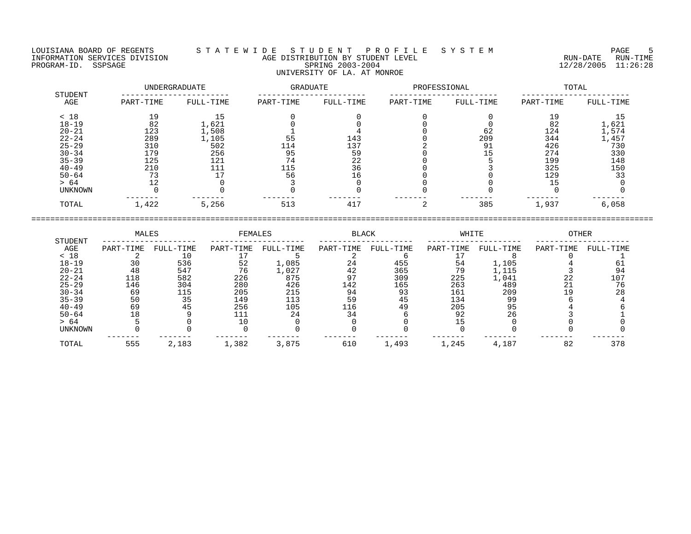LOUISIANA BOARD OF REGENTS S T A T E W I D E S T U D E N T P R O F I L E S Y S T E M PAGE 5 INFORMATION SERVICES DIVISION AGE DISTRIBUTION BY STUDENT LEVEL RUN-DATE RUN-TIME INFORMATION SERVICES DIVISION CONSUMERTY AGE DISTRIBUTION BY STUDENT LEVEL THE SUM PROGRAM-ID. SSPSAGE RUN-TIME<br>PROGRAM-ID. SSPSAGE SPRING 2003-2004 SPRING 2003-2004 UNIVERSITY OF LA. AT MONROE

 UNDERGRADUATE GRADUATE PROFESSIONAL TOTAL STUDENT ----------------------- ----------------------- ----------------------- ----------------------- AGE PART-TIME FULL-TIME PART-TIME FULL-TIME PART-TIME FULL-TIME PART-TIME FULL-TIME < 18 19 15 0 0 0 0 19 15 18-19 82 1,621 0 0 0 0 82 1,621 20-21 123 1,508 1 4 0 62 124 1,574 22-24 289 1,105 55 143 0 209 344 1,457 25-29 310 502 114 137 2 91 426 730 30-34 179 256 95 59 0 15 274 330 35-39 125 121 74 22 0 5 199 148 40-49 210 111 115 36 0 3 325 150 50-64 73 17 56 16 0 0 129 33

> 64 12 0 3 0 0 0 15 0 UNKNOWN 0 0 0 0 0 0 0 0 ------- ------- ------- ------- ------- ------- ------- ------- TOTAL 1,422 5,256 513 417 2 385 1,937 6,058 ====================================================================================================================================

|           | MALES     |           | FEMALES   |           | <b>BLACK</b> |           | WHITE     |           | <b>OTHER</b> |           |
|-----------|-----------|-----------|-----------|-----------|--------------|-----------|-----------|-----------|--------------|-----------|
| STUDENT   |           |           |           |           |              |           |           |           |              |           |
| AGE       | PART-TIME | FULL-TIME | PART-TIME | FULL-TIME | PART-TIME    | FULL-TIME | PART-TIME | FULL-TIME | PART-TIME    | FULL-TIME |
| < 18      |           |           |           |           |              |           |           |           |              |           |
| $18 - 19$ |           | 536       | 52        | 1,085     | 24           | 455       | 54        | 1,105     |              |           |
| $20 - 21$ | 48        | 547       | 76        | 1,027     | 42           | 365       | 79        | 1,115     |              | 94        |
| $22 - 24$ | 118       | 582       | 226       | 875       | 97           | 309       | 225       | 1,041     | 22           | 107       |
| $25 - 29$ | 146       | 304       | 280       | 426       | 142          | 165       | 263       | 489       |              | 76        |
| $30 - 34$ | 69        | 115       | 205       | 215       | 94           | 93        | 161       | 209       |              | 28        |
| $35 - 39$ | 50        | 35        | 149       | 113       | 59           | 45        | 134       | 99        |              |           |
| $40 - 49$ | 69        | 45        | 256       | 105       | 116          | 49        | 205       | 95        |              |           |
| $50 - 64$ | 18        |           | 111       | 24        | 34           |           | 92        | 26        |              |           |
| > 64      |           |           |           |           |              |           |           |           |              |           |
| UNKNOWN   |           |           |           |           |              |           |           |           |              |           |
| TOTAL     | 555       | 2,183     | 1,382     | 3,875     | 610          | 1,493     | 1,245     | 4,187     | 82           | 378       |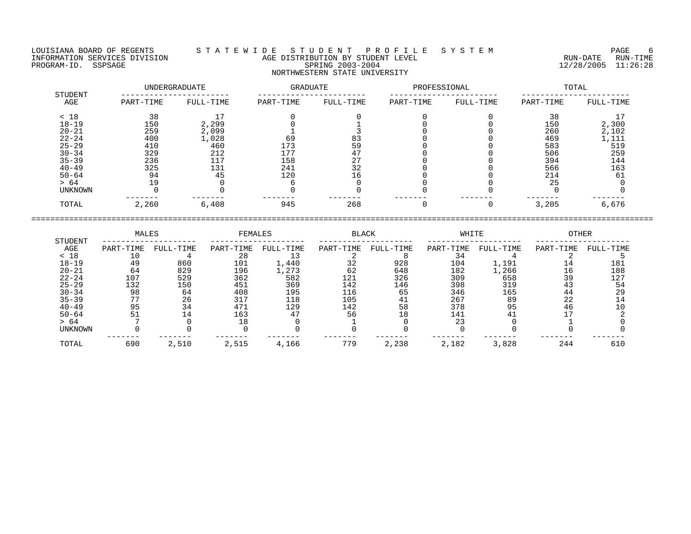LOUISIANA BOARD OF REGENTS S T A T E W I D E S T U D E N T P R O F I L E S Y S T E M PAGE 6 INFORMATION SERVICES DIVISION AGE DISTRIBUTION BY STUDENT LEVEL RUN-DATE RUN-TIME PROGRAM-ID. SERVICES DIVISION CONTROL AGE DISTRIBUTION BY STUDENT LEVEL CONTROLLER TO THE RUN-DATE RUN-TIME RUN<br>PROGRAM-ID. SSPSAGE SPRING 2003-2004 SPRING 2003-2004 2003-2004 12/28/2005 11:26:28

# NORTHWESTERN STATE UNIVERSITY

|                |           | UNDERGRADUATE | GRADUATE  |           | PROFESSIONAL |           | TOTAL     |           |  |
|----------------|-----------|---------------|-----------|-----------|--------------|-----------|-----------|-----------|--|
| STUDENT<br>AGE | PART-TIME | FULL-TIME     | PART-TIME | FULL-TIME | PART-TIME    | FULL-TIME | PART-TIME | FULL-TIME |  |
| < 18           | 38        |               |           |           |              |           | 38        |           |  |
| $18 - 19$      | 150       | 2,299         |           |           |              |           | 150       | 2,300     |  |
| $20 - 21$      | 259       | 2,099         |           |           |              |           | 260       | 2,102     |  |
| $22 - 24$      | 400       | 1,028         | 69        | 83        |              |           | 469       | 1,111     |  |
| $25 - 29$      | 410       | 460           | 173       | 59        |              |           | 583       | 519       |  |
| $30 - 34$      | 329       | 212           | 177       | 47        |              |           | 506       | 259       |  |
| $35 - 39$      | 236       | 117           | 158       | 27        |              |           | 394       | 144       |  |
| $40 - 49$      | 325       | 131           | 241       | 32        |              |           | 566       | 163       |  |
| $50 - 64$      | 94        | 45            | 120       |           |              |           | 214       | 61        |  |
| > 64           | 19        |               |           |           |              |           | 25        |           |  |
| UNKNOWN        |           |               |           |           |              |           |           |           |  |
| TOTAL          | 2,260     | 6,408         | 945       | 268       |              |           | 3,205     | 6,676     |  |

|                | MALES     |           | FEMALES   |           | <b>BLACK</b> |           | WHITE     |           | <b>OTHER</b> |           |
|----------------|-----------|-----------|-----------|-----------|--------------|-----------|-----------|-----------|--------------|-----------|
| STUDENT<br>AGE | PART-TIME | FULL-TIME | PART-TIME | FULL-TIME | PART-TIME    | FULL-TIME | PART-TIME | FULL-TIME | PART-TIME    | FULL-TIME |
| < 18           |           |           | 28        | 13        |              |           | 34        |           |              |           |
| $18 - 19$      | 49        | 860       | 101       | 1,440     | 32           | 928       | 104       | 1,191     | 14           | 181       |
| $20 - 21$      | 64        | 829       | 196       | 1,273     | 62           | 648       | 182       | 1,266     | 16           | 188       |
| $22 - 24$      | 107       | 529       | 362       | 582       | 121          | 326       | 309       | 658       | 39           | 127       |
| $25 - 29$      | 132       | 150       | 451       | 369       | 142          | 146       | 398       | 319       | 43           | 54        |
| $30 - 34$      | 98        | 64        | 408       | 195       | 116          | 65        | 346       | 165       | 44           | 29        |
| $35 - 39$      | 77        | 26        | 317       | 118       | 105          | 41        | 267       | 89        | 22           | 14        |
| $40 - 49$      | 95        | 34        | 471       | 129       | 142          | 58        | 378       | 95        | 46           | 10        |
| $50 - 64$      | 51        | 14        | 163       | 47        | 56           | 18        | 141       |           |              |           |
| > 64           |           |           | 18        |           |              |           | 23        |           |              |           |
| <b>UNKNOWN</b> |           |           |           |           |              |           |           |           |              |           |
| TOTAL          | 690       | 2,510     | 2,515     | 4,166     | 779          | 2,238     | 2,182     | 3,828     | 244          | 610       |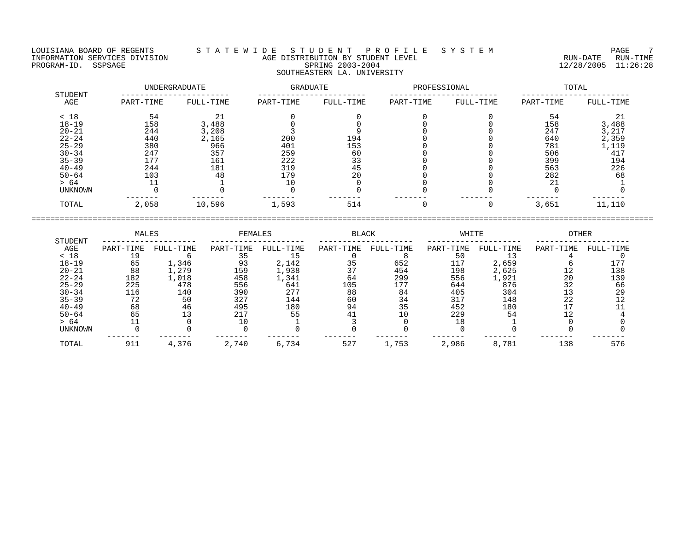LOUISIANA BOARD OF REGENTS S T A T E W I D E S T U D E N T P R O F I L E S Y S T E M PAGE 7 INFORMATION SERVICES DIVISION AGE DISTRIBUTION BY STUDENT LEVEL RUN-DATE RUN-TIME INFORMATION SERVICES DIVISION NAMBLE SON AGE DISTRIBUTION BY STUDENT LEVEL NAMBLE SPRING 2003-2004 12/28/2005 11:26:28 SOUTHEASTERN LA. UNIVERSITY

| STUDENT        |           | UNDERGRADUATE | GRADUATE  |           | PROFESSIONAL |           | TOTAL     |           |  |
|----------------|-----------|---------------|-----------|-----------|--------------|-----------|-----------|-----------|--|
| AGE            | PART-TIME | FULL-TIME     | PART-TIME | FULL-TIME | PART-TIME    | FULL-TIME | PART-TIME | FULL-TIME |  |
| < 18           | 54        |               |           |           |              |           | 54        |           |  |
| $18 - 19$      | 158       | 3,488         |           |           |              |           | 158       | 3,488     |  |
| $20 - 21$      | 244       | 3,208         |           |           |              |           | 247       | 3,217     |  |
| $22 - 24$      | 440       | 2,165         | 200       | 194       |              |           | 640       | 2,359     |  |
| $25 - 29$      | 380       | 966           | 401       | 153       |              |           | 781       | 1,119     |  |
| $30 - 34$      | 247       | 357           | 259       | 60        |              |           | 506       | 417       |  |
| $35 - 39$      | 177       | 161           | 222       | 33        |              |           | 399       | 194       |  |
| $40 - 49$      | 244       | 181           | 319       | 45        |              |           | 563       | 226       |  |
| $50 - 64$      | 103       | 48            | 179       | 20        |              |           | 282       | 68        |  |
| > 64           |           |               |           |           |              |           | 21        |           |  |
| <b>UNKNOWN</b> |           |               |           |           |              |           |           |           |  |
| TOTAL          | 2,058     | 10,596        | 1,593     | 514       |              |           | 3,651     | 11,110    |  |

====================================================================================================================================

 MALES FEMALES BLACK WHITE OTHER STUDENT -------------------- -------------------- -------------------- -------------------- -------------------- AGE PART-TIME FULL-TIME PART-TIME FULL-TIME PART-TIME FULL-TIME PART-TIME FULL-TIME PART-TIME FULL-TIME < 18 19 6 35 15 0 8 50 13 4 0 18-19 65 1,346 93 2,142 35 652 117 2,659 6 177 20-21 88 1,279 159 1,938 37 454 198 2,625 12 138 22-24 182 1,018 458 1,341 64 299 556 1,921 20 139 25-29 225 478 556 641 105 177 644 876 32 66 30-34 116 140 390 277 88 84 405 304 13 29 35-39 72 50 327 144 60 34 317 148 22 12 40-49 68 46 495 180 94 35 452 180 17 11 50-64 65 13 217 55 41 10 229 54 12 4 > 64 11 0 10 1 3 0 18 1 0 0 UNKNOWN 0 0 0 0 0 0 0 0 0 0 ------- ------- ------- ------- ------- ------- ------- ------- ------- ------- TOTAL 911 4,376 2,740 6,734 527 1,753 2,986 8,781 138 576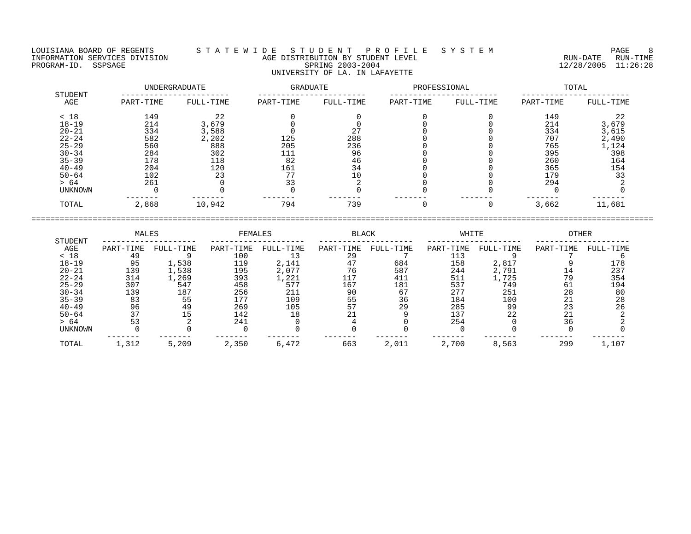LOUISIANA BOARD OF REGENTS S T A T E W I D E S T U D E N T P R O F I L E S Y S T E M PAGE 8 INFORMATION SERVICES DIVISION AGE DISTRIBUTION BY STUDENT LEVEL RUN-DATE RUN-TIME PROGRAM-ID. SSPSAGE SPRING 2003-2004 12/28/2005 11:26:28 UNIVERSITY OF LA. IN LAFAYETTE

 UNDERGRADUATE GRADUATE PROFESSIONAL TOTAL STUDENT ----------------------- ----------------------- ----------------------- ----------------------- AGE PART-TIME FULL-TIME PART-TIME FULL-TIME PART-TIME FULL-TIME PART-TIME FULL-TIME < 18 149 22 0 0 0 0 149 22 18-19 214 3,679 0 0 0 0 214 3,679 20-21 334 3,588 0 27 0 0 334 3,615 22-24 582 2,202 125 288 0 0 707 2,490 25-29 560 888 205 236 0 0 765 1,124 30-34 284 302 111 96 0 0 395 398 35-39 178 118 82 46 0 0 260 164 40-49 204 120 161 34 0 0 365 154 50-64 102 23 77 10 0 0 179 33 > 64 261 0 33 2 0 0 294 2 UNKNOWN 0 0 0 0 0 0 0 0 ------- ------- ------- ------- ------- ------- ------- ------- TOTAL 2,868 10,942 794 739 0 0 3,662 11,681

 MALES FEMALES BLACK WHITE OTHER STUDENT -------------------- -------------------- -------------------- -------------------- -------------------- AGE PART-TIME FULL-TIME PART-TIME FULL-TIME PART-TIME FULL-TIME PART-TIME FULL-TIME PART-TIME FULL-TIME < 18 49 9 100 13 29 7 113 9 7 6 18-19 95 1,538 119 2,141 47 684 158 2,817 9 178 20-21 139 1,538 195 2,077 76 587 244 2,791 14 237 22-24 314 1,269 393 1,221 117 411 511 1,725 79 354 25-29 307 547 458 577 167 181 537 749 61 194 30-34 139 187 256 211 90 67 277 251 28 80 35-39 83 55 177 109 55 36 184 100 21 28 40-49 96 49 269 105 57 29 285 99 23 26 50-64 37 15 142 18 21 9 137 22 21 2 > 64 53 2 241 0 4 0 254 0 36 2 UNKNOWN 0 0 0 0 0 0 0 0 0 0 ------- ------- ------- ------- ------- ------- ------- ------- ------- ------- TOTAL 1,312 5,209 2,350 6,472 663 2,011 2,700 8,563 299 1,107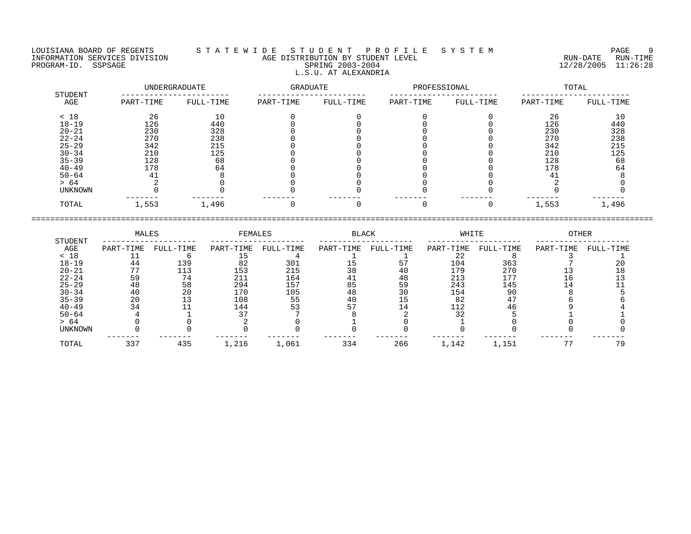## LOUISIANA BOARD OF REGENTS S T A T E W I D E S T U D E N T P R O F I L E S Y S T E M PAGE 9 INFORMATION SERVICES DIVISION AGE DISTRIBUTION BY STUDENT LEVEL RUN-DATE RUN-TIME NEORMATION SERVICES DIVISION CONSUMING THE MATE CONSUMING AGE DISTRIBUTION BY STUDENT LEVEL CONSUMING THE RUN-DATE RUN-TIME RUN-TIME<br>PROGRAM-ID. SSPSAGE SPRING 2003-2004 SPRING 2003-2004 2003-2004 L.S.U. AT ALEXANDRIA

|                |           | UNDERGRADUATE | GRADUATE  |           | PROFESSIONAL |           | TOTAL     |           |  |
|----------------|-----------|---------------|-----------|-----------|--------------|-----------|-----------|-----------|--|
| STUDENT<br>AGE | PART-TIME | FULL-TIME     | PART-TIME | FULL-TIME | PART-TIME    | FULL-TIME | PART-TIME | FULL-TIME |  |
| < 18           | 26        | 10            |           |           |              |           | 26        | 10        |  |
| $18 - 19$      | 126       | 440           |           |           |              |           | 126       | 440       |  |
| $20 - 21$      | 230       | 328           |           |           |              |           | 230       | 328       |  |
| $22 - 24$      | 270       | 238           |           |           |              |           | 270       | 238       |  |
| $25 - 29$      | 342       | 215           |           |           |              |           | 342       | 215       |  |
| $30 - 34$      | 210       | 125           |           |           |              |           | 210       | 125       |  |
| $35 - 39$      | 128       | 68            |           |           |              |           | 128       | 68        |  |
| $40 - 49$      | 178       | 64            |           |           |              |           | 178       | 64        |  |
| $50 - 64$      | 41        |               |           |           |              |           | 41        |           |  |
| > 64           |           |               |           |           |              |           |           |           |  |
| UNKNOWN        |           |               |           |           |              |           |           |           |  |
| TOTAL          | 1,553     | 1,496         |           |           |              | O         | 1,553     | 1,496     |  |

|                | MALES     |           | FEMALES   |           | BLACK     |           | WHITE     |           | OTHER     |           |
|----------------|-----------|-----------|-----------|-----------|-----------|-----------|-----------|-----------|-----------|-----------|
| STUDENT<br>AGE | PART-TIME | FULL-TIME | PART-TIME | FULL-TIME | PART-TIME | FULL-TIME | PART-TIME | FULL-TIME | PART-TIME | FULL-TIME |
| < 18           |           |           |           |           |           |           |           |           |           |           |
| $18 - 19$      | 44        | 139       | 82        | 301       |           |           | 104       | 363       |           |           |
| $20 - 21$      |           | 113       | 153       | 215       | 38        |           | 179       | 270       |           |           |
| $22 - 24$      | 59        | 74        | 211       | 164       |           | 48        | 213       | 177       |           |           |
| $25 - 29$      | 48        | 58        | 294       | 157       | 85        | 59        | 243       | 145       |           |           |
| $30 - 34$      | 40        | 20        | 170       | 105       | 48        | 30        | 154       | 90        |           |           |
| $35 - 39$      | 20        |           | 108       | 55        | 40        |           | 82        |           |           |           |
| $40 - 49$      | 34        |           | 144       | 53        |           |           | 112       |           |           |           |
| $50 - 64$      |           |           |           |           |           |           | 32        |           |           |           |
| > 64           |           |           |           |           |           |           |           |           |           |           |
| UNKNOWN        |           |           |           |           |           |           |           |           |           |           |
| TOTAL          | 337       | 435       | 1,216     | 1,061     | 334       | 266       | 1,142     | 1,151     |           | 7 Q       |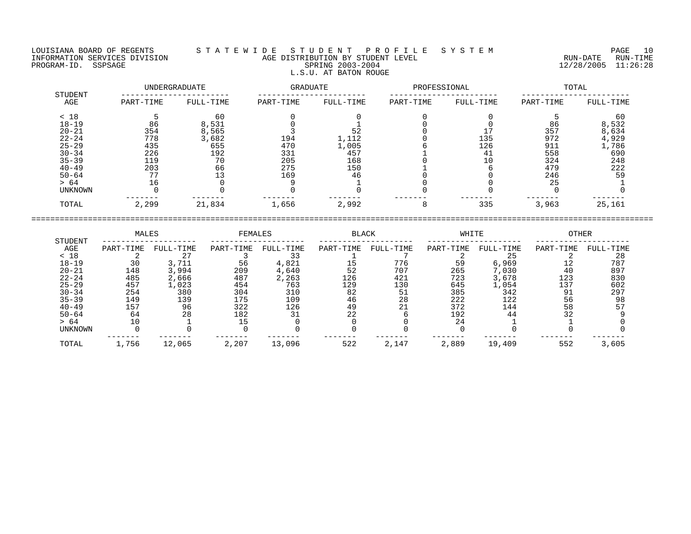## LOUISIANA BOARD OF REGENTS S T A T E W I D E S T U D E N T P R O F I L E S Y S T E M PAGE 10 INFORMATION SERVICES DIVISION AGE DISTRIBUTION BY STUDENT LEVEL RUN-DATE RUN-TIME NEORMATION SERVICES DIVISION CONSUMING THE CONSUMING AGE DISTRIBUTION BY STUDENT LEVEL CONSUMING THE RUN-DATE RUN<br>PROGRAM-ID. SSPSAGE SPRING 2003-2004 SPRING 2003-2004 2003-2004 2003-2004 L.S.U. AT BATON ROUGE

|                       | UNDERGRADUATE |           | GRADUATE  |           | PROFESSIONAL |           | TOTAL     |           |
|-----------------------|---------------|-----------|-----------|-----------|--------------|-----------|-----------|-----------|
| <b>STUDENT</b><br>AGE | PART-TIME     | FULL-TIME | PART-TIME | FULL-TIME | PART-TIME    | FULL-TIME | PART-TIME | FULL-TIME |
| < 18                  |               | 60        |           |           |              |           |           | 60        |
| $18 - 19$             | 86            | 8,531     |           |           |              |           | 86        | 8,532     |
| $20 - 21$             | 354           | 8,565     |           | 52        |              |           | 357       | 8,634     |
| $22 - 24$             | 778           | 3,682     | 194       | 1,112     |              | 135       | 972       | 4,929     |
| $25 - 29$             | 435           | 655       | 470       | 1,005     |              | 126       | 911       | 1,786     |
| $30 - 34$             | 226           | 192       | 331       | 457       |              | 41        | 558       | 690       |
| $35 - 39$             | 119           | 70        | 205       | 168       |              | 10        | 324       | 248       |
| $40 - 49$             | 203           | 66        | 275       | 150       |              |           | 479       | 222       |
| $50 - 64$             | 77            | 13        | 169       | 46        |              |           | 246       | 59        |
| > 64                  | 16            |           |           |           |              |           | 25        |           |
| UNKNOWN               |               |           |           |           |              |           |           |           |
| TOTAL                 | 2,299         | 21,834    | 1,656     | 2,992     | 8            | 335       | 3,963     | 25,161    |

|                | MALES     |           | <b>FEMALES</b> |           | <b>BLACK</b> |           | WHITE     |           | <b>OTHER</b> |           |
|----------------|-----------|-----------|----------------|-----------|--------------|-----------|-----------|-----------|--------------|-----------|
| STUDENT<br>AGE | PART-TIME | FULL-TIME | PART-TIME      | FULL-TIME | PART-TIME    | FULL-TIME | PART-TIME | FULL-TIME | PART-TIME    | FULL-TIME |
| < 18           |           | 27        |                |           |              |           |           | 25        |              | 28        |
| $18 - 19$      | 30        | 3,711     | 56             | 4,821     |              | 776       | 59        | 6,969     |              | 787       |
| $20 - 21$      | 148       | 3,994     | 209            | 4,640     | 52           | 707       | 265       | 7,030     | 40           | 897       |
| $22 - 24$      | 485       | 2,666     | 487            | 2,263     | 126          | 421       | 723       | 3,678     | 123          | 830       |
| $25 - 29$      | 457       | .,023     | 454            | 763       | 129          | 130       | 645       | 1,054     | 137          | 602       |
| $30 - 34$      | 254       | 380       | 304            | 310       | 82           | 51        | 385       | 342       | 91           | 297       |
| $35 - 39$      | 149       | 139       | 175            | 109       | 46           | 28        | 222       | 122       | 56           | 98        |
| $40 - 49$      | 157       | 96        | 322            | 126       | 49           | າ 1       | 372       | 144       | 58           |           |
| $50 - 64$      | 64        | 28        | 182            |           | 22           |           | 192       | 44        | 32           |           |
| > 64           |           |           |                |           |              |           | 24        |           |              |           |
| <b>UNKNOWN</b> |           |           |                |           |              |           |           |           |              |           |
| TOTAL          | 1,756     | 12,065    | 2,207          | 13,096    | 522          | 2,147     | 2,889     | 19,409    | 552          | 3,605     |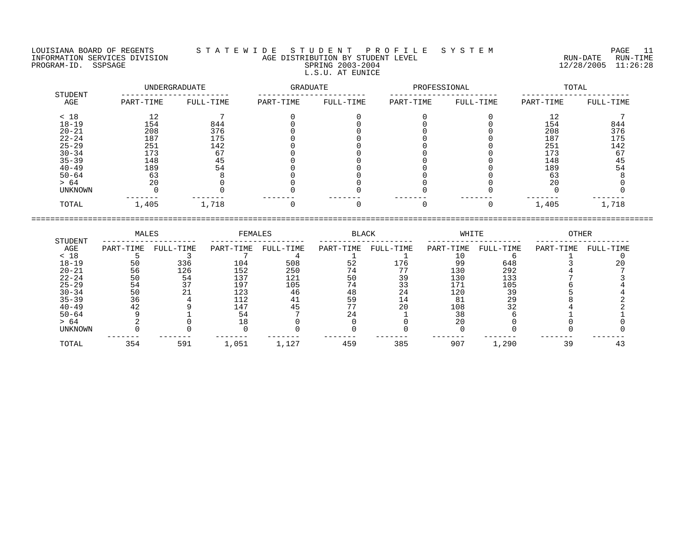LOUISIANA BOARD OF REGENTS S T A T E W I D E S T U D E N T P R O F I L E S Y S T E M PAGE 11 INFORMATION SERVICES DIVISION AGE DISTRIBUTION BY STUDENT LEVEL RUN-DATE RUN-TIME PROGRAM-ID. SSPSAGE SPRING 2003-2004 12/28/2005 11:26:28 L.S.U. AT EUNICE

## UNDERGRADUATE GRADUATE PROFESSIONAL TOTAL STUDENT ----------------------- ----------------------- ----------------------- ----------------------- AGE PART-TIME FULL-TIME PART-TIME FULL-TIME PART-TIME FULL-TIME PART-TIME FULL-TIME < 18 12 7 0 0 0 0 12 7 18-19 154 844 0 0 0 0 154 844 20-21 208 376 0 0 0 0 208 376 22-24 187 175 0 0 0 0 187 175 25-29 251 142 0 0 0 0 251 142 30-34 173 67 0 0 0 0 173 67 35-39 148 45 0 0 0 0 148 45 40-49 189 54 0 0 0 0 189 54 50-64 63 8 0 0 0 0 63 8 > 64 20 0 0 0 0 0 20 0 UNKNOWN 0 0 0 0 0 0 0 0 ------- ------- ------- ------- ------- ------- ------- ------- TOTAL 1,405 1,718 0 0 0 0 1,405 1,718

|           | MALES<br>STUDENT | FEMALES   |           | <b>BLACK</b> |           | WHITE     |           | OTHER     |           |           |
|-----------|------------------|-----------|-----------|--------------|-----------|-----------|-----------|-----------|-----------|-----------|
| AGE       | PART-TIME        | FULL-TIME | PART-TIME | FULL-TIME    | PART-TIME | FULL-TIME | PART-TIME | FULL-TIME | PART-TIME | FULL-TIME |
| < 18      |                  |           |           |              |           |           |           |           |           |           |
| $18 - 19$ | 50               | 336       | 104       | 508          | 52        | 176       | 99        | 648       |           | 20        |
| $20 - 21$ | 56               | 126       | 152       | 250          | 74        |           | 130       | 292       |           |           |
| $22 - 24$ | 50               | 54        | 137       | 121          | 50        | 39        | 130       | 133       |           |           |
| $25 - 29$ | 54               | 37        | 197       | 105          | 74        |           | 171       | 105       |           |           |
| $30 - 34$ | 50               |           | 123       | 46           | 48        | 24        | 120       | 39        |           |           |
| $35 - 39$ | 36               |           | 112       |              | 59        |           | 81        | 29        |           |           |
| $40 - 49$ | 42               |           | 147       | 45           |           | 20        | 108       | 32        |           |           |
| $50 - 64$ |                  |           | 54        |              | 24        |           | 38        |           |           |           |
| > 64      |                  |           |           |              |           |           | 20        |           |           |           |
| UNKNOWN   |                  |           |           |              |           |           |           |           |           |           |
| TOTAL     | 354              | 591       | 1,051     | 1,127        | 459       | 385       | 907       | , 290     | 39        |           |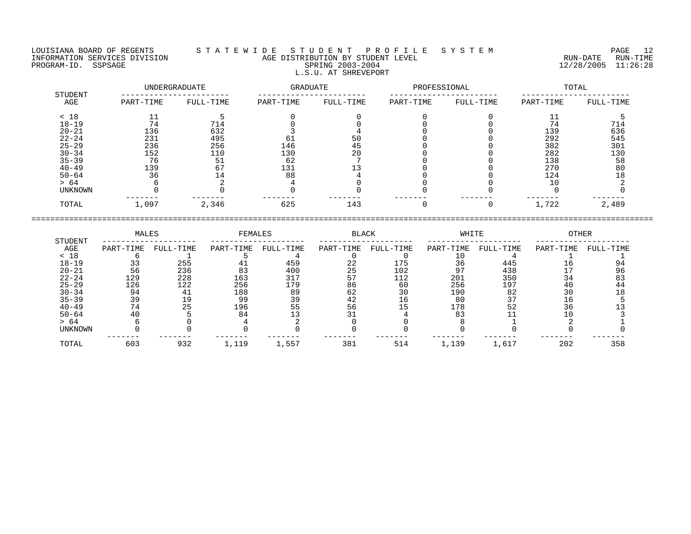## LOUISIANA BOARD OF REGENTS S T A T E W I D E S T U D E N T P R O F I L E S Y S T E M PAGE 12 INFORMATION SERVICES DIVISION AGE DISTRIBUTION BY STUDENT LEVEL RUN-DATE RUN-TIME PROGRAM-ID. SSPSAGE SPRING 2003-2004 12/28/2005 11:26:28 L.S.U. AT SHREVEPORT

|                | UNDERGRADUATE |           | GRADUATE  |           | PROFESSIONAL |           | TOTAL     |           |
|----------------|---------------|-----------|-----------|-----------|--------------|-----------|-----------|-----------|
| STUDENT<br>AGE | PART-TIME     | FULL-TIME | PART-TIME | FULL-TIME | PART-TIME    | FULL-TIME | PART-TIME | FULL-TIME |
| < 18           | 11<br>ᆂᆂ      |           |           |           |              |           | 11<br>ᆂᆂ  |           |
| $18 - 19$      | 74            | 714       |           |           |              |           | 74        | 714       |
| $20 - 21$      | 136           | 632       |           |           |              |           | 139       | 636       |
| $22 - 24$      | 231           | 495       | 61        | 50        |              |           | 292       | 545       |
| $25 - 29$      | 236           | 256       | 146       | 45        |              |           | 382       | 301       |
| $30 - 34$      | 152           | 110       | 130       | 20        |              |           | 282       | 130       |
| $35 - 39$      | 76            | 51        | 62        |           |              |           | 138       | 58        |
| $40 - 49$      | 139           | 67        | 131       |           |              |           | 270       | 80        |
| $50 - 64$      | 36            | 14        | 88        |           |              |           | 124       | 18        |
| > 64           |               |           |           |           |              |           | 10        |           |
| UNKNOWN        |               |           |           |           |              |           |           |           |
| TOTAL          | 1,097         | 2,346     | 625       | 143       |              |           | 1,722     | 2,489     |

|                | MALES     |           | FEMALES   |           | <b>BLACK</b> |           | WHITE     |           | OTHER     |           |
|----------------|-----------|-----------|-----------|-----------|--------------|-----------|-----------|-----------|-----------|-----------|
| STUDENT<br>AGE | PART-TIME | FULL-TIME | PART-TIME | FULL-TIME | PART-TIME    | FULL-TIME | PART-TIME | FULL-TIME | PART-TIME | FULL-TIME |
| < 18           |           |           |           |           |              |           |           |           |           |           |
| $18 - 19$      |           | 255       |           | 459       | 22           | 175       | 36        | 445       | ⊥6.       |           |
| $20 - 21$      | 56        | 236       | 83        | 400       | 25           | 102       |           | 438       |           | 96        |
| $22 - 24$      | 129       | 228       | 163       | 317       |              | 112       | 201       | 350       | 34        |           |
| $25 - 29$      | 126       | 122       | 256       | 179       | 86           | 60        | 256       | 197       | 40        | 44        |
| $30 - 34$      | 94        |           | 188       | 89        | 62           | 30        | 190       | 82        | 30        |           |
| $35 - 39$      | 39        | 19        | 99        | 39        | 42           | 16        | 80        |           | Tр        |           |
| $40 - 49$      | 74        | 25        | 196       | 55        | 56           |           | 178       | 52        | 36        |           |
| $50 - 64$      |           |           | 84        |           |              |           | 83        |           |           |           |
| > 64           |           |           |           |           |              |           |           |           |           |           |
| UNKNOWN        |           |           |           |           |              |           |           |           |           |           |
| TOTAL          | 603       | 932       | 1,119     | 1,557     | 381          | 514       | 1,139     | 1,617     | 202       | 358       |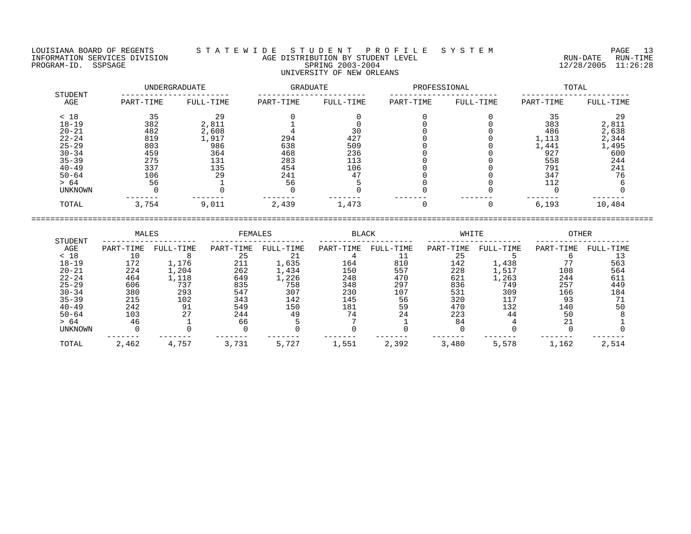LOUISIANA BOARD OF REGENTS S T A T E W I D E S T U D E N T P R O F I L E S Y S T E M PAGE 13 INFORMATION SERVICES DIVISION AGE DISTRIBUTION BY STUDENT LEVEL RUN-DATE RUN-TIME RE DISTRIBUTION BY STUDENT LEVEL AND SAME SAME HOMOGRAM-IN SUN-DATE RUN-TIME (IN-TIME 12/28/2005 11:26:28 PROGRAM-ID. SSPSAGE UNIVERSITY OF NEW ORLEANS

# UNDERGRADUATE GRADUATE PROFESSIONAL TOTAL STUDENT ----------------------- ----------------------- ----------------------- ----------------------- AGE PART-TIME FULL-TIME PART-TIME FULL-TIME PART-TIME FULL-TIME PART-TIME FULL-TIME

| < 18           |       | 29    |       |       |  | 35    |        |
|----------------|-------|-------|-------|-------|--|-------|--------|
| $18 - 19$      | 382   | 2,811 |       |       |  | 383   | 2,811  |
| $20 - 21$      | 482   | 2,608 |       | 30    |  | 486   | 2,638  |
| $22 - 24$      | 819   | 1,917 | 294   | 427   |  | 1,113 | 2,344  |
| $25 - 29$      | 803   | 986   | 638   | 509   |  | 1,441 | ,495   |
| $30 - 34$      | 459   | 364   | 468   | 236   |  | 927   | 600    |
| $35 - 39$      | 275   | 131   | 283   | 113   |  | 558   | 244    |
| $40 - 49$      | 337   | 135   | 454   | 106   |  | 791   | 241    |
| $50 - 64$      | 106   | 29    | 241   | 47    |  | 347   | 76     |
| > 64           | 56    |       | 56    |       |  | 112   |        |
| <b>UNKNOWN</b> |       |       |       |       |  |       |        |
| TOTAL          | 3,754 | 9,011 | 2,439 | 1,473 |  | 6,193 | 10,484 |

| STUDENT        | MALES     |           | FEMALES   |           | <b>BLACK</b> |           | WHITE     |           | <b>OTHER</b> |           |
|----------------|-----------|-----------|-----------|-----------|--------------|-----------|-----------|-----------|--------------|-----------|
| AGE            | PART-TIME | FULL-TIME | PART-TIME | FULL-TIME | PART-TIME    | FULL-TIME | PART-TIME | FULL-TIME | PART-TIME    | FULL-TIME |
| < 18           |           |           | 25        | 21        |              |           | 25        |           |              |           |
| $18 - 19$      | 172       | 1,176     | 211       | 1,635     | 164          | 810       | 142       | 1,438     |              | 563       |
| $20 - 21$      | 224       | 1,204     | 262       | 1,434     | 150          | 557       | 228       | 1,517     | 108          | 564       |
| $22 - 24$      | 464       | 1,118     | 649       | 1,226     | 248          | 470       | 621       | 1,263     | 244          | 611       |
| $25 - 29$      | 606       | 737       | 835       | 758       | 348          | 297       | 836       | 749       | 257          | 449       |
| $30 - 34$      | 380       | 293       | 547       | 307       | 230          | 107       | 531       | 309       | 166          | 184       |
| $35 - 39$      | 215       | 102       | 343       | 142       | 145          | 56        | 320       | 117       | -93          |           |
| $40 - 49$      | 242       | -91       | 549       | 150       | 181          | 59        | 470       | 132       | 140          | 50        |
| $50 - 64$      | 103       | 27        | 244       | 49        | 74           | 24        | 223       | 44        | 50           |           |
| > 64           | 46        |           | 66        |           |              |           | 84        |           | 21           |           |
| <b>UNKNOWN</b> |           |           |           |           |              |           |           |           |              |           |
| TOTAL          | 2,462     | 4,757     | 3,731     | 5,727     | 1,551        | 2,392     | 3,480     | 5,578     | 1,162        | 2,514     |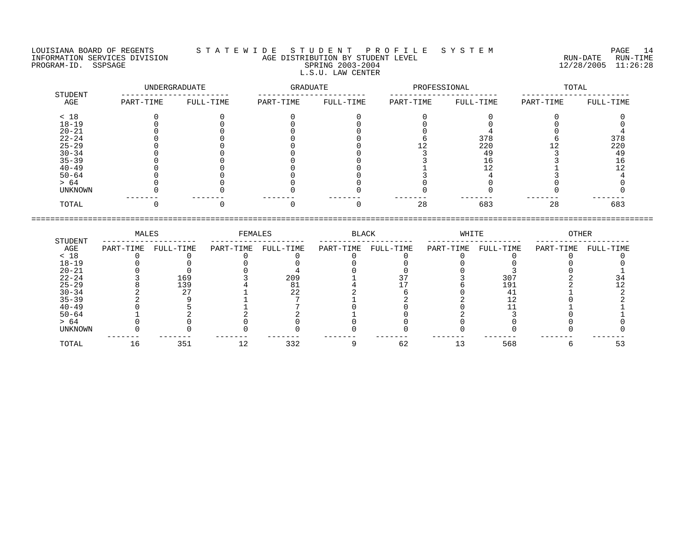## LOUISIANA BOARD OF REGENTS S T A T E W I D E S T U D E N T P R O F I L E S Y S T E M PAGE 14 INFORMATION SERVICES DIVISION AGE DISTRIBUTION BY STUDENT LEVEL RUN-DATE RUN-TIME NEORMATION SERVICES DIVISION CONSUMING THE CONSUMING AGE DISTRIBUTION BY STUDENT LEVEL CONSUMING THE RUN-DATE RUN<br>PROGRAM-ID. SSPSAGE SPRING 2003-2004 SPRING 2003-2004 2003-2004 2003-2004 L.S.U. LAW CENTER

|                | UNDERGRADUATE |           | GRADUATE  |           | PROFESSIONAL |           | TOTAL     |           |
|----------------|---------------|-----------|-----------|-----------|--------------|-----------|-----------|-----------|
| STUDENT<br>AGE | PART-TIME     | FULL-TIME | PART-TIME | FULL-TIME | PART-TIME    | FULL-TIME | PART-TIME | FULL-TIME |
| < 18           |               |           |           |           |              |           |           |           |
| $18 - 19$      |               |           |           |           |              |           |           |           |
| $20 - 21$      |               |           |           |           |              |           |           |           |
| $22 - 24$      |               |           |           |           |              | 378       |           | 378       |
| $25 - 29$      |               |           |           |           |              | 220       |           | 220       |
| $30 - 34$      |               |           |           |           |              | 49        |           | 49        |
| $35 - 39$      |               |           |           |           |              | 16        |           | 16        |
| $40 - 49$      |               |           |           |           |              |           |           |           |
| $50 - 64$      |               |           |           |           |              |           |           |           |
| > 64           |               |           |           |           |              |           |           |           |
| UNKNOWN        |               |           |           |           |              |           |           |           |
| TOTAL          |               |           |           |           | 28           | 683       | 28        | 683       |

|           | MALES     |           | FEMALES   |           | BLACK     |           | WHITE     |           | OTHER     |           |
|-----------|-----------|-----------|-----------|-----------|-----------|-----------|-----------|-----------|-----------|-----------|
| STUDENT   |           |           |           |           |           |           |           |           |           |           |
| AGE       | PART-TIME | FULL-TIME | PART-TIME | FULL-TIME | PART-TIME | FULL-TIME | PART-TIME | FULL-TIME | PART-TIME | FULL-TIME |
| < 18      |           |           |           |           |           |           |           |           |           |           |
| $18 - 19$ |           |           |           |           |           |           |           |           |           |           |
| $20 - 21$ |           |           |           |           |           |           |           |           |           |           |
| $22 - 24$ |           | 169       |           | 209       |           |           |           | 307       |           |           |
| $25 - 29$ |           | 139       |           | 81        |           |           |           | 191       |           |           |
| $30 - 34$ |           | 2.7       |           | 22        |           |           |           |           |           |           |
| $35 - 39$ |           |           |           |           |           |           |           |           |           |           |
| $40 - 49$ |           |           |           |           |           |           |           |           |           |           |
| $50 - 64$ |           |           |           |           |           |           |           |           |           |           |
| > 64      |           |           |           |           |           |           |           |           |           |           |
| UNKNOWN   |           |           |           |           |           |           |           |           |           |           |
| TOTAL     | ⊥6        | 351       |           | 332       |           | 62        |           | 568       |           | 53        |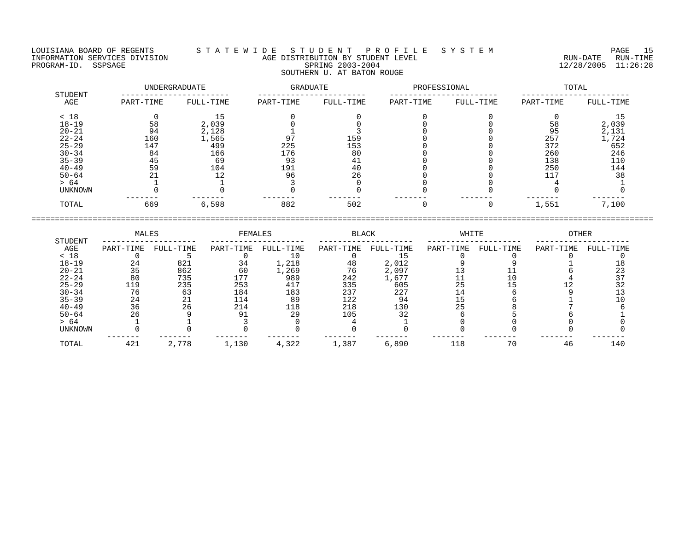## LOUISIANA BOARD OF REGENTS S T A T E W I D E S T U D E N T P R O F I L E S Y S T E M PAGE 15 INFORMATION SERVICES DIVISION AGE DISTRIBUTION BY STUDENT LEVEL RUN-DATE RUN-TIME PROGRAM-ID. SSPSAGE SPRING 2003-2004 SPRING 2003-2004 2012 2012 12/28/2005 11:26:28 SOUTHERN U. AT BATON ROUGE

|                | UNDERGRADUATE |           | GRADUATE  |           | PROFESSIONAL |           | TOTAL     |           |
|----------------|---------------|-----------|-----------|-----------|--------------|-----------|-----------|-----------|
| STUDENT<br>AGE | PART-TIME     | FULL-TIME | PART-TIME | FULL-TIME | PART-TIME    | FULL-TIME | PART-TIME | FULL-TIME |
| < 18           |               | 15        |           |           |              |           |           | 15        |
| $18 - 19$      | 58            | 2,039     |           |           |              |           | 58        | 2,039     |
| $20 - 21$      | 94            | 2,128     |           |           |              |           | 95        | 2,131     |
| $22 - 24$      | 160           | 1,565     | 97        | 159       |              |           | 257       | 1,724     |
| $25 - 29$      | 147           | 499       | 225       | 153       |              |           | 372       | 652       |
| $30 - 34$      | 84            | 166       | 176       | 80        |              |           | 260       | 246       |
| $35 - 39$      | 45            | 69        | 93        | 41        |              |           | 138       | 110       |
| $40 - 49$      | 59            | 104       | 191       | 40        |              |           | 250       | 144       |
| $50 - 64$      | 21            | 12        | 96        | 26        |              |           | 117       | 38        |
| > 64           |               |           |           |           |              |           |           |           |
| UNKNOWN        |               |           |           |           |              |           |           |           |
| TOTAL          | 669           | 6,598     | 882       | 502       | $\Omega$     | $\Omega$  | 1,551     | 7,100     |

|           | MALES     |           | FEMALES   |           | BLACK     |           | WHITE     |           | OTHER     |           |
|-----------|-----------|-----------|-----------|-----------|-----------|-----------|-----------|-----------|-----------|-----------|
| STUDENT   |           |           |           |           |           |           |           |           |           |           |
| AGE       | PART-TIME | FULL-TIME | PART-TIME | FULL-TIME | PART-TIME | FULL-TIME | PART-TIME | FULL-TIME | PART-TIME | FULL-TIME |
| < 18      |           |           |           |           |           |           |           |           |           |           |
| $18 - 19$ | 24        | 821       | 34        | 1,218     | 48        | 2,012     |           |           |           |           |
| $20 - 21$ |           | 862       | 60        | 1,269     | 76        | 2,097     |           |           |           |           |
| $22 - 24$ | 80        | 735       | 177       | 989       | 242       | 1,677     |           |           |           |           |
| $25 - 29$ | 119       | 235       | 253       | 417       | 335       | 605       | 25        |           |           |           |
| $30 - 34$ | 76        | 63        | 184       | 183       | 237       | 227       |           |           |           |           |
| $35 - 39$ | 24        | 21        | 114       | 89        | 122       | 94        |           |           |           |           |
| $40 - 49$ | 36        | 26        | 214       | 118       | 218       | 130       |           |           |           |           |
| $50 - 64$ | 26        |           |           | 29        | 105       | 32        |           |           |           |           |
| > 64      |           |           |           |           |           |           |           |           |           |           |
| UNKNOWN   |           |           |           |           |           |           |           |           |           |           |
| TOTAL     | 421       | 2,778     | 1,130     | 4,322     | 1,387     | 6,890     | 118       | 70        | 46        | 140       |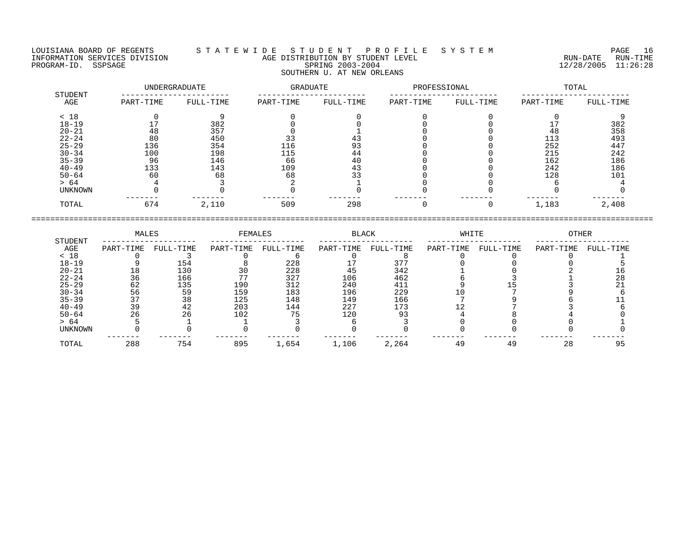LOUISIANA BOARD OF REGENTS S T A T E W I D E S T U D E N T P R O F I L E S Y S T E M PAGE 16 INFORMATION SERVICES DIVISION AGE DISTRIBUTION BY STUDENT LEVEL RUN-DATE RUN-TIME NEORMATION SERVICES DIVISION NAGE DISTRIBUTION BY STUDENT LEVEL NAGE AND THE RUN-DATE RUN-TIME RUN-TIME RUN-TIME<br>PROGRAM-ID. SSPSAGE 11:26:28 SOUTHERN U. AT NEW ORLEANS

 UNDERGRADUATE GRADUATE PROFESSIONAL TOTAL STUDENT ----------------------- ----------------------- ----------------------- ----------------------- AGE PART-TIME FULL-TIME PART-TIME FULL-TIME PART-TIME FULL-TIME PART-TIME FULL-TIME < 18 0 9 0 0 0 0 0 9 18-19 17 382 0 0 0 0 17 382 20-21 48 357 0 1 0 0 48 358 22-24 80 450 33 43 0 0 113 493 25-29 136 354 116 93 0 0 252 447 30-34 100 198 115 44 0 0 215 242 35-39 96 146 66 40 0 0 162 186 40-49 133 143 109 43 0 0 242 186 50-64 60 68 68 33 0 0 128 101 > 64 4 3 2 1 0 0 6 4 UNKNOWN 0 0 0 0 0 0 0 0 ------- ------- ------- ------- ------- ------- ------- ------- TOTAL 674 2,110 509 298 0 0 1,183 2,408

====================================================================================================================================

 MALES FEMALES BLACK WHITE OTHER STUDENT -------------------- -------------------- -------------------- -------------------- --------------------  $\begin{array}{cccccccccccccc} \text{AGE} & \text{PART-TIME} & \text{FULL-TIME} & \text{PART-TIME} & \text{FULL-TIME} & \text{PART-TIME} & \text{FULL-TIME} & \text{FULL-TIME} & \text{FULL-TIME} & \text{PART-TIME} & \text{PART-TIME} & \text{PART-TIME} & \text{FULL-TIME} & \text{FULL-TIME} & \text{FULL-TIME} & \text{FULL-TIME} & \text{FULL-TIME} & \text{FULL-TIME} & \text{FULL-TIME} & \text{FULL-TIME} & \text{FULL-TIME} & \text{FULL-TIME} & \text{FULL-TIME} & \text{FULL-T$ < 18 0 3 0 6 0 8 0 0 0 1 18-19 9 154 8 228 17 377 0 0 0 5 20-21 18 130 30 228 45 342 1 0 2 16 22-24 36 166 77 327 106 462 6 3 1 28 25-29 62 135 190 312 240 411 9 15 3 21 30-34 56 59 159 183 196 229 10 7 9 6 35-39 37 38 125 148 149 166 7 9 6 11 40-49 39 42 203 144 227 173 12 7 3 6 50-64 26 26 102 75 120 93 4 8 4 0 > 64 5 1 1 3 6 3 0 0 0 1 UNKNOWN 0 0 0 0 0 0 0 0 0 0 ------- ------- ------- ------- ------- ------- ------- ------- ------- ------- TOTAL 288 754 895 1,654 1,106 2,264 49 49 28 95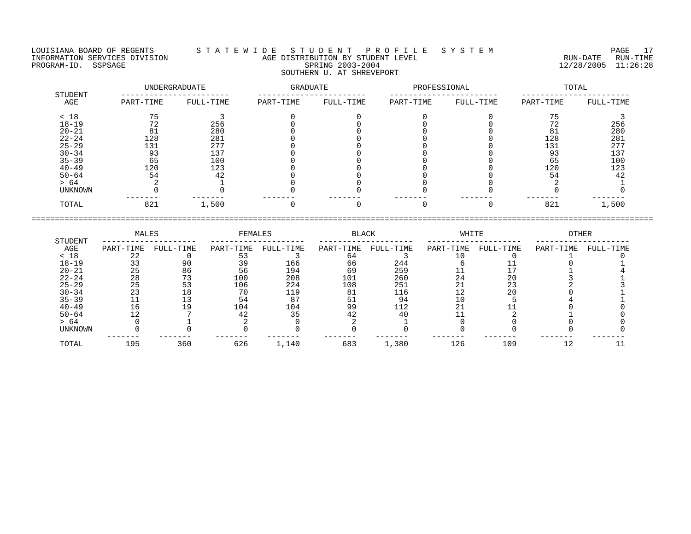LOUISIANA BOARD OF REGENTS S T A T E W I D E S T U D E N T P R O F I L E S Y S T E M PAGE 17 INFORMATION SERVICES DIVISION AGE DISTRIBUTION BY STUDENT LEVEL RUN-DATE RUN-TIME PROGRAM-ID. SSPSAGE SPRING 2003-2004 12/28/2005 11:26:28 SOUTHERN U. AT SHREVEPORT

| STUDENT   |           | UNDERGRADUATE |           | GRADUATE  |           | PROFESSIONAL | TOTAL     |           |  |
|-----------|-----------|---------------|-----------|-----------|-----------|--------------|-----------|-----------|--|
| AGE       | PART-TIME | FULL-TIME     | PART-TIME | FULL-TIME | PART-TIME | FULL-TIME    | PART-TIME | FULL-TIME |  |
| < 18      |           |               |           |           |           |              |           |           |  |
| $18 - 19$ | 72        | 256           |           |           |           |              | 72        | 256       |  |
| $20 - 21$ | 81        | 280           |           |           |           |              | 81        | 280       |  |
| $22 - 24$ | 128       | 281           |           |           |           |              | 128       | 281       |  |
| $25 - 29$ | 131       | 277           |           |           |           |              | 131       | 277       |  |
| $30 - 34$ | 93        | 137           |           |           |           |              | 93        | 137       |  |
| $35 - 39$ | 65        | 100           |           |           |           |              | 65        | 100       |  |
| $40 - 49$ | 120       | 123           |           |           |           |              | 120       | 123       |  |
| $50 - 64$ | 54        | 42            |           |           |           |              | 54        | 42        |  |
| > 64      |           |               |           |           |           |              |           |           |  |
| UNKNOWN   |           |               |           |           |           |              |           |           |  |
| TOTAL     | 821       | 1,500         |           |           |           |              | 821       | 1,500     |  |
|           |           |               |           |           |           |              |           |           |  |

|                |           | MALES     |           | FEMALES   |           | BLACK     |             | WHITE     | OTHER     |           |
|----------------|-----------|-----------|-----------|-----------|-----------|-----------|-------------|-----------|-----------|-----------|
| STUDENT<br>AGE | PART-TIME | FULL-TIME | PART-TIME | FULL-TIME | PART-TIME | FULL-TIME | PART-TIME   | FULL-TIME | PART-TIME | FULL-TIME |
| < 18           | 22        |           | 53        |           | 64        |           |             |           |           |           |
| $18 - 19$      | 33        | 90        | 39        | 166       | 66        | 244       |             |           |           |           |
| $20 - 21$      | 25        | 86        | 56        | 194       | 69        | 259       |             |           |           |           |
| $22 - 24$      | 28        | 73        | 100       | 208       | 101       | 260       | 24          | 20        |           |           |
| $25 - 29$      | 25        | 53        | 106       | 224       | 108       | 251       | $\bigcap$ 1 | 23        |           |           |
| $30 - 34$      | 23        |           | 70        | 119       | 81        | 116       | 12          | 20        |           |           |
| $35 - 39$      | 11        | 13        | 54        | 87        | 51        | 94        | 10          |           |           |           |
| $40 - 49$      | 16        | 19        | 104       | 104       | 99        | 112       |             |           |           |           |
| $50 - 64$      | 12        |           | 42        | 35        | 42        | 40        |             |           |           |           |
| > 64           |           |           |           |           |           |           |             |           |           |           |
| UNKNOWN        |           |           |           |           |           |           |             |           |           |           |
| TOTAL          | 195       | 360       | 626       | 1,140     | 683       | 1,380     | 126         | 109       |           |           |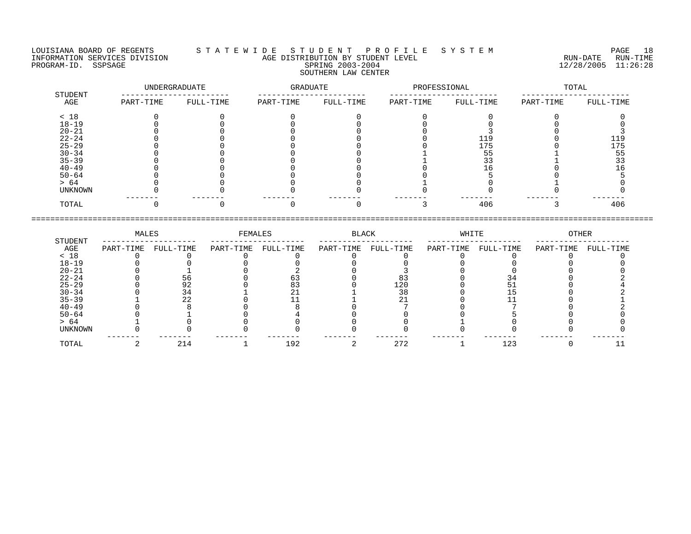## LOUISIANA BOARD OF REGENTS S T A T E W I D E S T U D E N T P R O F I L E S Y S T E M PAGE 18 INFORMATION SERVICES DIVISION AGE DISTRIBUTION BY STUDENT LEVEL RUN-DATE RUN-TIME PROGRAM-ID. SSPSAGE SPRING 2003-2004 SPRING 2003-2004 2012 2012 12/28/2005 11:26:28 SOUTHERN LAW CENTER

| STUDENT   | UNDERGRADUATE |           | GRADUATE  |           | PROFESSIONAL |           | TOTAL     |           |
|-----------|---------------|-----------|-----------|-----------|--------------|-----------|-----------|-----------|
| AGE       | PART-TIME     | FULL-TIME | PART-TIME | FULL-TIME | PART-TIME    | FULL-TIME | PART-TIME | FULL-TIME |
| < 18      |               |           |           |           |              |           |           |           |
| $18 - 19$ |               |           |           |           |              |           |           |           |
| $20 - 21$ |               |           |           |           |              |           |           |           |
| $22 - 24$ |               |           |           |           |              | 119       |           | 119       |
| $25 - 29$ |               |           |           |           |              | 175       |           | 175       |
| $30 - 34$ |               |           |           |           |              | 55        |           | 55        |
| $35 - 39$ |               |           |           |           |              | 33        |           |           |
| $40 - 49$ |               |           |           |           |              | 16        |           |           |
| $50 - 64$ |               |           |           |           |              |           |           |           |
| > 64      |               |           |           |           |              |           |           |           |
| UNKNOWN   |               |           |           |           |              |           |           |           |
| TOTAL     |               |           |           |           |              | 406       |           | 406       |

|           | MALES     |           | FEMALES   |           | BLACK     |           | WHITE     |           | OTHER     |           |
|-----------|-----------|-----------|-----------|-----------|-----------|-----------|-----------|-----------|-----------|-----------|
| STUDENT   |           |           |           |           |           |           |           |           |           |           |
| AGE       | PART-TIME | FULL-TIME | PART-TIME | FULL-TIME | PART-TIME | FULL-TIME | PART-TIME | FULL-TIME | PART-TIME | FULL-TIME |
| < 18      |           |           |           |           |           |           |           |           |           |           |
| $18 - 19$ |           |           |           |           |           |           |           |           |           |           |
| $20 - 21$ |           |           |           |           |           |           |           |           |           |           |
| $22 - 24$ |           | 56        |           |           |           |           |           |           |           |           |
| $25 - 29$ |           | 92        |           |           |           | 120       |           |           |           |           |
| $30 - 34$ |           |           |           |           |           | 38        |           |           |           |           |
| $35 - 39$ |           |           |           |           |           |           |           |           |           |           |
| $40 - 49$ |           |           |           |           |           |           |           |           |           |           |
| $50 - 64$ |           |           |           |           |           |           |           |           |           |           |
| > 64      |           |           |           |           |           |           |           |           |           |           |
| UNKNOWN   |           |           |           |           |           |           |           |           |           |           |
|           |           |           |           |           |           |           |           |           |           |           |
| TOTAL     |           | 214       |           | 192       |           | 272       |           | 123       |           |           |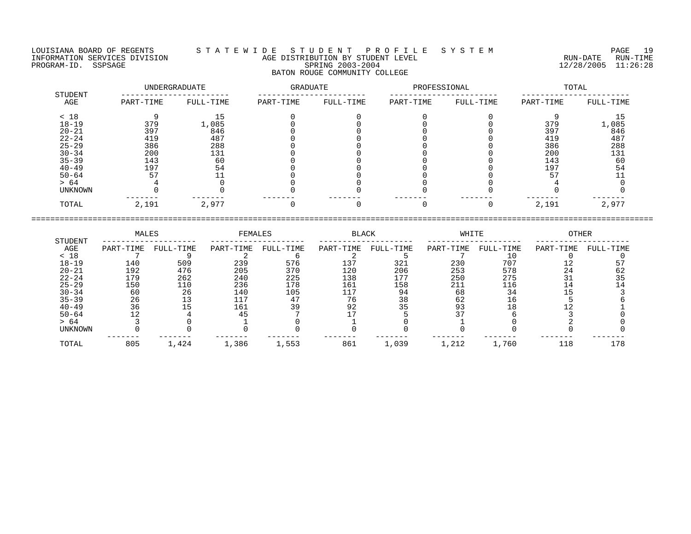LOUISIANA BOARD OF REGENTS S T A T E W I D E S T U D E N T P R O F I L E S Y S T E M PAGE 19 INFORMATION SERVICES DIVISION AGE DISTRIBUTION BY STUDENT LEVEL RUN-DATE RUN-TIME NEORMATION SERVICES DIVISION CONTRACTED TO AGE DISTRIBUTION BY STUDENT LEVEL CONTRACTION SERVICES DIVISION CONTRACTED AND AGE DISTRIBUTION BY STUDENT LEVEL CONTRACTED RUN-DATE RUN-TIME RUN-TIME<br>PROGRAM-ID. SSPSAGE 2005 11:

# BATON ROUGE COMMUNITY COLLEGE

| STUDENT   |           | UNDERGRADUATE | <b>GRADUATE</b> |           | PROFESSIONAL |           | TOTAL     |           |  |
|-----------|-----------|---------------|-----------------|-----------|--------------|-----------|-----------|-----------|--|
| AGE       | PART-TIME | FULL-TIME     | PART-TIME       | FULL-TIME | PART-TIME    | FULL-TIME | PART-TIME | FULL-TIME |  |
| < 18      |           |               |                 |           |              |           |           |           |  |
| $18 - 19$ | 379       | 1,085         |                 |           |              |           | 379       | 1,085     |  |
| $20 - 21$ | 397       | 846           |                 |           |              |           | 397       | 846       |  |
| $22 - 24$ | 419       | 487           |                 |           |              |           | 419       | 487       |  |
| $25 - 29$ | 386       | 288           |                 |           |              |           | 386       | 288       |  |
| $30 - 34$ | 200       | 131           |                 |           |              |           | 200       | 131       |  |
| $35 - 39$ | 143       | 60            |                 |           |              |           | 143       | 60        |  |
| $40 - 49$ | 197       | 54            |                 |           |              |           | 197       | 54        |  |
| $50 - 64$ | 57        |               |                 |           |              |           | 57        |           |  |
| > 64      |           |               |                 |           |              |           |           |           |  |
| UNKNOWN   |           |               |                 |           |              |           |           |           |  |
| TOTAL     | 2,191     | 2,977         |                 |           |              |           | 2,191     | 2,977     |  |

|           | MALES     |           | FEMALES   |           | <b>BLACK</b> |           | WHITE     |           | <b>OTHER</b> |           |
|-----------|-----------|-----------|-----------|-----------|--------------|-----------|-----------|-----------|--------------|-----------|
| STUDENT   |           |           |           |           |              |           |           |           |              |           |
| AGE       | PART-TIME | FULL-TIME | PART-TIME | FULL-TIME | PART-TIME    | FULL-TIME | PART-TIME | FULL-TIME | PART-TIME    | FULL-TIME |
| < 18      |           |           |           |           |              |           |           |           |              |           |
| $18 - 19$ | 140       | 509       | 239       | 576       | 137          | 321       | 230       | 707       |              |           |
| $20 - 21$ | 192       | 476       | 205       | 370       | 120          | 206       | 253       | 578       | 24           | 62        |
| $22 - 24$ | 179       | 262       | 240       | 225       | 138          | 177       | 250       | 275       |              |           |
| $25 - 29$ | 150       | 110       | 236       | 178       | 161          | 158       | 211       | 116       |              |           |
| $30 - 34$ | 60        | 26        | 140       | 105       | 117          | 94        | 68        | 34        |              |           |
| $35 - 39$ | 26        |           | 117       |           | 76           | 38        | 62        | 16        |              |           |
| $40 - 49$ | 36        |           | 161       | 39        | 92           | 35        | 93        |           |              |           |
| $50 - 64$ |           |           |           |           |              |           |           |           |              |           |
| > 64      |           |           |           |           |              |           |           |           |              |           |
| UNKNOWN   |           |           |           |           |              |           |           |           |              |           |
| TOTAL     | 805       | 1,424     | 1,386     | 1,553     | 861          | 1,039     | 1,212     | 1,760     | 118          | 178       |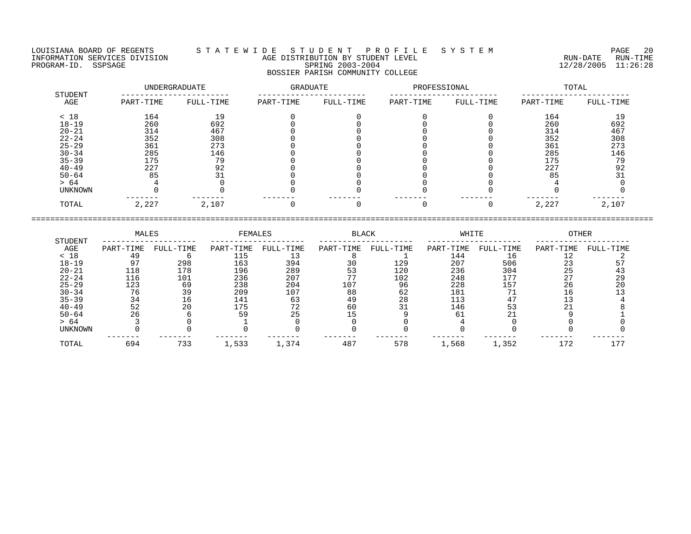## LOUISIANA BOARD OF REGENTS S T A T E W I D E S T U D E N T P R O F I L E S Y S T E M PAGE 20 INFORMATION SERVICES DIVISION AGE DISTRIBUTION BY STUDENT LEVEL RUN-DATE RUN-TIME PROGRAM-ID. SSPSAGE SPRING 2003-2004 SPRING 2003-2004 2012 2012 12/28/2005 11:26:28 BOSSIER PARISH COMMUNITY COLLEGE

|                | UNDERGRADUATE |           | <b>GRADUATE</b> |           | PROFESSIONAL |           | TOTAL     |           |  |
|----------------|---------------|-----------|-----------------|-----------|--------------|-----------|-----------|-----------|--|
| STUDENT<br>AGE | PART-TIME     | FULL-TIME | PART-TIME       | FULL-TIME | PART-TIME    | FULL-TIME | PART-TIME | FULL-TIME |  |
| < 18           | 164           | 19        |                 |           |              |           | 164       | 19        |  |
| $18 - 19$      | 260           | 692       |                 |           |              |           | 260       | 692       |  |
| $20 - 21$      | 314           | 467       |                 |           |              |           | 314       | 467       |  |
| $22 - 24$      | 352           | 308       |                 |           |              |           | 352       | 308       |  |
| $25 - 29$      | 361           | 273       |                 |           |              |           | 361       | 273       |  |
| $30 - 34$      | 285           | 146       |                 |           |              |           | 285       | 146       |  |
| $35 - 39$      | 175           | 79        |                 |           |              |           | 175       | 79        |  |
| $40 - 49$      | 227           | 92        |                 |           |              |           | 227       | 92        |  |
| $50 - 64$      | 85            | 31        |                 |           |              |           | 85        | 31        |  |
| > 64           |               |           |                 |           |              |           |           |           |  |
| UNKNOWN        |               |           |                 |           |              |           |           |           |  |
| TOTAL          | 2,227         | 2,107     |                 |           |              |           | 2,227     | 2,107     |  |

|                | MALES     |           | FEMALES   |           | <b>BLACK</b> |           | WHITE     |           | OTHER     |           |
|----------------|-----------|-----------|-----------|-----------|--------------|-----------|-----------|-----------|-----------|-----------|
| STUDENT<br>AGE | PART-TIME | FULL-TIME | PART-TIME | FULL-TIME | PART-TIME    | FULL-TIME | PART-TIME | FULL-TIME | PART-TIME | FULL-TIME |
| < 18           | 49        |           | 115       |           |              |           | 144       | 16        |           |           |
| $18 - 19$      |           | 298       | 163       | 394       | 30           | 129       | 207       | 506       | 23        |           |
| $20 - 21$      | 118       | 178       | 196       | 289       |              | 120       | 236       | 304       | 25        |           |
| $22 - 24$      | 116       | 101       | 236       | 207       |              | 102       | 248       | 177       |           | 29        |
| $25 - 29$      | 123       | 69        | 238       | 204       | 107          | 96        | 228       | 157       | 26        | 20        |
| $30 - 34$      | 76        | 39        | 209       | 107       | 88           | 62        | 181       | 71        | ⊥6.       |           |
| $35 - 39$      | 34        | 16        | 141       | 63        | 49           | 28        | 113       |           |           |           |
| $40 - 49$      | 52        | 20        | 175       | 72        | 60           |           | 146       | 53        |           |           |
| $50 - 64$      | 26        |           | 59        | 25        |              |           | 61        | າ 1       |           |           |
| > 64           |           |           |           |           |              |           |           |           |           |           |
| UNKNOWN        |           |           |           |           |              |           |           |           |           |           |
| TOTAL          | 694       | 733       | 1,533     | 1,374     | 487          | 578       | 1,568     | 1,352     | 172       |           |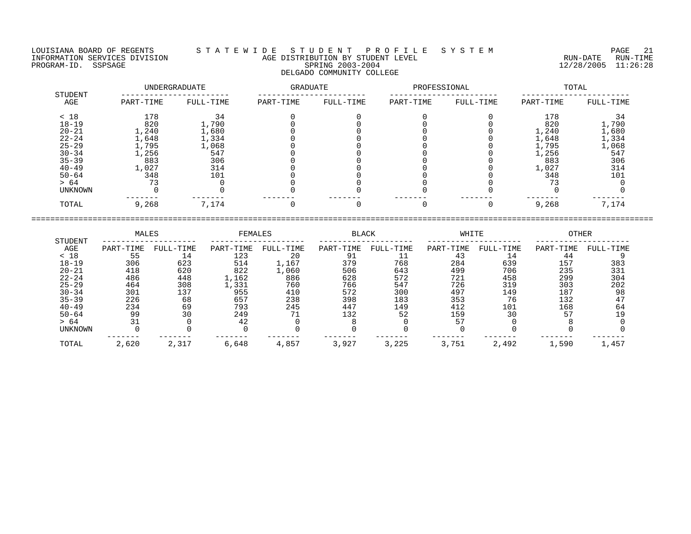LOUISIANA BOARD OF REGENTS S T A T E W I D E S T U D E N T P R O F I L E S Y S T E M PAGE 21 INFORMATION SERVICES DIVISION AGE DISTRIBUTION BY STUDENT LEVEL RUN-DATE RUN-TIME PROGRAM-ID. SSPSAGE SPRING 2003-2004 12/28/2005 11:26:28 DELGADO COMMUNITY COLLEGE

| STUDENT        |           | UNDERGRADUATE | <b>GRADUATE</b> |           | PROFESSIONAL |           | TOTAL     |           |  |
|----------------|-----------|---------------|-----------------|-----------|--------------|-----------|-----------|-----------|--|
| AGE            | PART-TIME | FULL-TIME     | PART-TIME       | FULL-TIME | PART-TIME    | FULL-TIME | PART-TIME | FULL-TIME |  |
| < 18           | 178       | 34            |                 |           |              |           | 178       | 34        |  |
| $18 - 19$      | 820       | 1,790         |                 |           |              |           | 820       | 1,790     |  |
| $20 - 21$      | 1,240     | 1,680         |                 |           |              |           | 1,240     | 1,680     |  |
| $22 - 24$      | 1,648     | 1,334         |                 |           |              |           | 1,648     | 1,334     |  |
| $25 - 29$      | 1,795     | 1,068         |                 |           |              |           | 1,795     | 1,068     |  |
| $30 - 34$      | l,256     | 547           |                 |           |              |           | 1,256     | 547       |  |
| $35 - 39$      | 883       | 306           |                 |           |              |           | 883       | 306       |  |
| $40 - 49$      | 1,027     | 314           |                 |           |              |           | 1,027     | 314       |  |
| $50 - 64$      | 348       | 101           |                 |           |              |           | 348       | 101       |  |
| > 64           | 73        |               |                 |           |              |           |           |           |  |
| <b>UNKNOWN</b> |           |               |                 |           |              |           |           |           |  |
| TOTAL          | 9,268     | 7,174         |                 |           |              |           | 9,268     | 7,174     |  |

|           | MALES     |           | FEMALES   |           | <b>BLACK</b> |           | WHITE     |           | <b>OTHER</b> |           |
|-----------|-----------|-----------|-----------|-----------|--------------|-----------|-----------|-----------|--------------|-----------|
| STUDENT   |           |           |           |           |              |           |           |           |              |           |
| AGE       | PART-TIME | FULL-TIME | PART-TIME | FULL-TIME | PART-TIME    | FULL-TIME | PART-TIME | FULL-TIME | PART-TIME    | FULL-TIME |
| < 18      | 55        | 14        | 123       | 20        | -91          |           | 43        | 14        | 44           |           |
| $18 - 19$ | 306       | 623       | 514       | 1,167     | 379          | 768       | 284       | 639       | 157          | 383       |
| $20 - 21$ | 418       | 620       | 822       | 1,060     | 506          | 643       | 499       | 706       | 235          | 331       |
| $22 - 24$ | 486       | 448       | 1,162     | 886       | 628          | 572       | 721       | 458       | 299          | 304       |
| $25 - 29$ | 464       | 308       | .,331     | 760       | 766          | 547       | 726       | 319       | 303          | 202       |
| $30 - 34$ | 301       | 137       | 955       | 410       | 572          | 300       | 497       | 149       | 187          | 98        |
| $35 - 39$ | 226       | 68        | 657       | 238       | 398          | 183       | 353       | 76        | 132          |           |
| $40 - 49$ | 234       | 69        | 793       | 245       | 447          | 149       | 412       | 101       | 168          | 64        |
| $50 - 64$ | 99        | 30        | 249       | 71        | 132          | 52        | 159       | 30        | 57           |           |
| > 64      |           |           | 42        |           |              |           | 57        |           |              |           |
| UNKNOWN   |           |           |           |           |              |           |           |           |              |           |
| TOTAL     | 2,620     | 2,317     | 6,648     | 4,857     | 3,927        | 3,225     | 3,751     | 2,492     | 1,590        | 1,457     |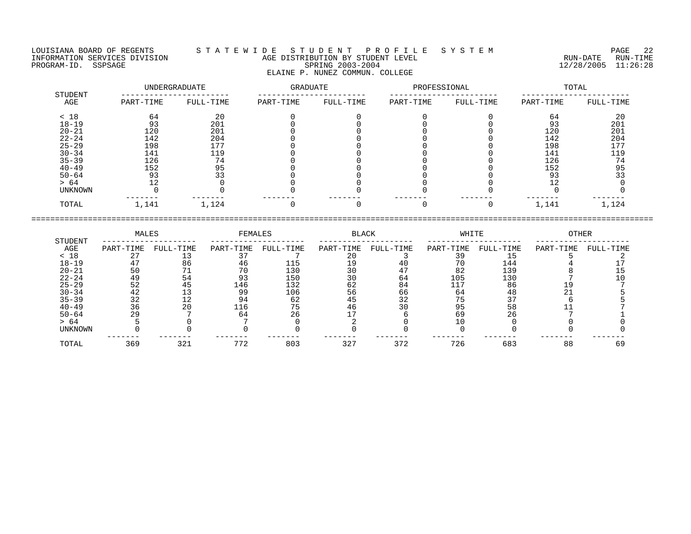## LOUISIANA BOARD OF REGENTS S T A T E W I D E S T U D E N T P R O F I L E S Y S T E M PAGE 22 INFORMATION SERVICES DIVISION AGE DISTRIBUTION BY STUDENT LEVEL RUN-DATE RUN-TIME PROGRAM-ID. SSPSAGE SPRING 2003-2004 12/28/2005 11:26:28 ELAINE P. NUNEZ COMMUN. COLLEGE

|                |           | UNDERGRADUATE | GRADUATE  |           | PROFESSIONAL |           | TOTAL     |           |  |
|----------------|-----------|---------------|-----------|-----------|--------------|-----------|-----------|-----------|--|
| STUDENT<br>AGE | PART-TIME | FULL-TIME     | PART-TIME | FULL-TIME | PART-TIME    | FULL-TIME | PART-TIME | FULL-TIME |  |
| < 18           | 64        | 20            |           |           |              |           | 64        | 20        |  |
| $18 - 19$      | 93        | 201           |           |           |              |           | 93        | 201       |  |
| $20 - 21$      | 120       | 201           |           |           |              |           | 120       | 201       |  |
| $22 - 24$      | 142       | 204           |           |           |              |           | 142       | 204       |  |
| $25 - 29$      | 198       | 177           |           |           |              |           | 198       | 177       |  |
| $30 - 34$      | 141       | 119           |           |           |              |           | 141       | 119       |  |
| $35 - 39$      | 126       | 74            |           |           |              |           | 126       | 74        |  |
| $40 - 49$      | 152       | 95            |           |           |              |           | 152       | 95        |  |
| $50 - 64$      | 93        | 33            |           |           |              |           | 93        | 33        |  |
| > 64           | 12        |               |           |           |              |           | າ ^       |           |  |
| UNKNOWN        |           |               |           |           |              |           |           |           |  |
| TOTAL          | 1,141     | 1,124         |           |           |              |           | 1,141     | 1,124     |  |

|                |           | MALES     |           | FEMALES   |           | <b>BLACK</b> |           | WHITE     |           | OTHER     |  |
|----------------|-----------|-----------|-----------|-----------|-----------|--------------|-----------|-----------|-----------|-----------|--|
| STUDENT<br>AGE | PART-TIME | FULL-TIME | PART-TIME | FULL-TIME | PART-TIME | FULL-TIME    | PART-TIME | FULL-TIME | PART-TIME | FULL-TIME |  |
| < 18           |           |           |           |           | 20        |              |           |           |           |           |  |
| $18 - 19$      |           | 86        | 46        | 115       |           |              |           | 144       |           |           |  |
| $20 - 21$      |           |           | 70        | 130       |           |              | 82        | 139       |           |           |  |
| $22 - 24$      | 49        | 54        | 93        | 150       |           | 64           | 105       | 130       |           |           |  |
| $25 - 29$      | 52        | 45        | 146       | 132       | 62        | 84           | 117       | 86        |           |           |  |
| $30 - 34$      | 42        |           | 99        | 106       | 56        | 66           | 64        |           |           |           |  |
| $35 - 39$      | 32        |           | 94        | 62        | 45        | 32           | 75        |           |           |           |  |
| $40 - 49$      | 36        | 20        | 116       | 75        | 46        | 30           | 95        | 58        |           |           |  |
| $50 - 64$      | 29        |           | 64        | 26        |           |              | 69        | 26        |           |           |  |
| > 64           |           |           |           |           |           |              |           |           |           |           |  |
| <b>UNKNOWN</b> |           |           |           |           |           |              |           |           |           |           |  |
| TOTAL          | 369       | 321       | 772       | 803       | 327       | 372          | 726       | 683       | 88        | 69        |  |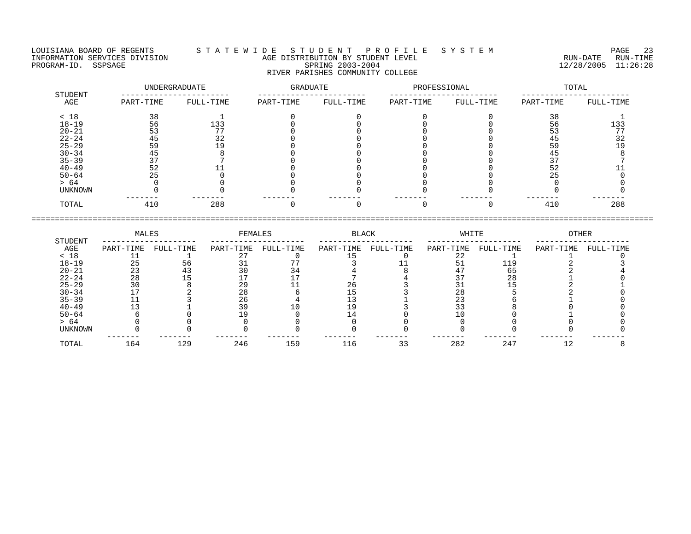LOUISIANA BOARD OF REGENTS S T A T E W I D E S T U D E N T P R O F I L E S Y S T E M PAGE 23 INFORMATION SERVICES DIVISION AGE DISTRIBUTION BY STUDENT LEVEL RUN-DATE RUN-TIME EQUISIANA BOARD OF REGENTS STATEWIDE STUDENT PROFILE SYSTEM PAGE 23<br>INFORMATION SERVICES DIVISION STATEWIDE AGE DISTRIBUTION BY STUDENT LEVEL (RUN-DATE RUN-DATE RUN-TIME<br>PROGRAM-ID. SSPSAGE SPRING 2003-2004 12/28/2005 11:2 RIVER PARISHES COMMUNITY COLLEGE

| STUDENT   |           | UNDERGRADUATE |           | GRADUATE  |           | PROFESSIONAL | TOTAL     |           |  |
|-----------|-----------|---------------|-----------|-----------|-----------|--------------|-----------|-----------|--|
| AGE       | PART-TIME | FULL-TIME     | PART-TIME | FULL-TIME | PART-TIME | FULL-TIME    | PART-TIME | FULL-TIME |  |
| < 18      | 38        |               |           |           |           |              | 38        |           |  |
| $18 - 19$ | 56        | 133           |           |           |           |              | 56        | 133       |  |
| $20 - 21$ | 53        |               |           |           |           |              |           | 77        |  |
| $22 - 24$ | 45        | 32            |           |           |           |              | 45        | 32        |  |
| $25 - 29$ | 59        |               |           |           |           |              | 59        | 19        |  |
| $30 - 34$ | 45        |               |           |           |           |              | 45        |           |  |
| $35 - 39$ | 37        |               |           |           |           |              |           |           |  |
| $40 - 49$ | 52        |               |           |           |           |              | 52        |           |  |
| $50 - 64$ | 25        |               |           |           |           |              | 25        |           |  |
| > 64      |           |               |           |           |           |              |           |           |  |
| UNKNOWN   |           |               |           |           |           |              |           |           |  |
| TOTAL     | 410       | 288           |           |           |           |              | 410       | 288       |  |

|                | MALES     |           | FEMALES   |           | BLACK     |           | WHITE     |           | <b>OTHER</b> |           |
|----------------|-----------|-----------|-----------|-----------|-----------|-----------|-----------|-----------|--------------|-----------|
| STUDENT<br>AGE | PART-TIME | FULL-TIME | PART-TIME | FULL-TIME | PART-TIME | FULL-TIME | PART-TIME | FULL-TIME | PART-TIME    | FULL-TIME |
| < 18           |           |           |           |           |           |           | 22        |           |              |           |
| $18 - 19$      | 25        | 56        |           |           |           |           |           | 119       |              |           |
| $20 - 21$      | 23        | 43        | 30        | 34        |           |           | 47        | 65        |              |           |
| $22 - 24$      | 28        | 15        |           |           |           |           |           | 28        |              |           |
| $25 - 29$      | 30        |           | 29        |           | 26        |           |           |           |              |           |
| $30 - 34$      |           |           | 28        |           |           |           | 28        |           |              |           |
| $35 - 39$      |           |           | 26        |           |           |           | 23        |           |              |           |
| $40 - 49$      | ר 1       |           | 39        |           | ם ו       |           | 33        |           |              |           |
| $50 - 64$      |           |           |           |           |           |           |           |           |              |           |
| > 64           |           |           |           |           |           |           |           |           |              |           |
| UNKNOWN        |           |           |           |           |           |           |           |           |              |           |
| TOTAL          | 164       | 129       | 246       | 159       | 116       | 33        | 282       | 247       | 12           |           |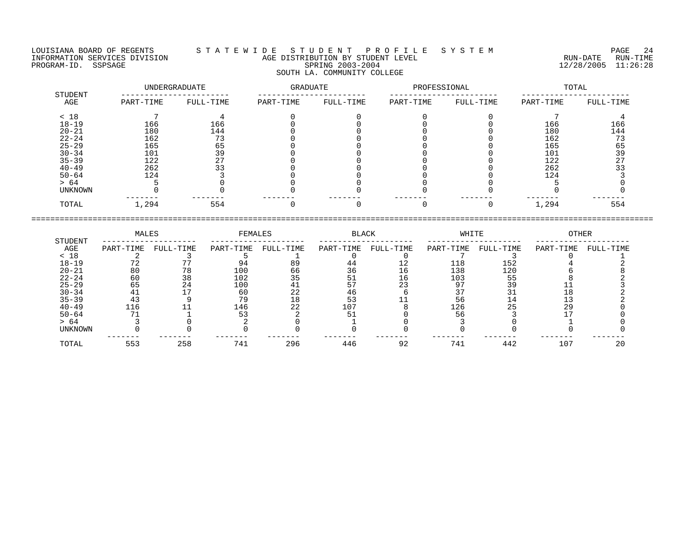LOUISIANA BOARD OF REGENTS S T A T E W I D E S T U D E N T P R O F I L E S Y S T E M PAGE 24 INFORMATION SERVICES DIVISION AGE DISTRIBUTION BY STUDENT LEVEL RUN-DATE RUN-TIME PAGE 24 EXTERNATION SERVICES DIVISION SAGE SERVICES AND PAGE CONTRIBUTION BY STUDENT LEVEL SERVICES DIVISION S<br>PROGRAM-ID. SSPSAGE RUN-TIME SPRING 2003-2004 SPRING 2003-2004 SPRING 2003-2004 SOUTH LA. COMMUNITY COLLEGE

 UNDERGRADUATE GRADUATE PROFESSIONAL TOTAL STUDENT ----------------------- ----------------------- ----------------------- -----------------------

| AGE       | PART-TIME | FULL-TIME | PART-TIME | FULL-TIME | PART-TIME | FULL-TIME | PART-TIME | FULL-TIME |
|-----------|-----------|-----------|-----------|-----------|-----------|-----------|-----------|-----------|
| < 18      |           |           |           |           |           |           |           |           |
| $18 - 19$ | 166       | 166       |           |           |           |           | 166       | 166       |
| $20 - 21$ | 180       | 144       |           |           |           |           | 180       | 144       |
| $22 - 24$ | 162       | 73        |           |           |           |           | 162       | ר ד       |
| $25 - 29$ | 165       | 65        |           |           |           |           | 165       |           |
| $30 - 34$ | 101       | 39        |           |           |           |           | 101       | 39        |
| $35 - 39$ | 122       | 27        |           |           |           |           | 122       | 27        |
| $40 - 49$ | 262       | 33        |           |           |           |           | 262       |           |
| $50 - 64$ | 124       |           |           |           |           |           | 124       |           |
| > 64      |           |           |           |           |           |           |           |           |
| UNKNOWN   |           |           |           |           |           |           |           |           |
| TOTAL     | 1,294     | 554       |           |           |           |           | 1,294     | 554       |
|           |           |           |           |           |           |           |           |           |

====================================================================================================================================

 MALES FEMALES BLACK WHITE OTHER STUDENT -------------------- -------------------- -------------------- -------------------- --------------------  $\begin{array}{cccccccccccc} \text{AGE} & \text{PART-TIME} & \text{FULL-TIME} & \text{FULL-TIME} & \text{FULL-TIME} & \text{FULL-TIME} & \text{FULL-TIME} & \text{FULL-TIME} & \text{FULL-TIME} & \text{FULL-TIME} & \text{FULL-TIME} & \text{FULL-TIME} & \text{FULL-TIME} & \text{FULL-TIME} & \text{FULL-TIME} & \text{FULL-TIME} & \text{FULL-TIME} & \text{FULL-TIME} & \text{FULL-TIME} & \text{FULL-TIME} & \text{FULL-TIME} & \text{FULL-TIME} & \text{FULL-TIME} & \text{FULL-TIME}$ < 18 2 3 5 1 0 0 7 3 0 1 18-19 72 77 94 89 44 12 118 152 4 2 20-21 80 78 100 66 36 16 138 120 6 8 22-24 60 38 102 35 51 16 103 55 8 2 25-29 65 24 100 41 57 23 97 39 11 3 30-34 41 17 60 22 46 6 37 31 18 2 35-39 43 9 79 18 53 11 56 14 13 2 40-49 116 11 146 22 107 8 126 25 29 0 50-64 71 1 53 2 51 0 56 3 17 0 > 64 3 0 2 0 1 0 3 0 1 0 UNKNOWN 0 0 0 0 0 0 0 0 0 0 ------- ------- ------- ------- ------- ------- ------- ------- ------- ------- TOTAL 553 258 741 296 446 92 741 442 107 20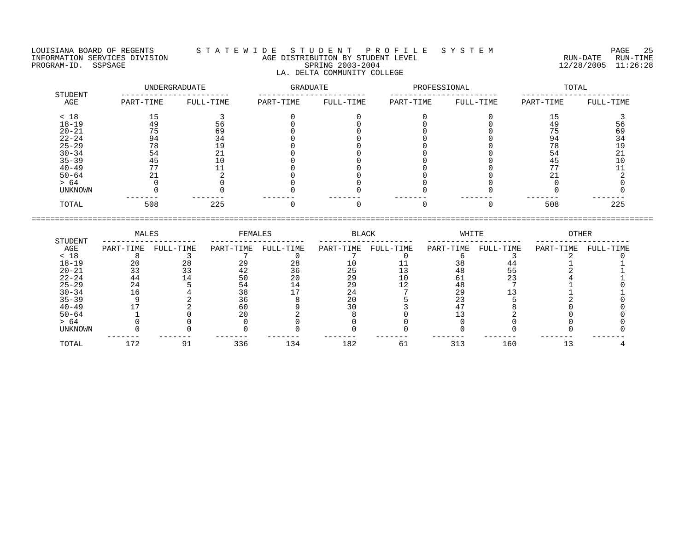LOUISIANA BOARD OF REGENTS S T A T E W I D E S T U D E N T P R O F I L E S Y S T E M PAGE 25 LA. DELTA COMMUNITY COLLEGE

## INFORMATION SERVICES DIVISION AGE DISTRIBUTION BY STUDENT LEVEL RUN-DATE RUN-TIME PROGRAM-ID. SSPSAGE SPRING 2003-2004 12/28/2005 11:26:28

 UNDERGRADUATE GRADUATE PROFESSIONAL TOTAL STUDENT ----------------------- ----------------------- ----------------------- ----------------------- AGE PART-TIME FULL-TIME PART-TIME FULL-TIME PART-TIME FULL-TIME PART-TIME FULL-TIME < 18 15 3 0 0 0 0 15 3 18-19 49 56 0 0 0 0 49 56 20-21 75 69 0 0 0 0 75 69 22-24 94 34 0 0 0 0 94 34 25-29 78 19 0 0 0 0 78 19 30-34 54 21 0 0 0 0 54 21 35-39 45 10 0 0 0 0 45 10 40-49 77 11 0 0 0 0 77 11 50-64 21 2 0 0 0 0 21 2 > 64 0 0 0 0 0 0 0 0 0 0 UNKNOWN 0 0 0 0 0 0 0 0  $\begin{array}{cccccccc} 15 & & 3 & & 0 & & 0 & & 0 & & 0 & & 15 & & 3 \\ 49 & & 56 & & & 0 & & & 0 & & 0 & & 0 & 49 & & 56 \\ 75 & & 69 & & & 0 & & 0 & & 0 & & 0 & & 49 & & 56 \\ 94 & & 69 & & & 0 & & 0 & & 0 & & 0 & & 75 & & 699 \\ 94 & & 19 & & & 0 & & 0 & & 0 & & 0 & & 78 & & 34 \\ 78 & & & 19 & & & 0 & & 0 & & 0 & & 0 & & 78 & &$ TOTAL 508 225 0 0 0 0 508 225

|                | MALES     |           | FEMALES   |           | BLACK     |           | WHITE     |           | <b>OTHER</b> |           |
|----------------|-----------|-----------|-----------|-----------|-----------|-----------|-----------|-----------|--------------|-----------|
| STUDENT<br>AGE | PART-TIME | FULL-TIME | PART-TIME | FULL-TIME | PART-TIME | FULL-TIME | PART-TIME | FULL-TIME | PART-TIME    | FULL-TIME |
| < 18           |           |           |           |           |           |           |           |           |              |           |
| $18 - 19$      |           |           | 29        | 28        |           |           |           |           |              |           |
| $20 - 21$      |           |           | 42        | 36        | 25        |           | 48        | 55        |              |           |
| $22 - 24$      | 44        |           | 50        | 20        | 29        |           | 6 l       |           |              |           |
| $25 - 29$      |           |           | 54        | 14        | 29        |           | 48        |           |              |           |
| $30 - 34$      |           |           | 38        |           | 24        |           | 29        |           |              |           |
| $35 - 39$      |           |           |           |           |           |           |           |           |              |           |
| $40 - 49$      |           |           | 60        |           |           |           |           |           |              |           |
| $50 - 64$      |           |           |           |           |           |           |           |           |              |           |
| > 64           |           |           |           |           |           |           |           |           |              |           |
| UNKNOWN        |           |           |           |           |           |           |           |           |              |           |
| TOTAL          | 172       |           | 336       | 134       | 182       | 6 1       | 313       | 160       |              |           |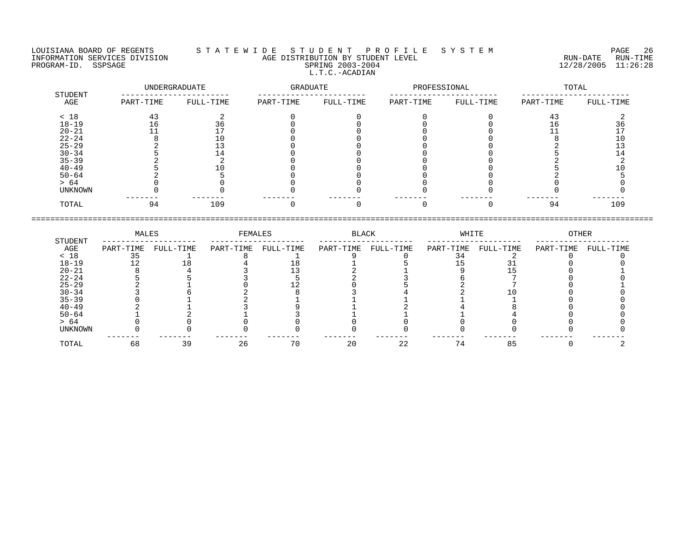LOUISIANA BOARD OF REGENTS S T A T E W I D E S T U D E N T P R O F I L E S Y S T E M PAGE 26 INFORMATION SERVICES DIVISION AGE DISTRIBUTION BY STUDENT LEVEL RUN-DATE RUN-TIME PROGRAM-ID. SSPSAGE SPRING 2003-2004 SPRING 2003-2004 2012 2012 12/28/2005 11:26:28 L.T.C.-ACADIAN

| STUDENT   |           | UNDERGRADUATE | GRADUATE  |           | PROFESSIONAL |           |           | TOTAL     |
|-----------|-----------|---------------|-----------|-----------|--------------|-----------|-----------|-----------|
| AGE       | PART-TIME | FULL-TIME     | PART-TIME | FULL-TIME | PART-TIME    | FULL-TIME | PART-TIME | FULL-TIME |
| < 18      | 43        |               |           |           |              |           | 43        |           |
| $18 - 19$ |           |               |           |           |              |           |           |           |
| $20 - 21$ |           |               |           |           |              |           |           |           |
| $22 - 24$ |           |               |           |           |              |           |           |           |
| $25 - 29$ |           |               |           |           |              |           |           |           |
| $30 - 34$ |           |               |           |           |              |           |           |           |
| $35 - 39$ |           |               |           |           |              |           |           |           |
| $40 - 49$ |           |               |           |           |              |           |           |           |
| $50 - 64$ |           |               |           |           |              |           |           |           |
| > 64      |           |               |           |           |              |           |           |           |
| UNKNOWN   |           |               |           |           |              |           |           |           |
| TOTAL     | 94        | 109           |           |           |              |           | 94        | 109       |

|                | MALES     |           | FEMALES   |           | BLACK     |           | WHITE     |           | OTHER     |           |
|----------------|-----------|-----------|-----------|-----------|-----------|-----------|-----------|-----------|-----------|-----------|
| STUDENT<br>AGE | PART-TIME | FULL-TIME | PART-TIME | FULL-TIME | PART-TIME | FULL-TIME | PART-TIME | FULL-TIME | PART-TIME | FULL-TIME |
| < 18           | 35        |           |           |           |           |           |           |           |           |           |
| $18 - 19$      |           |           |           |           |           |           |           |           |           |           |
| $20 - 21$      |           |           |           |           |           |           |           |           |           |           |
| $22 - 24$      |           |           |           |           |           |           |           |           |           |           |
| $25 - 29$      |           |           |           |           |           |           |           |           |           |           |
| $30 - 34$      |           |           |           |           |           |           |           |           |           |           |
| $35 - 39$      |           |           |           |           |           |           |           |           |           |           |
| $40 - 49$      |           |           |           |           |           |           |           |           |           |           |
| $50 - 64$      |           |           |           |           |           |           |           |           |           |           |
| > 64           |           |           |           |           |           |           |           |           |           |           |
| UNKNOWN        |           |           |           |           |           |           |           |           |           |           |
| TOTAL          | 68        | 39        | 26        | 70        | 20        | 22        |           | 85        |           |           |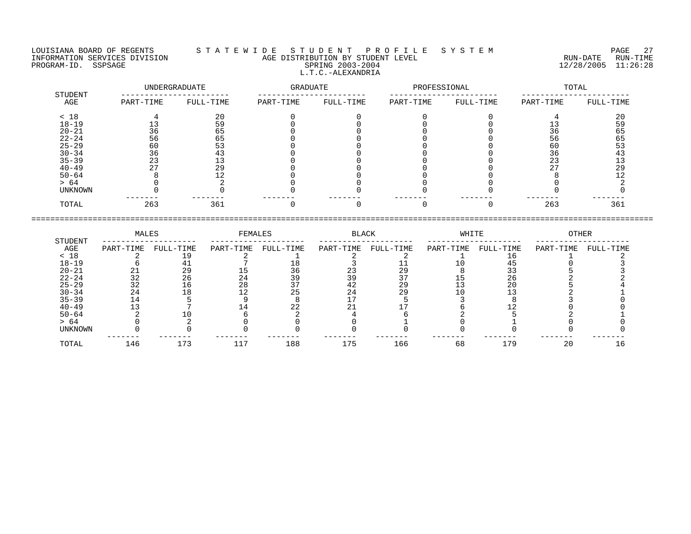LOUISIANA BOARD OF REGENTS S T A T E W I D E S T U D E N T P R O F I L E S Y S T E M PAGE 27 INFORMATION SERVICES DIVISION AGE DISTRIBUTION BY STUDENT LEVEL RUN-DATE RUN-TIME PROGRAM-ID. SSPSAGE SPRING 2003-2004 12/28/2005 11:26:28 L.T.C.-ALEXANDRIA

 UNDERGRADUATE GRADUATE PROFESSIONAL TOTAL STUDENT ----------------------- ----------------------- ----------------------- ----------------------- AGE PART-TIME FULL-TIME PART-TIME FULL-TIME PART-TIME FULL-TIME PART-TIME FULL-TIME  $< 18$  and  $4$  and  $20$  and  $0$  and  $0$  and  $0$  and  $0$  and  $4$  and  $20$ 18-19 13 59 0 0 0 0 13 59 20-21 36 65 0 0 0 0 36 65 22-24 56 65 0 0 0 0 56 65 25-29 60 53 0 0 0 0 60 53 30-34 36 43 0 0 0 0 36 43 35-39 23 13 0 0 0 0 23 13 40-49 27 29 0 0 0 0 27 29 50-64 8 12 0 0 0 0 8 12 > 64 0 2 0 0 0 0 0 2 UNKNOWN 0 0 0 0 0 0 0 0 ------- ------- ------- ------- ------- ------- ------- ------- TOTAL 263 361 0 0 0 0 263 361

 MALES FEMALES BLACK WHITE OTHER STUDENT -------------------- -------------------- -------------------- -------------------- --------------------  $\begin{array}{cccccccccccccc} \text{AGE} & \text{PART-TIME} & \text{FULL-TIME} & \text{PART-TIME} & \text{FULL-TIME} & \text{PART-TIME} & \text{PART-TIME} & \text{FULL-TIME} & \text{PART-TIME} & \text{PART-TIME} & \text{PART-TIME} & \text{PART-TIME} & \text{PART-TIME} & \text{PART-TIME} & \text{PART-TIME} & \text{PART-TIME} & \text{PART-TIME} & \text{PART-TIME} & \text{PART-TIME} & \text{PART-TIME} & \text{PART-TIME} & \text{PART-TIME} & \text{PART-TIME} & \text{PART-T$ < 18 2 19 2 1 2 2 1 16 1 2 18-19 6 41 7 18 3 11 10 45 0 3 20-21 21 29 15 36 23 29 8 33 5 3 22-24 32 26 24 39 39 37 15 26 2 2 25-29 32 16 28 37 42 29 13 20 5 4 30-34 24 18 12 25 24 29 10 13 2 1 35-39 14 5 9 8 17 5 3 8 3 0 40-49 13 7 14 22 21 17 6 12 0 0 50-64 2 10 6 2 4 6 2 5 2 1 > 64 0 2 0 0 0 1 0 1 0 0 UNKNOWN 0 0 0 0 0 0 0 0 0 0 ------- ------- ------- ------- ------- ------- ------- ------- ------- ------- TOTAL 146 173 117 188 175 166 68 179 20 16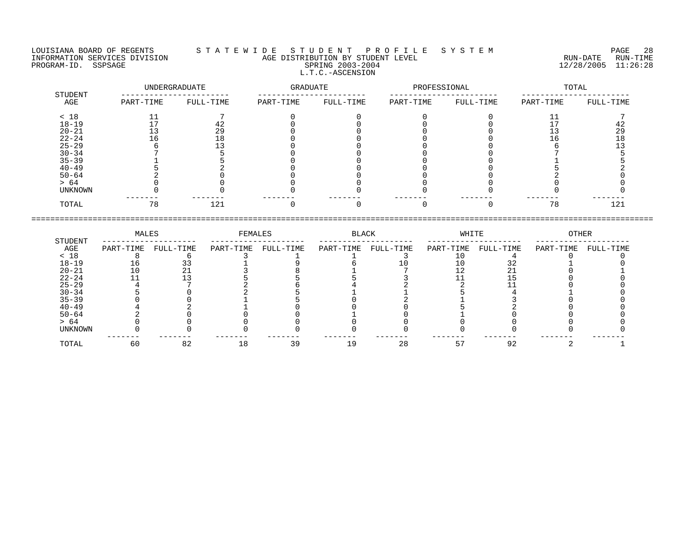## LOUISIANA BOARD OF REGENTS S T A T E W I D E S T U D E N T P R O F I L E S Y S T E M PAGE 28 INFORMATION SERVICES DIVISION AGE DISTRIBUTION BY STUDENT LEVEL RUN-DATE RUN-TIME PROGRAM-ID. SSPSAGE SPRING 2003-2004 SPRING 2003-2004 2012 2012 12/28/2005 11:26:28 L.T.C.-ASCENSION

|                |           | UNDERGRADUATE | GRADUATE  |           | PROFESSIONAL |           |           | TOTAL     |  |
|----------------|-----------|---------------|-----------|-----------|--------------|-----------|-----------|-----------|--|
| STUDENT<br>AGE | PART-TIME | FULL-TIME     | PART-TIME | FULL-TIME | PART-TIME    | FULL-TIME | PART-TIME | FULL-TIME |  |
| < 18           | ᆠᆠ        |               |           |           |              |           |           |           |  |
| $18 - 19$      |           | 42            |           |           |              |           |           | 42        |  |
| $20 - 21$      |           | 29            |           |           |              |           |           | 29        |  |
| $22 - 24$      | _ ხ       | 18            |           |           |              |           | ⊥b.       | 18        |  |
| $25 - 29$      |           |               |           |           |              |           |           |           |  |
| $30 - 34$      |           |               |           |           |              |           |           |           |  |
| $35 - 39$      |           |               |           |           |              |           |           |           |  |
| $40 - 49$      |           |               |           |           |              |           |           |           |  |
| $50 - 64$      |           |               |           |           |              |           |           |           |  |
| > 64           |           |               |           |           |              |           |           |           |  |
| UNKNOWN        |           |               |           |           |              |           |           |           |  |
| TOTAL          | 78        | 121           |           |           |              |           | 78        | 121       |  |

|           | MALES     |           | FEMALES   |           | BLACK     |           | WHITE     |           | OTHER     |           |
|-----------|-----------|-----------|-----------|-----------|-----------|-----------|-----------|-----------|-----------|-----------|
| STUDENT   |           |           |           |           |           |           |           |           |           |           |
| AGE       | PART-TIME | FULL-TIME | PART-TIME | FULL-TIME | PART-TIME | FULL-TIME | PART-TIME | FULL-TIME | PART-TIME | FULL-TIME |
| < 18      |           |           |           |           |           |           |           |           |           |           |
| $18 - 19$ | Tр        |           |           |           |           |           |           | 3 Z       |           |           |
| $20 - 21$ |           |           |           |           |           |           |           |           |           |           |
| $22 - 24$ |           |           |           |           |           |           |           |           |           |           |
| $25 - 29$ |           |           |           |           |           |           |           |           |           |           |
| $30 - 34$ |           |           |           |           |           |           |           |           |           |           |
| $35 - 39$ |           |           |           |           |           |           |           |           |           |           |
| $40 - 49$ |           |           |           |           |           |           |           |           |           |           |
| $50 - 64$ |           |           |           |           |           |           |           |           |           |           |
| > 64      |           |           |           |           |           |           |           |           |           |           |
| UNKNOWN   |           |           |           |           |           |           |           |           |           |           |
| TOTAL     | 60        | 82        | L 8       | 39        | 1 9       | 28        |           | 92        |           |           |
|           |           |           |           |           |           |           |           |           |           |           |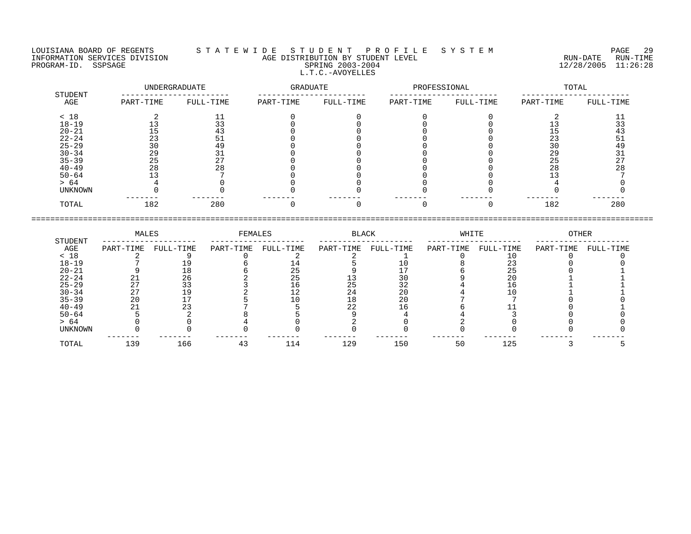ENDUISIANA BOARD OF REGENTS STATEWIDE STUDENT PROFILE SYSTEM PAGE 29<br>INFORMATION SERVICES DIVISION AGE DISTRIBUTION BY STUDENT LEVEL SYSTEM RUN-DATE RUN-TIME<br>PROGRAM-ID. SSPSAGE SPRING 2003-2004 SERING 2003-2004 12/28/2005 L.T.C.-AVOYELLES

| STUDENT        |           | UNDERGRADUATE | GRADUATE  |           | PROFESSIONAL |           |           | TOTAL     |
|----------------|-----------|---------------|-----------|-----------|--------------|-----------|-----------|-----------|
| AGE            | PART-TIME | FULL-TIME     | PART-TIME | FULL-TIME | PART-TIME    | FULL-TIME | PART-TIME | FULL-TIME |
| < 18           |           |               |           |           |              |           |           |           |
| $18 - 19$      |           |               |           |           |              |           |           | 33        |
| $20 - 21$      |           | 43            |           |           |              |           |           | 43        |
| $22 - 24$      | 23        |               |           |           |              |           | 23        | 51        |
| $25 - 29$      | 30        | 49            |           |           |              |           | 30        | 49        |
| $30 - 34$      | 29        | 31            |           |           |              |           | 29        | 31        |
| $35 - 39$      | 25        | 27            |           |           |              |           | 25        | 27        |
| $40 - 49$      | 28        | 28            |           |           |              |           | 28        | 28        |
| $50 - 64$      |           |               |           |           |              |           |           |           |
| > 64           |           |               |           |           |              |           |           |           |
| <b>UNKNOWN</b> |           |               |           |           |              |           |           |           |
| TOTAL          | 182       | 280           |           |           |              |           | 182       | 280       |
|                |           |               |           |           |              |           |           |           |

| LOUISIANA BOARD OF REGENTS    | STUDENT PROFILE SYSTEM<br>TATEWIDE     |           | PAGE     |
|-------------------------------|----------------------------------------|-----------|----------|
| INFORMATION SERVICES DIVISION | E DISTRIBUTION BY STUDENT LEVEL<br>AGE | RUN-DATE  | RUN-TIME |
| SSPSAGE<br>PROGRAM-TD.        | $2003 - 2004$<br>SPR TNG               | 2/28/2005 | 1:26:28  |

|                | MALES     |           | FEMALES   |           | BLACK     | WHITE     |           |           | OTHER     |           |
|----------------|-----------|-----------|-----------|-----------|-----------|-----------|-----------|-----------|-----------|-----------|
| STUDENT<br>AGE | PART-TIME | FULL-TIME | PART-TIME | FULL-TIME | PART-TIME | FULL-TIME | PART-TIME | FULL-TIME | PART-TIME | FULL-TIME |
| < 18           |           |           |           |           |           |           |           |           |           |           |
| $18 - 19$      |           |           |           |           |           |           |           | 23        |           |           |
| $20 - 21$      |           | 18        |           | 25        |           |           |           | 25        |           |           |
| $22 - 24$      | 21        | 26        |           | 25        | 13        | 30        |           | 20        |           |           |
| $25 - 29$      | 27        | 33        |           | 16        | 25        | 32        |           |           |           |           |
| $30 - 34$      | 27        | 19        |           |           | 24        | 20        |           |           |           |           |
| $35 - 39$      | 20        |           |           |           | 18        | 20        |           |           |           |           |
| $40 - 49$      | 21        | 23        |           |           | 22        |           |           |           |           |           |
| $50 - 64$      |           |           |           |           |           |           |           |           |           |           |
| > 64           |           |           |           |           |           |           |           |           |           |           |
| <b>UNKNOWN</b> |           |           |           |           |           |           |           |           |           |           |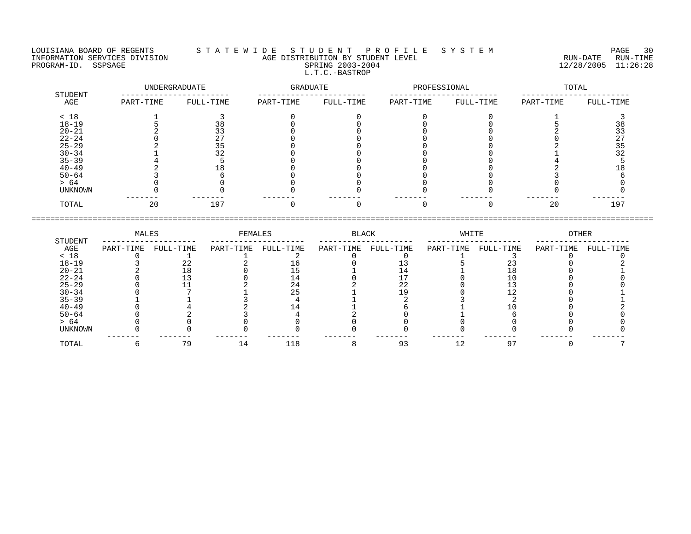## LOUISIANA BOARD OF REGENTS S T A T E W I D E S T U D E N T P R O F I L E S Y S T E M PAGE 30 INFORMATION SERVICES DIVISION AGE DISTRIBUTION BY STUDENT LEVEL RUN-DATE RUN-TIME NEORMATION SERVICES DIVISION CONSUMING THE MATE CONSUMING AGE DISTRIBUTION BY STUDENT LEVEL CONSUMING THE RUN-DATE RUN-TIME RUN-TIME<br>PROGRAM-ID. SSPSAGE SPRING 2003-2004 SPRING 2003-2004 2003-2004 L.T.C.-BASTROP

|                | UNDERGRADUATE |           | GRADUATE  |           | PROFESSIONAL |           |           | TOTAL     |  |
|----------------|---------------|-----------|-----------|-----------|--------------|-----------|-----------|-----------|--|
| STUDENT<br>AGE | PART-TIME     | FULL-TIME | PART-TIME | FULL-TIME | PART-TIME    | FULL-TIME | PART-TIME | FULL-TIME |  |
| < 18           |               |           |           |           |              |           |           |           |  |
| $18 - 19$      |               | 38        |           |           |              |           |           | 38        |  |
| $20 - 21$      |               | 33        |           |           |              |           |           | 33        |  |
| $22 - 24$      |               | 27        |           |           |              |           |           | 27        |  |
| $25 - 29$      |               | 35        |           |           |              |           |           | 35        |  |
| $30 - 34$      |               | 32        |           |           |              |           |           | 32        |  |
| $35 - 39$      |               |           |           |           |              |           |           |           |  |
| $40 - 49$      |               |           |           |           |              |           |           |           |  |
| $50 - 64$      |               |           |           |           |              |           |           |           |  |
| > 64           |               |           |           |           |              |           |           |           |  |
| UNKNOWN        |               |           |           |           |              |           |           |           |  |
| TOTAL          | 20            | 197       |           |           |              |           | 20        | 197       |  |

|           | MALES     |           | FEMALES   |           | BLACK     |           | WHITE     |           | OTHER     |           |
|-----------|-----------|-----------|-----------|-----------|-----------|-----------|-----------|-----------|-----------|-----------|
| STUDENT   |           |           |           |           |           |           |           |           |           |           |
| AGE       | PART-TIME | FULL-TIME | PART-TIME | FULL-TIME | PART-TIME | FULL-TIME | PART-TIME | FULL-TIME | PART-TIME | FULL-TIME |
| < 18      |           |           |           |           |           |           |           |           |           |           |
| $18 - 19$ |           |           |           |           |           |           |           |           |           |           |
| $20 - 21$ |           |           |           |           |           |           |           |           |           |           |
| $22 - 24$ |           |           |           |           |           |           |           |           |           |           |
| $25 - 29$ |           |           |           | 24        |           | 22        |           |           |           |           |
| $30 - 34$ |           |           |           | 25        |           |           |           |           |           |           |
| $35 - 39$ |           |           |           |           |           |           |           |           |           |           |
| $40 - 49$ |           |           |           |           |           |           |           |           |           |           |
| $50 - 64$ |           |           |           |           |           |           |           |           |           |           |
| > 64      |           |           |           |           |           |           |           |           |           |           |
| UNKNOWN   |           |           |           |           |           |           |           |           |           |           |
|           |           | 79        |           |           |           |           |           |           |           |           |
| TOTAL     |           |           | 14        | 118       |           | 93        |           |           |           |           |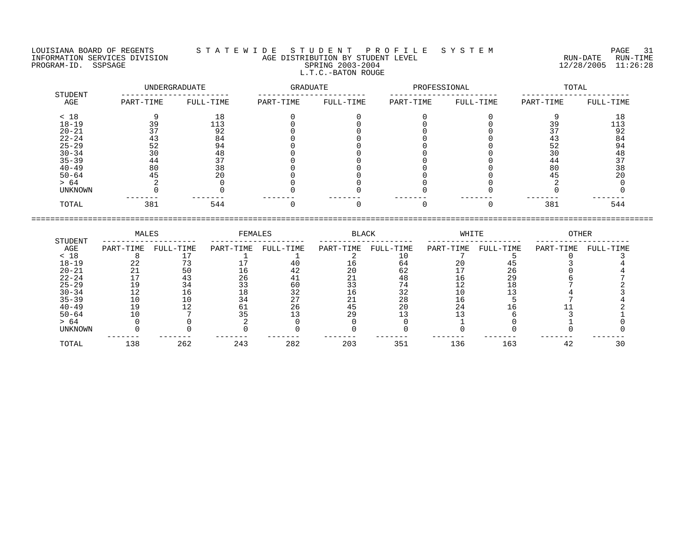LOUISIANA BOARD OF REGENTS S T A T E W I D E S T U D E N T P R O F I L E S Y S T E M PAGE 31 INFORMATION SERVICES DIVISION AGE DISTRIBUTION BY STUDENT LEVEL RUN-DATE RUN-TIME PROGRAM-ID. SSPSAGE SPRING 2003-2004 12/28/2005 11:26:28 L.T.C.-BATON ROUGE

|                |           | UNDERGRADUATE | <b>GRADUATE</b> |           | PROFESSIONAL |           | TOTAL     |           |  |
|----------------|-----------|---------------|-----------------|-----------|--------------|-----------|-----------|-----------|--|
| STUDENT<br>AGE | PART-TIME | FULL-TIME     | PART-TIME       | FULL-TIME | PART-TIME    | FULL-TIME | PART-TIME | FULL-TIME |  |
| < 18           |           | 18            |                 |           |              |           |           | 18        |  |
| $18 - 19$      | 39        | 113           |                 |           |              |           |           | 113       |  |
| $20 - 21$      |           | 92            |                 |           |              |           |           | 92        |  |
| $22 - 24$      | 43        | 84            |                 |           |              |           | 43        | 84        |  |
| $25 - 29$      | 52        | 94            |                 |           |              |           | 52        | 94        |  |
| $30 - 34$      | 30        | 48            |                 |           |              |           | 30        | 48        |  |
| $35 - 39$      | 44        | 37            |                 |           |              |           | 44        | 37        |  |
| $40 - 49$      | 80        | 38            |                 |           |              |           | 80        | 38        |  |
| $50 - 64$      | 45        | 20            |                 |           |              |           | 45        | 20        |  |
| > 64           |           |               |                 |           |              |           |           |           |  |
| <b>UNKNOWN</b> |           |               |                 |           |              |           |           |           |  |
| TOTAL          | 381       | 544           |                 |           |              |           | 381       | 544       |  |

|                | MALES     |           | FEMALES   |           | <b>BLACK</b> |           | WHITE     |           | <b>OTHER</b> |           |
|----------------|-----------|-----------|-----------|-----------|--------------|-----------|-----------|-----------|--------------|-----------|
| STUDENT<br>AGE | PART-TIME | FULL-TIME | PART-TIME | FULL-TIME | PART-TIME    | FULL-TIME | PART-TIME | FULL-TIME | PART-TIME    | FULL-TIME |
| < 18           |           |           |           |           |              |           |           |           |              |           |
| $18 - 19$      | 22        |           |           |           | Tр           | 64        | 20        |           |              |           |
| $20 - 21$      |           | 50        | 16        | 42        | 20           | 62        |           | 26        |              |           |
| $22 - 24$      |           | 43        | 26        |           | 21           | 48        | 16        | 29        |              |           |
| $25 - 29$      | 19        | 34        | 33        | 60        | 33           | 74        | 12        |           |              |           |
| $30 - 34$      | 12        | 16        | 18        | 32        | 16           | 32        | 10        |           |              |           |
| $35 - 39$      | 10        | 10        | 34        | っヮ<br>47  | 21           | 28        | 16        |           |              |           |
| $40 - 49$      | 19        | ຳ         | 61        | 26        | 45           | 20        | 24        |           |              |           |
| $50 - 64$      | 10        |           |           |           | 29           |           |           |           |              |           |
| > 64           |           |           |           |           |              |           |           |           |              |           |
| UNKNOWN        |           |           |           |           |              |           |           |           |              |           |
| TOTAL          | 138       | 262       | 243       | 282       | 203          | 351       | 136       | 163       | 42           |           |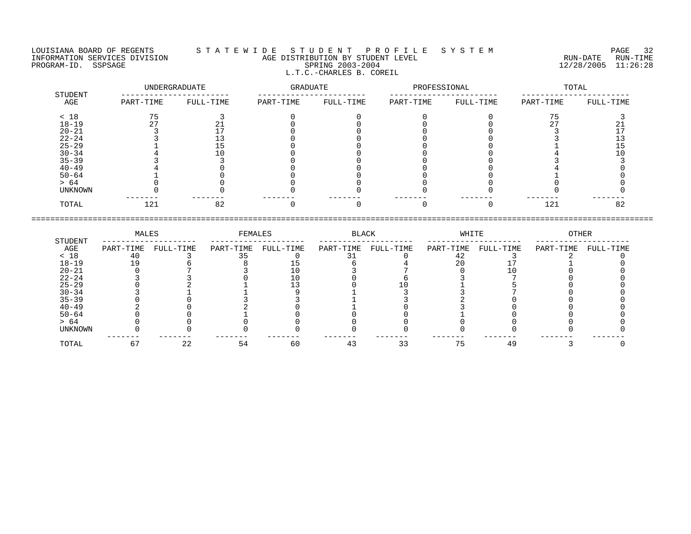L.T.C.-CHARLES B. COREIL

LOUISIANA BOARD OF REGENTS S T A T E W I D E S T U D E N T P R O F I L E S Y S T E M PAGE 32 INFORMATION SERVICES DIVISION AGE DISTRIBUTION BY STUDENT LEVEL RUN-DATE RUN-TIME ENGENIER SERVICES DIVISION CONTROLLER TO AGE DISTRIBUTION BY STUDENT LEVEL CONTROLLER TO THE RUN-DATE RUN-TIME<br>PROGRAM-ID. SSPSAGE SPRING 2003-2004 SPRING 2003-2004

| STUDENT        |           | UNDERGRADUATE | GRADUATE  |           | PROFESSIONAL |           | TOTAL     |           |  |
|----------------|-----------|---------------|-----------|-----------|--------------|-----------|-----------|-----------|--|
| AGE            | PART-TIME | FULL-TIME     | PART-TIME | FULL-TIME | PART-TIME    | FULL-TIME | PART-TIME | FULL-TIME |  |
| < 18           |           |               |           |           |              |           |           |           |  |
| $18 - 19$      |           |               |           |           |              |           |           |           |  |
| $20 - 21$      |           |               |           |           |              |           |           |           |  |
| $22 - 24$      |           |               |           |           |              |           |           |           |  |
| $25 - 29$      |           |               |           |           |              |           |           |           |  |
| $30 - 34$      |           |               |           |           |              |           |           |           |  |
| $35 - 39$      |           |               |           |           |              |           |           |           |  |
| $40 - 49$      |           |               |           |           |              |           |           |           |  |
| $50 - 64$      |           |               |           |           |              |           |           |           |  |
| > 64           |           |               |           |           |              |           |           |           |  |
| <b>UNKNOWN</b> |           |               |           |           |              |           |           |           |  |
| TOTAL          | 121       | 82            |           |           |              |           | 121       | 82        |  |

|                | MALES     |           | FEMALES   |           | BLACK     |           | WHITE     |           | OTHER     |           |
|----------------|-----------|-----------|-----------|-----------|-----------|-----------|-----------|-----------|-----------|-----------|
| STUDENT<br>AGE | PART-TIME | FULL-TIME | PART-TIME | FULL-TIME | PART-TIME | FULL-TIME | PART-TIME | FULL-TIME | PART-TIME | FULL-TIME |
| < 18           |           |           |           |           |           |           |           |           |           |           |
| $18 - 19$      |           |           |           |           |           |           | 20        |           |           |           |
| $20 - 21$      |           |           |           |           |           |           |           |           |           |           |
| $22 - 24$      |           |           |           |           |           |           |           |           |           |           |
| $25 - 29$      |           |           |           |           |           |           |           |           |           |           |
| $30 - 34$      |           |           |           |           |           |           |           |           |           |           |
| $35 - 39$      |           |           |           |           |           |           |           |           |           |           |
| $40 - 49$      |           |           |           |           |           |           |           |           |           |           |
| $50 - 64$      |           |           |           |           |           |           |           |           |           |           |
| > 64           |           |           |           |           |           |           |           |           |           |           |
| UNKNOWN        |           |           |           |           |           |           |           |           |           |           |
| TOTAL          |           | 22        | 54        | 60        | 4 :       |           |           | 49        |           |           |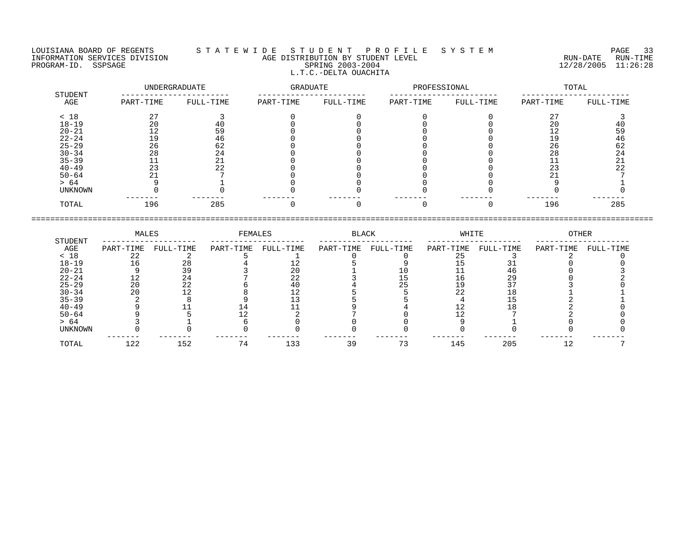## LOUISIANA BOARD OF REGENTS S T A T E W I D E S T U D E N T P R O F I L E S Y S T E M PAGE 33 INFORMATION SERVICES DIVISION AGE DISTRIBUTION BY STUDENT LEVEL RUN-DATE RUN-TIME PROGRAM-ID. SSPSAGE SPRING 2003-2004 SPRING 2003-2004 2012 2012 12/28/2005 11:26:28 L.T.C.-DELTA OUACHITA

|                | UNDERGRADUATE |           | GRADUATE  |           | PROFESSIONAL |           | TOTAL     |           |  |
|----------------|---------------|-----------|-----------|-----------|--------------|-----------|-----------|-----------|--|
| STUDENT<br>AGE | PART-TIME     | FULL-TIME | PART-TIME | FULL-TIME | PART-TIME    | FULL-TIME | PART-TIME | FULL-TIME |  |
| < 18           | 27            |           |           |           |              |           | 27        |           |  |
| $18 - 19$      | 20            | 40        |           |           |              |           | 20        | 40        |  |
| $20 - 21$      | 12            | 59        |           |           |              |           | 12        | 59        |  |
| $22 - 24$      | 19            | 46        |           |           |              |           | 19        | 46        |  |
| $25 - 29$      | 26            | 62        |           |           |              |           | 26        | 62        |  |
| $30 - 34$      | 28            | 24        |           |           |              |           | 28        | 24        |  |
| $35 - 39$      | ᆠᅶ            | 21        |           |           |              |           |           | 21        |  |
| $40 - 49$      | 23            | 22        |           |           |              |           | 23        | 22        |  |
| $50 - 64$      | 21            |           |           |           |              |           |           |           |  |
| > 64           |               |           |           |           |              |           |           |           |  |
| UNKNOWN        |               |           |           |           |              |           |           |           |  |
| TOTAL          | 196           | 285       |           |           |              |           | 196       | 285       |  |

|           | MALES     |           | FEMALES   |           | BLACK     |           | WHITE     |           | OTHER     |           |
|-----------|-----------|-----------|-----------|-----------|-----------|-----------|-----------|-----------|-----------|-----------|
| STUDENT   |           |           |           |           |           |           |           |           |           |           |
| AGE       | PART-TIME | FULL-TIME | PART-TIME | FULL-TIME | PART-TIME | FULL-TIME | PART-TIME | FULL-TIME | PART-TIME | FULL-TIME |
| < 18      |           |           |           |           |           |           |           |           |           |           |
| $18 - 19$ | 16        | 28        |           |           |           |           |           |           |           |           |
| $20 - 21$ |           |           |           |           |           |           |           |           |           |           |
| $22 - 24$ | 12        | 24        |           | 22        |           |           |           | 29        |           |           |
| $25 - 29$ | 20        | 22        |           |           |           | つに        |           | ר ר       |           |           |
| $30 - 34$ | 20        |           |           |           |           |           | 22        |           |           |           |
| $35 - 39$ |           |           |           |           |           |           |           |           |           |           |
| $40 - 49$ |           |           |           |           |           |           |           |           |           |           |
| $50 - 64$ |           |           |           |           |           |           |           |           |           |           |
| > 64      |           |           |           |           |           |           |           |           |           |           |
| UNKNOWN   |           |           |           |           |           |           |           |           |           |           |
| TOTAL     | 122       | 152       |           | 133       | 39        | 73        | 145       | 205       |           |           |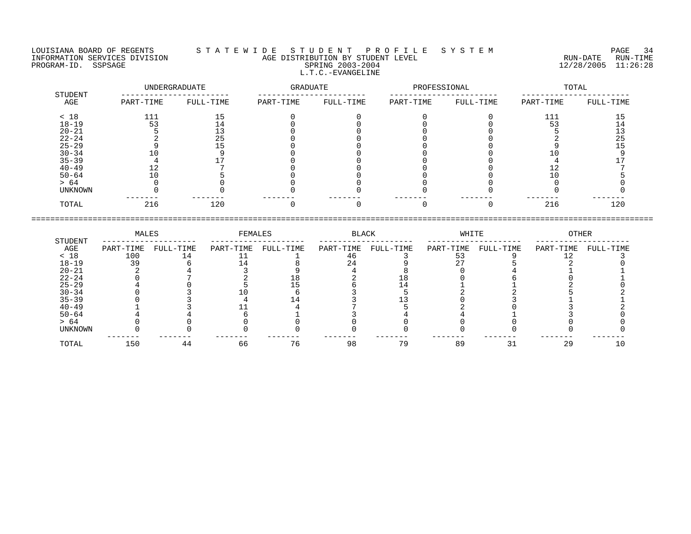LOUISIANA BOARD OF REGENTS S T A T E W I D E S T U D E N T P R O F I L E S Y S T E M PAGE 34 L.T.C.-EVANGELINE

## INFORMATION SERVICES DIVISION AGE DISTRIBUTION BY STUDENT LEVEL RUN-DATE RUN-TIME PROGRAM-ID. SERVICES DIVISION CONTROL AGE DISTRIBUTION BY STUDENT LEVEL CONTROLLER TO THE RUN-DATE RUN-TIME TO<br>PROGRAM-ID. SSPSAGE SPRING 2003-2004 SPRING 2003-2004 2003-2004 12/28/2005 11:26:28

| STUDENT   |           | UNDERGRADUATE | GRADUATE  |           | PROFESSIONAL |           | TOTAL     |           |  |
|-----------|-----------|---------------|-----------|-----------|--------------|-----------|-----------|-----------|--|
| AGE       | PART-TIME | FULL-TIME     | PART-TIME | FULL-TIME | PART-TIME    | FULL-TIME | PART-TIME | FULL-TIME |  |
| < 18      | 111       |               |           |           |              |           | 111       |           |  |
| $18 - 19$ | 53        |               |           |           |              |           |           |           |  |
| $20 - 21$ |           |               |           |           |              |           |           |           |  |
| $22 - 24$ |           | 25            |           |           |              |           |           | 25        |  |
| $25 - 29$ |           |               |           |           |              |           |           |           |  |
| $30 - 34$ |           |               |           |           |              |           |           |           |  |
| $35 - 39$ |           |               |           |           |              |           |           |           |  |
| $40 - 49$ |           |               |           |           |              |           |           |           |  |
| $50 - 64$ |           |               |           |           |              |           |           |           |  |
| > 64      |           |               |           |           |              |           |           |           |  |
| UNKNOWN   |           |               |           |           |              |           |           |           |  |
| TOTAL     | 216       | 120           |           |           |              |           | 216       | 120       |  |

|                 |           | MALES     |           | FEMALES   |           | BLACK     |           | WHITE     | OTHER     |           |
|-----------------|-----------|-----------|-----------|-----------|-----------|-----------|-----------|-----------|-----------|-----------|
| STUDENT<br>AGE  | PART-TIME | FULL-TIME | PART-TIME | FULL-TIME | PART-TIME | FULL-TIME | PART-TIME | FULL-TIME | PART-TIME | FULL-TIME |
| < 18            | 100       | 14        |           |           |           |           |           |           |           |           |
| $18 - 19$       | 39        |           |           |           | 24        |           |           |           |           |           |
| $20 - 21$       |           |           |           |           |           |           |           |           |           |           |
| $22 - 24$       |           |           |           |           |           |           |           |           |           |           |
| $25 - 29$       |           |           |           |           |           |           |           |           |           |           |
| $30 - 34$       |           |           |           |           |           |           |           |           |           |           |
| $35 - 39$       |           |           |           |           |           |           |           |           |           |           |
| $40 - 49$       |           |           |           |           |           |           |           |           |           |           |
| $50 - 64$       |           |           |           |           |           |           |           |           |           |           |
| > 64<br>UNKNOWN |           |           |           |           |           |           |           |           |           |           |
|                 |           |           |           |           |           |           |           |           |           |           |
| TOTAL           | 150       | 44        | 66        | 76        | 98        | 79        | 89        |           | 29        |           |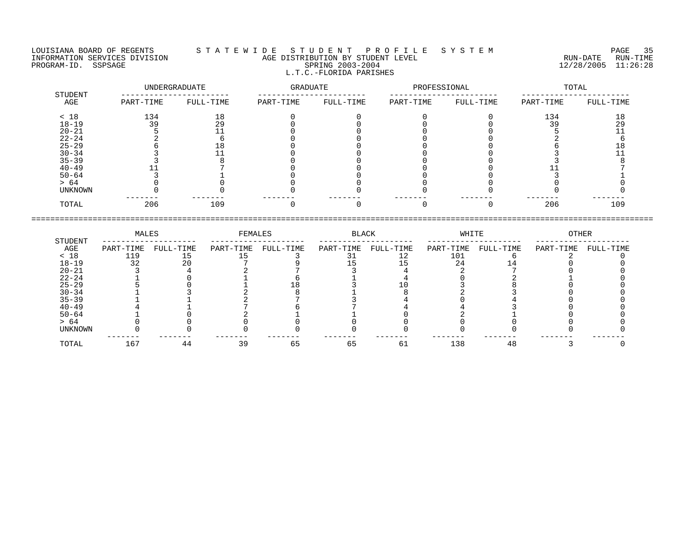LOUISIANA BOARD OF REGENTS S T A T E W I D E S T U D E N T P R O F I L E S Y S T E M PAGE 35 L.T.C.-FLORIDA PARISHES

INFORMATION SERVICES DIVISION AGE DISTRIBUTION BY STUDENT LEVEL RUN-DATE RUN-TIME PROGRAM-ID. SSPSAGE SPRING 2003-2004 12/28/2005 11:26:28

 UNDERGRADUATE GRADUATE PROFESSIONAL TOTAL STUDENT ----------------------- ----------------------- ----------------------- ----------------------- AGE PART-TIME FULL-TIME PART-TIME FULL-TIME PART-TIME FULL-TIME PART-TIME FULL-TIME < 18 134 18 0 0 0 0 134 18 18-19 39 29 0 0 0 0 39 29 20-21 5 11 0 0 0 0 5 11 22-24 2 6 0 0 0 0 2 6 25-29 6 18 0 0 0 0 6 18 30-34 3 11 0 0 0 0 3 11 35-39 3 8 0 0 0 0 3 8 40-49 11 7 0 0 0 0 11 7 50-64 3 1 0 0 0 0 3 1 > 64 0 0 0 0 0 0 0 0 0 0 UNKNOWN 0 0 0 0 0 0 0 0 ------- ------- ------- ------- ------- ------- ------- ------- TOTAL 206 109 0 0 0 0 206 109

====================================================================================================================================

 MALES FEMALES BLACK WHITE OTHER STUDENT -------------------- -------------------- -------------------- -------------------- -------------------- AGE PART-TIME FULL-TIME PART-TIME FULL-TIME PART-TIME FULL-TIME PART-TIME FULL-TIME PART-TIME FULL-TIME < 18 119 15 15 3 31 12 101 6 2 0 18-19 32 20 7 9 15 15 24 14 0 0 20-21 3 4 2 7 3 4 2 7 0 0 22-24 1 0 1 6 1 4 0 2 1 0 25-29 5 0 1 18 3 10 3 8 0 0 30-34 1 3 2 8 1 8 2 3 0 0 35-39 1 1 2 7 3 4 0 4 0 0 40-49 4 1 7 6 7 4 4 3 0 0 50-64 1 0 2 1 1 0 2 1 0 0 > 64 0 0 0 0 0 0 0 0 0 0 UNKNOWN 0 0 0 0 0 0 0 0 0 0 ------- ------- ------- ------- ------- ------- ------- ------- ------- ------- TOTAL 167 44 39 65 65 61 138 48 3 0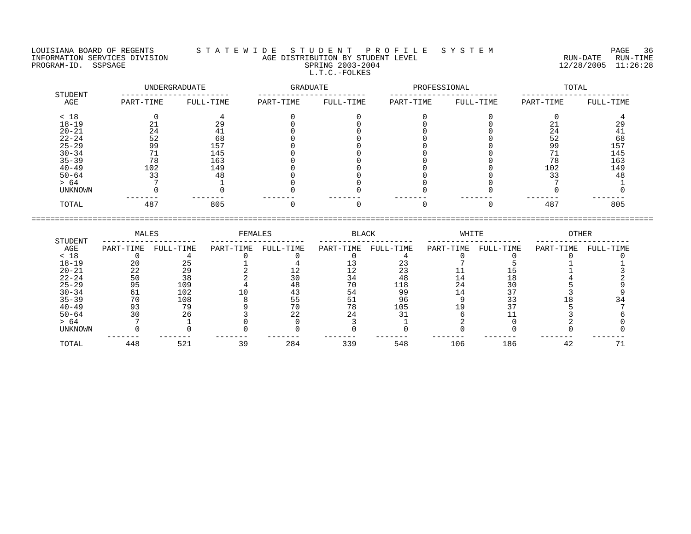LOUISIANA BOARD OF REGENTS S T A T E W I D E S T U D E N T P R O F I L E S Y S T E M PAGE 36 INFORMATION SERVICES DIVISION AGE DISTRIBUTION BY STUDENT LEVEL RUN-DATE RUN-TIME NEORMATION SERVICES DIVISION CONTRACT TO AGE DISTRIBUTION BY STUDENT LEVEL CONTRACTION SERVICES DIVISION CONTRA<br>PROGRAM-ID. SSPSAGE SPRING 2003-2004 SPRING 2003-2004 2003-2004 2003-2004 L.T.C.-FOLKES

| STUDENT        |           | UNDERGRADUATE | GRADUATE  |           | PROFESSIONAL |           | TOTAL     |           |  |
|----------------|-----------|---------------|-----------|-----------|--------------|-----------|-----------|-----------|--|
| AGE            | PART-TIME | FULL-TIME     | PART-TIME | FULL-TIME | PART-TIME    | FULL-TIME | PART-TIME | FULL-TIME |  |
| < 18           |           |               |           |           |              |           |           |           |  |
| $18 - 19$      |           |               |           |           |              |           |           | 29        |  |
| $20 - 21$      | 24        |               |           |           |              |           | 24        |           |  |
| $22 - 24$      | 52        | 68            |           |           |              |           | 52        | 68        |  |
| $25 - 29$      | 99        | 157           |           |           |              |           | 99        | 157       |  |
| $30 - 34$      |           | 145           |           |           |              |           |           | 145       |  |
| $35 - 39$      | 78        | 163           |           |           |              |           |           | 163       |  |
| $40 - 49$      | 102       | 149           |           |           |              |           | 102       | 149       |  |
| $50 - 64$      | 33        | 48            |           |           |              |           |           | 48        |  |
| > 64           |           |               |           |           |              |           |           |           |  |
| <b>UNKNOWN</b> |           |               |           |           |              |           |           |           |  |
| TOTAL          | 487       | 805           |           |           |              |           | 487       | 805       |  |

|                | MALES     |           | FEMALES   |           | <b>BLACK</b> |           | WHITE     |           | OTHER     |           |
|----------------|-----------|-----------|-----------|-----------|--------------|-----------|-----------|-----------|-----------|-----------|
| STUDENT<br>AGE | PART-TIME | FULL-TIME | PART-TIME | FULL-TIME | PART-TIME    | FULL-TIME | PART-TIME | FULL-TIME | PART-TIME | FULL-TIME |
| < 18           |           |           |           |           |              |           |           |           |           |           |
| $18 - 19$      | 20        |           |           |           |              |           |           |           |           |           |
| $20 - 21$      | 22        | 29        |           |           |              |           |           |           |           |           |
| $22 - 24$      | 50        | 38        |           |           |              | 48        |           |           |           |           |
| $25 - 29$      | 95        | 109       |           |           |              | 118       | 24        | 30        |           |           |
| $30 - 34$      |           | 102       |           |           |              | 99        |           |           |           |           |
| $35 - 39$      | 70        | 108       |           | 55        |              | 96        |           |           |           |           |
| $40 - 49$      |           | 70        |           | 70        | 78           | 105       |           |           |           |           |
| $50 - 64$      |           | 26        |           |           |              |           |           |           |           |           |
| > 64           |           |           |           |           |              |           |           |           |           |           |
| UNKNOWN        |           |           |           |           |              |           |           |           |           |           |
| TOTAL          | 448       | 521       | 39        | 284       | 339          | 548       | 106       | 186       | 42        |           |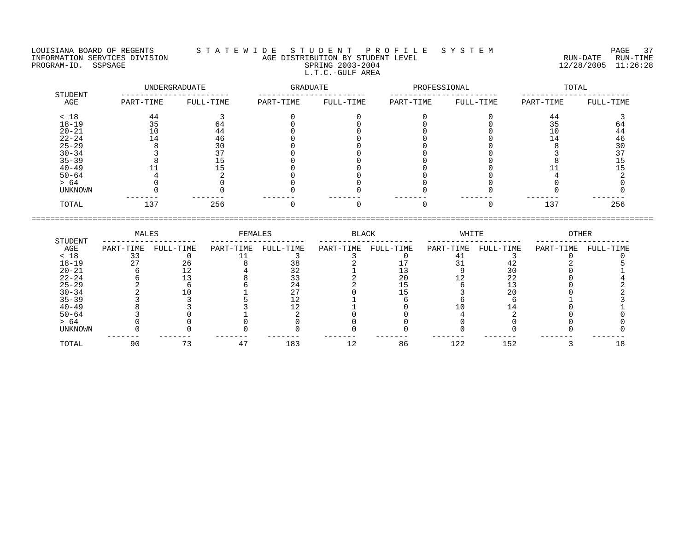LOUISIANA BOARD OF REGENTS S T A T E W I D E S T U D E N T P R O F I L E S Y S T E M PAGE 37 INFORMATION SERVICES DIVISION AGE DISTRIBUTION BY STUDENT LEVEL RUN-DATE RUN-TIME PROGRAM-ID. SSPSAGE SPRING 2003-2004 12/28/2005 11:26:28 L.T.C.-GULF AREA

------- ------- ------- ------- ------- ------- ------- -------

 UNDERGRADUATE GRADUATE PROFESSIONAL TOTAL STUDENT ----------------------- ----------------------- ----------------------- -----------------------  $\begin{array}{cccccccccccc} \text{AGE} & \text{PART-TIME} & \text{FULL-TIME} & \text{PART-TIME} & \text{FULL-TIME} & \text{PRLT-TIME} & \text{FULL-TIME} & \text{FULL-TIME} & \text{FULL-TIME} & \text{FULL-TIME} & \text{FULL-TIME} & \text{FULL-TIME} & \text{FULL-TIME} & \text{FULL-TIME} & \text{FULL-TIME} & \text{FULL-TIME} & \text{FULL-TIME} & \text{FULL-TIME} & \text{FULL-TIME} & \text{FULL-TIME} & \text{FULL-TIME} & \text{FULL-TIME} & \text{FULL-TIME} & \text{F$  $< 18$  and  $44$  and  $3$  different contracts to the contract of  $44$  and  $3$ 18-19 35 64 0 0 0 0 35 64 20-21 10 44 0 0 0 0 10 44 22-24 14 46 0 0 0 0 14 46 25-29 8 30 0 0 0 0 8 30 30-34 3 37 0 0 0 0 3 37 35-39 8 15 0 0 0 0 8 15 40-49 11 15 0 0 0 0 11 15 50-64 4 2 0 0 0 0 4 2 > 64 0 0 0 0 0 0 0 0 0 0 UNKNOWN 0 0 0 0 0 0 0 0

==================================================================================================================================== MALES FEMALES BLACK WHITE OTHER STUDENT -------------------- -------------------- -------------------- -------------------- -------------------- AGE PART-TIME FULL-TIME PART-TIME FULL-TIME PART-TIME FULL-TIME PART-TIME FULL-TIME PART-TIME FULL-TIME x 18 33 0 11 3 3 0 41 3 0 0

| $18 - 19$      | $\cap$    | 26 |                | 38                   |              |    | 21  |               |     |
|----------------|-----------|----|----------------|----------------------|--------------|----|-----|---------------|-----|
| $20 - 21$      |           |    |                | $\sim$ $\sim$<br>ے ر |              |    |     | 30            |     |
| $22 - 24$      |           |    |                | ر ر                  |              | 20 |     | $\cap$<br>2 Z |     |
| $25 - 29$      |           |    |                | 24                   |              |    |     |               |     |
| $30 - 34$      |           |    |                | $\sim$               |              |    |     | 20            |     |
| $35 - 39$      |           |    |                |                      |              |    |     |               |     |
| $40 - 49$      |           |    |                |                      |              |    |     |               |     |
| $50 - 64$      |           |    |                |                      |              |    |     |               |     |
| > 64           |           |    |                |                      |              |    |     |               |     |
| <b>UNKNOWN</b> |           |    |                |                      |              |    |     |               |     |
| TOTAL          | --<br>n n |    | $\overline{ }$ | 183                  | $\sim$<br>ᅩᄼ | 86 | 122 | 152           | l 8 |

TOTAL 137 256 0 0 0 0 137 256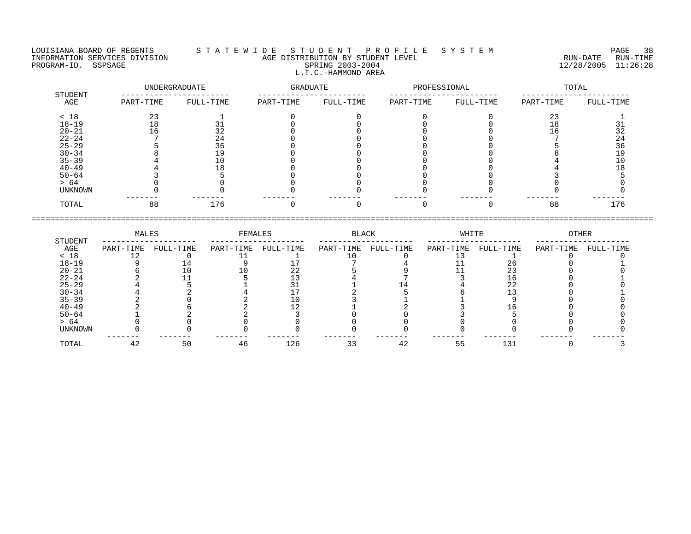#### LOUISIANA BOARD OF REGENTS S T A T E W I D E S T U D E N T P R O F I L E S Y S T E M PAGE 38 INFORMATION SERVICES DIVISION AGE DISTRIBUTION BY STUDENT LEVEL RUN-DATE RUN-TIME PROGRAM-ID. SSPSAGE SPRING 2003-2004 12/28/2005 11:26:28 L.T.C.-HAMMOND AREA

|                |           | UNDERGRADUATE | GRADUATE  |           | PROFESSIONAL |           |           | TOTAL     |
|----------------|-----------|---------------|-----------|-----------|--------------|-----------|-----------|-----------|
| STUDENT<br>AGE | PART-TIME | FULL-TIME     | PART-TIME | FULL-TIME | PART-TIME    | FULL-TIME | PART-TIME | FULL-TIME |
| < 18           | 23        |               |           |           |              |           | 23        |           |
| $18 - 19$      | 18        | 31            |           |           |              |           | 18        |           |
| $20 - 21$      | 16        | 32            |           |           |              |           | 16        | 32        |
| $22 - 24$      |           | 24            |           |           |              |           |           | 24        |
| $25 - 29$      |           | 36            |           |           |              |           |           | 36        |
| $30 - 34$      |           | 19            |           |           |              |           |           | 19        |
| $35 - 39$      |           | 10            |           |           |              |           |           |           |
| $40 - 49$      |           | LÕ            |           |           |              |           |           |           |
| $50 - 64$      |           |               |           |           |              |           |           |           |
| > 64           |           |               |           |           |              |           |           |           |
| UNKNOWN        |           |               |           |           |              |           |           |           |
| TOTAL          | 88        | 176           |           |           |              |           | 88        | 176       |

|           | MALES     |           | FEMALES   |           | BLACK     |           | WHITE     |           | OTHER     |           |
|-----------|-----------|-----------|-----------|-----------|-----------|-----------|-----------|-----------|-----------|-----------|
| STUDENT   |           |           |           |           |           |           |           |           |           |           |
| AGE       | PART-TIME | FULL-TIME | PART-TIME | FULL-TIME | PART-TIME | FULL-TIME | PART-TIME | FULL-TIME | PART-TIME | FULL-TIME |
| < 18      |           |           |           |           |           |           |           |           |           |           |
| $18 - 19$ |           |           |           |           |           |           |           | 26        |           |           |
| $20 - 21$ |           |           |           | 22        |           |           |           |           |           |           |
| $22 - 24$ |           |           |           |           |           |           |           |           |           |           |
| $25 - 29$ |           |           |           |           |           |           |           | 22        |           |           |
| $30 - 34$ |           |           |           |           |           |           |           |           |           |           |
| $35 - 39$ |           |           |           |           |           |           |           |           |           |           |
| $40 - 49$ |           |           |           |           |           |           |           |           |           |           |
| $50 - 64$ |           |           |           |           |           |           |           |           |           |           |
| > 64      |           |           |           |           |           |           |           |           |           |           |
| UNKNOWN   |           |           |           |           |           |           |           |           |           |           |
| TOTAL     | 42        | 50        | 46        | 126       |           | 42        | 55        | 131       |           |           |
|           |           |           |           |           |           |           |           |           |           |           |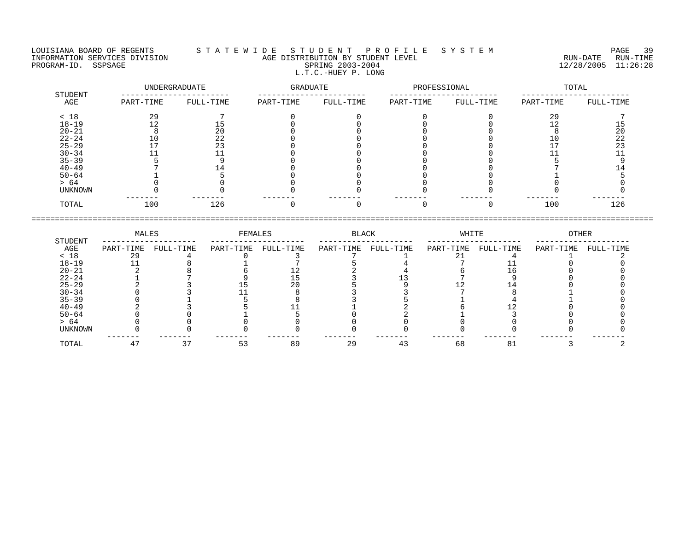### LOUISIANA BOARD OF REGENTS S T A T E W I D E S T U D E N T P R O F I L E S Y S T E M PAGE 39 INFORMATION SERVICES DIVISION AGE DISTRIBUTION BY STUDENT LEVEL RUN-DATE RUN-TIME NEORMATION SERVICES DIVISION CONSUMING THE MATE CONSUMING AGE DISTRIBUTION BY STUDENT LEVEL CONSUMING THE RUN-DATE RUN-TIME RUN-TIME<br>PROGRAM-ID. SSPSAGE SPRING 2003-2004 SPRING 2003-2004 2003-2004 L.T.C.-HUEY P. LONG

|                |           | UNDERGRADUATE |           | GRADUATE  |           | PROFESSIONAL |           | TOTAL     |  |
|----------------|-----------|---------------|-----------|-----------|-----------|--------------|-----------|-----------|--|
| STUDENT<br>AGE | PART-TIME | FULL-TIME     | PART-TIME | FULL-TIME | PART-TIME | FULL-TIME    | PART-TIME | FULL-TIME |  |
| < 18           | 29        |               |           |           |           |              | 29        |           |  |
| $18 - 19$      | 12        | ל ⊥           |           |           |           |              | າ າ<br>⊥∠ | 15        |  |
| $20 - 21$      | ö         | 20            |           |           |           |              |           | 20        |  |
| $22 - 24$      | 10        | 22            |           |           |           |              | 10        | 22        |  |
| $25 - 29$      |           | 23            |           |           |           |              |           | 23        |  |
| $30 - 34$      |           |               |           |           |           |              |           |           |  |
| $35 - 39$      |           |               |           |           |           |              |           |           |  |
| $40 - 49$      |           |               |           |           |           |              |           |           |  |
| $50 - 64$      |           |               |           |           |           |              |           |           |  |
| > 64           |           |               |           |           |           |              |           |           |  |
| UNKNOWN        |           |               |           |           |           |              |           |           |  |
| TOTAL          | 100       | 126           |           |           |           |              | 100       | 126       |  |

|           | MALES     |           | FEMALES   |           | BLACK     |           | WHITE     |           | OTHER     |           |
|-----------|-----------|-----------|-----------|-----------|-----------|-----------|-----------|-----------|-----------|-----------|
| STUDENT   |           |           |           |           |           |           |           |           |           |           |
| AGE       | PART-TIME | FULL-TIME | PART-TIME | FULL-TIME | PART-TIME | FULL-TIME | PART-TIME | FULL-TIME | PART-TIME | FULL-TIME |
| < 18      | 29        |           |           |           |           |           |           |           |           |           |
| $18 - 19$ |           |           |           |           |           |           |           |           |           |           |
| $20 - 21$ |           |           |           |           |           |           |           |           |           |           |
| $22 - 24$ |           |           |           |           |           |           |           |           |           |           |
| $25 - 29$ |           |           |           |           |           |           |           |           |           |           |
| $30 - 34$ |           |           |           |           |           |           |           |           |           |           |
| $35 - 39$ |           |           |           |           |           |           |           |           |           |           |
| $40 - 49$ |           |           |           |           |           |           |           |           |           |           |
| $50 - 64$ |           |           |           |           |           |           |           |           |           |           |
| > 64      |           |           |           |           |           |           |           |           |           |           |
| UNKNOWN   |           |           |           |           |           |           |           |           |           |           |
| TOTAL     |           |           | 53        | 89        | 29        | 43        | 68        | 81        |           |           |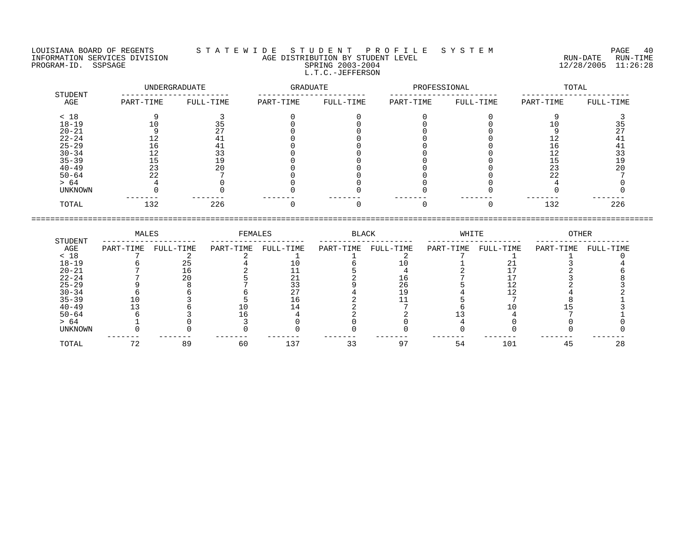#### LOUISIANA BOARD OF REGENTS S T A T E W I D E S T U D E N T P R O F I L E S Y S T E M PAGE 40 INFORMATION SERVICES DIVISION AGE DISTRIBUTION BY STUDENT LEVEL RUN-DATE RUN-TIME PROGRAM-ID. SSPSAGE SPRING 2003-2004 SPRING 2003-2004 2012 2012 12/28/2005 11:26:28 L.T.C.-JEFFERSON

|                |           | UNDERGRADUATE | GRADUATE  |           | PROFESSIONAL |           |           | TOTAL     |
|----------------|-----------|---------------|-----------|-----------|--------------|-----------|-----------|-----------|
| STUDENT<br>AGE | PART-TIME | FULL-TIME     | PART-TIME | FULL-TIME | PART-TIME    | FULL-TIME | PART-TIME | FULL-TIME |
| < 18           |           |               |           |           |              |           |           |           |
| $18 - 19$      | 10        | 35            |           |           |              |           | 10        | 35        |
| $20 - 21$      |           | 27            |           |           |              |           |           | 27        |
| $22 - 24$      | 12        | 41            |           |           |              |           | 12        | 41        |
| $25 - 29$      | 16        | 41            |           |           |              |           | 16        | 41        |
| $30 - 34$      | 12        | 33            |           |           |              |           | 12        | 33        |
| $35 - 39$      | 15        | 19            |           |           |              |           | 15        | 19        |
| $40 - 49$      | 23        | 20            |           |           |              |           | 23        | 20        |
| $50 - 64$      | 22        |               |           |           |              |           | 22        |           |
| > 64           |           |               |           |           |              |           |           |           |
| UNKNOWN        |           |               |           |           |              |           |           |           |
| TOTAL          | 132       | 226           |           |           |              |           | 132       | 226       |

|           | MALES     |           | FEMALES   |           | BLACK     |           | WHITE     |           | OTHER     |           |
|-----------|-----------|-----------|-----------|-----------|-----------|-----------|-----------|-----------|-----------|-----------|
| STUDENT   |           |           |           |           |           |           |           |           |           |           |
| AGE       | PART-TIME | FULL-TIME | PART-TIME | FULL-TIME | PART-TIME | FULL-TIME | PART-TIME | FULL-TIME | PART-TIME | FULL-TIME |
| < 18      |           |           |           |           |           |           |           |           |           |           |
| $18 - 19$ |           |           |           |           |           |           |           |           |           |           |
| $20 - 21$ |           |           |           |           |           |           |           |           |           |           |
| $22 - 24$ |           | 20        |           |           |           |           |           |           |           |           |
| $25 - 29$ |           |           |           |           |           | 26        |           |           |           |           |
| $30 - 34$ |           |           |           |           |           |           |           |           |           |           |
| $35 - 39$ |           |           |           | ⊥6        |           |           |           |           |           |           |
| $40 - 49$ |           |           |           |           |           |           |           |           |           |           |
| $50 - 64$ |           |           |           |           |           |           |           |           |           |           |
| > 64      |           |           |           |           |           |           |           |           |           |           |
| UNKNOWN   |           |           |           |           |           |           |           |           |           |           |
| TOTAL     |           | 89        | 60        | 137       |           |           | 54        | 101       | 45        | 28        |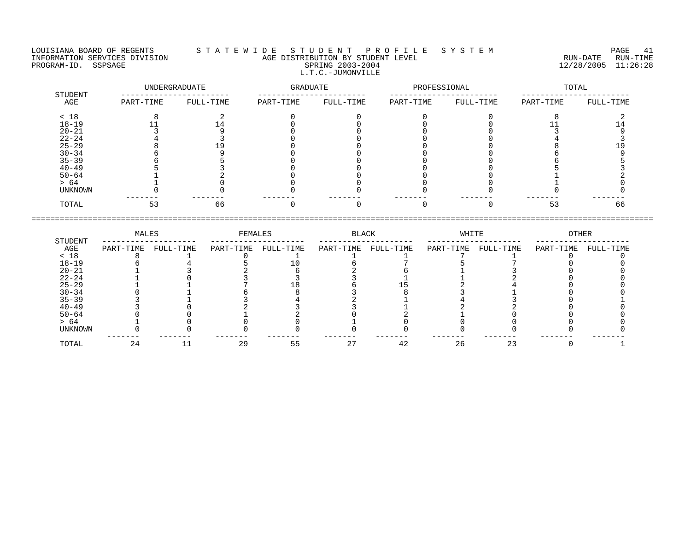LOUISIANA BOARD OF REGENTS S T A T E W I D E S T U D E N T P R O F I L E S Y S T E M PAGE 41 INFORMATION SERVICES DIVISION AGE DISTRIBUTION BY STUDENT LEVEL RUN-DATE RUN-TIME PROGRAM-ID. SSPSAGE SPRING 2003-2004 SPRING 2003-2004 2012 2012 12/28/2005 11:26:28 L.T.C.-JUMONVILLE

| STUDENT        |           | UNDERGRADUATE | GRADUATE  |           | PROFESSIONAL |           |           | TOTAL     |
|----------------|-----------|---------------|-----------|-----------|--------------|-----------|-----------|-----------|
| AGE            | PART-TIME | FULL-TIME     | PART-TIME | FULL-TIME | PART-TIME    | FULL-TIME | PART-TIME | FULL-TIME |
| < 18           |           |               |           |           |              |           |           |           |
| $18 - 19$      |           |               |           |           |              |           |           |           |
| $20 - 21$      |           |               |           |           |              |           |           |           |
| $22 - 24$      |           |               |           |           |              |           |           |           |
| $25 - 29$      |           |               |           |           |              |           |           |           |
| $30 - 34$      |           |               |           |           |              |           |           |           |
| $35 - 39$      |           |               |           |           |              |           |           |           |
| $40 - 49$      |           |               |           |           |              |           |           |           |
| $50 - 64$      |           |               |           |           |              |           |           |           |
| > 64           |           |               |           |           |              |           |           |           |
| <b>UNKNOWN</b> |           |               |           |           |              |           |           |           |
| TOTAL          |           | 66            |           |           |              |           | 53        | 66        |

|                | MALES     |           | FEMALES   |           | BLACK     |           | WHITE     |           | OTHER     |           |
|----------------|-----------|-----------|-----------|-----------|-----------|-----------|-----------|-----------|-----------|-----------|
| STUDENT<br>AGE | PART-TIME | FULL-TIME | PART-TIME | FULL-TIME | PART-TIME | FULL-TIME | PART-TIME | FULL-TIME | PART-TIME | FULL-TIME |
| < 18           |           |           |           |           |           |           |           |           |           |           |
| $18 - 19$      |           |           |           |           |           |           |           |           |           |           |
| $20 - 21$      |           |           |           |           |           |           |           |           |           |           |
| $22 - 24$      |           |           |           |           |           |           |           |           |           |           |
| $25 - 29$      |           |           |           |           |           |           |           |           |           |           |
| $30 - 34$      |           |           |           |           |           |           |           |           |           |           |
| $35 - 39$      |           |           |           |           |           |           |           |           |           |           |
| $40 - 49$      |           |           |           |           |           |           |           |           |           |           |
| $50 - 64$      |           |           |           |           |           |           |           |           |           |           |
| > 64           |           |           |           |           |           |           |           |           |           |           |
| <b>UNKNOWN</b> |           |           |           |           |           |           |           |           |           |           |
| TOTAL          | 24        |           | 29        | 55        | 27        | 42        | 26        | 23        |           |           |

====================================================================================================================================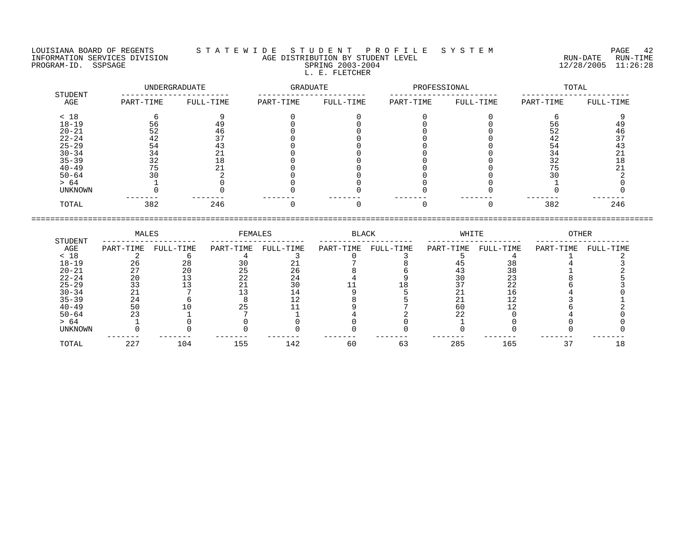LOUISIANA BOARD OF REGENTS S T A T E W I D E S T U D E N T P R O F I L E S Y S T E M PAGE 42 INFORMATION SERVICES DIVISION AGE DISTRIBUTION BY STUDENT LEVEL RUN-DATE RUN-TIME PROGRAM-ID. SSPSAGE SPRING 2003-2004 12/28/2005 11:26:28 L. E. FLETCHER

# UNDERGRADUATE GRADUATE PROFESSIONAL TOTAL STUDENT ----------------------- ----------------------- ----------------------- ----------------------- AGE PART-TIME FULL-TIME PART-TIME FULL-TIME PART-TIME FULL-TIME PART-TIME FULL-TIME < 18 6 9 0 0 0 0 6 9 18-19 56 49 0 0 0 0 56 49 20-21 52 46 0 0 0 0 52 46 22-24 42 37 0 0 0 0 42 37 25-29 54 43 0 0 0 0 54 43 30-34 34 21 0 0 0 0 34 21 35-39 32 18 0 0 0 0 32 18 40-49 75 21 0 0 0 0 75 21 50-64 30 2 0 0 0 0 30 2 > 64 1 0 0 0 0 0 1 0 UNKNOWN 0 0 0 0 0 0 0 0 ------- ------- ------- ------- ------- ------- ------- ------- TOTAL 382 246 0 0 0 0 382 246 ====================================================================================================================================

|           | MALES     |           | FEMALES   |           | <b>BLACK</b> |           | WHITE     |           | OTHER     |           |
|-----------|-----------|-----------|-----------|-----------|--------------|-----------|-----------|-----------|-----------|-----------|
| STUDENT   |           |           |           |           |              |           |           |           |           |           |
| AGE       | PART-TIME | FULL-TIME | PART-TIME | FULL-TIME | PART-TIME    | FULL-TIME | PART-TIME | FULL-TIME | PART-TIME | FULL-TIME |
| < 18      |           |           |           |           |              |           |           |           |           |           |
| $18 - 19$ | 26        | 28        | 30        |           |              |           | 45        |           |           |           |
| $20 - 21$ | 27        | 20        | 25        | 26        |              |           | 43        | 38        |           |           |
| $22 - 24$ | 20        |           | 22        | 24        |              |           | 30        | 23        |           |           |
| $25 - 29$ | 33        |           |           | 30        |              |           |           | 22        |           |           |
| $30 - 34$ | 21        |           |           |           |              |           | 21        |           |           |           |
| $35 - 39$ | 24        |           |           |           |              |           | 21        |           |           |           |
| $40 - 49$ | 50        |           | 25        |           |              |           | 60        |           |           |           |
| $50 - 64$ | 23        |           |           |           |              |           | 22        |           |           |           |
| > 64      |           |           |           |           |              |           |           |           |           |           |
| UNKNOWN   |           |           |           |           |              |           |           |           |           |           |
|           |           |           |           |           |              |           |           |           |           |           |
| TOTAL     | 227       | 104       | 155       | 142       | 60           | 63        | 285       | 165       |           |           |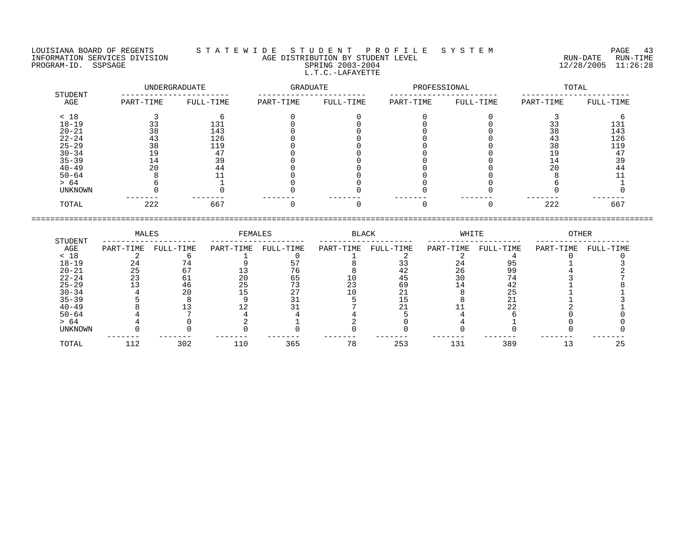LOUISIANA BOARD OF REGENTS S T A T E W I D E S T U D E N T P R O F I L E S Y S T E M PAGE 43 INFORMATION SERVICES DIVISION AGE DISTRIBUTION BY STUDENT LEVEL RUN-DATE RUN-TIME PROGRAM-ID. SSPSAGE SPRING 2003-2004 12/28/2005 11:26:28 L.T.C.-LAFAYETTE

|                |           | UNDERGRADUATE | GRADUATE  |           | PROFESSIONAL |           |           | TOTAL     |
|----------------|-----------|---------------|-----------|-----------|--------------|-----------|-----------|-----------|
| STUDENT<br>AGE | PART-TIME | FULL-TIME     | PART-TIME | FULL-TIME | PART-TIME    | FULL-TIME | PART-TIME | FULL-TIME |
| < 18           |           |               |           |           |              |           |           |           |
| $18 - 19$      |           | 131           |           |           |              |           |           | 131       |
| $20 - 21$      | 38        | 143           |           |           |              |           | 38        | 143       |
| $22 - 24$      |           | 126           |           |           |              |           |           | 126       |
| $25 - 29$      | 38        | 119           |           |           |              |           | 38        | 119       |
| $30 - 34$      | l 9       |               |           |           |              |           | ' 9       | 47        |
| $35 - 39$      | L 4       | 39            |           |           |              |           | -4        | 39        |
| $40 - 49$      | 20        | 44            |           |           |              |           |           | 44        |
| $50 - 64$      |           |               |           |           |              |           |           |           |
| > 64           |           |               |           |           |              |           |           |           |
| UNKNOWN        |           |               |           |           |              |           |           |           |
| TOTAL          | 222       | 667           |           |           |              |           | 222       | 667       |

====================================================================================================================================

 MALES FEMALES BLACK WHITE OTHER STUDENT -------------------- -------------------- -------------------- -------------------- -------------------- AGE PART-TIME FULL-TIME PART-TIME FULL-TIME PART-TIME FULL-TIME PART-TIME FULL-TIME PART-TIME FULL-TIME  $< 18$  2 6 1 0 1 2 2 4 0 0 18-19 24 74 9 57 8 33 24 95 1 3 20-21 25 67 13 76 8 42 26 99 4 2 22-24 23 61 20 65 10 45 30 74 3 7 25-29 13 46 25 73 23 69 14 42 1 8 30-34 4 20 15 27 10 21 8 25 1 1 35-39 5 8 9 31 5 15 8 21 1 3 40-49 8 13 12 31 7 21 11 22 2 1 50-64 4 7 4 4 4 5 4 6 0 0 > 64 4 0 2 1 2 0 4 1 0 0 UNKNOWN 0 0 0 0 0 0 0 0 0 0 ------- ------- ------- ------- ------- ------- ------- ------- ------- ------- TOTAL 112 302 110 365 78 253 131 389 13 25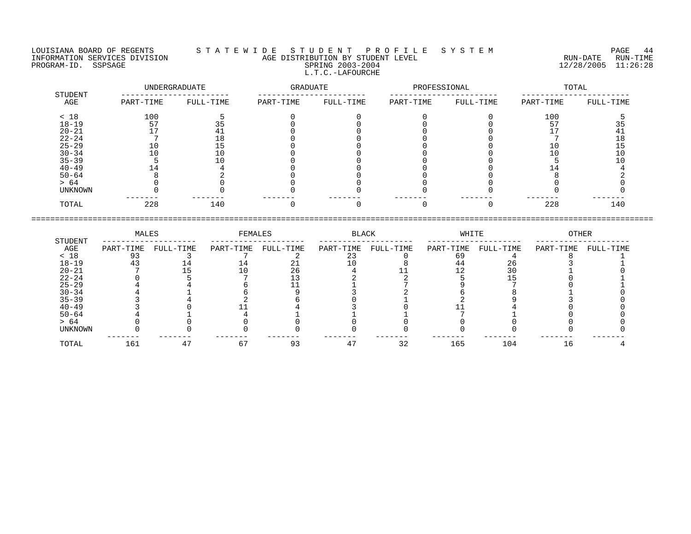#### LOUISIANA BOARD OF REGENTS S T A T E W I D E S T U D E N T P R O F I L E S Y S T E M PAGE 44 INFORMATION SERVICES DIVISION AGE DISTRIBUTION BY STUDENT LEVEL RUN-DATE RUN-TIME PROGRAM-ID. SSPSAGE SPRING 2003-2004 SPRING 2003-2004 2012 2012 12/28/2005 11:26:28 L.T.C.-LAFOURCHE

|                |           | UNDERGRADUATE | GRADUATE  |           | PROFESSIONAL |           |           | TOTAL     |
|----------------|-----------|---------------|-----------|-----------|--------------|-----------|-----------|-----------|
| STUDENT<br>AGE | PART-TIME | FULL-TIME     | PART-TIME | FULL-TIME | PART-TIME    | FULL-TIME | PART-TIME | FULL-TIME |
| < 18           | 100       |               |           |           |              |           | 100       |           |
| $18 - 19$      | 57        | 35            |           |           |              |           | -57       | 35        |
| $20 - 21$      | 17        | 41            |           |           |              |           |           | 41        |
| $22 - 24$      |           | 18            |           |           |              |           |           | 18        |
| $25 - 29$      | 10        | 15            |           |           |              |           | 10        | 15        |
| $30 - 34$      | 10        | 10            |           |           |              |           |           | 10        |
| $35 - 39$      |           | 10            |           |           |              |           |           |           |
| $40 - 49$      | 14        |               |           |           |              |           |           |           |
| $50 - 64$      |           |               |           |           |              |           |           |           |
| > 64           |           |               |           |           |              |           |           |           |
| UNKNOWN        |           |               |           |           |              |           |           |           |
| TOTAL          | 228       | 140           |           |           | <sup>n</sup> |           | 228       | 140       |

|           | MALES     |           | FEMALES   |           | BLACK     |           | WHITE     |           | OTHER     |           |
|-----------|-----------|-----------|-----------|-----------|-----------|-----------|-----------|-----------|-----------|-----------|
| STUDENT   |           |           |           |           |           |           |           |           |           |           |
| AGE       | PART-TIME | FULL-TIME | PART-TIME | FULL-TIME | PART-TIME | FULL-TIME | PART-TIME | FULL-TIME | PART-TIME | FULL-TIME |
| < 18      |           |           |           |           |           |           | 69        |           |           |           |
| $18 - 19$ |           |           |           |           |           |           | 44        | 26        |           |           |
| $20 - 21$ |           |           |           | 26        |           |           |           |           |           |           |
| $22 - 24$ |           |           |           |           |           |           |           |           |           |           |
| $25 - 29$ |           |           |           |           |           |           |           |           |           |           |
| $30 - 34$ |           |           |           |           |           |           |           |           |           |           |
| $35 - 39$ |           |           |           |           |           |           |           |           |           |           |
| $40 - 49$ |           |           |           |           |           |           |           |           |           |           |
| $50 - 64$ |           |           |           |           |           |           |           |           |           |           |
| > 64      |           |           |           |           |           |           |           |           |           |           |
| UNKNOWN   |           |           |           |           |           |           |           |           |           |           |
| TOTAL     | 161       |           |           | 93        |           | 32        | 165       | 104       | 16        |           |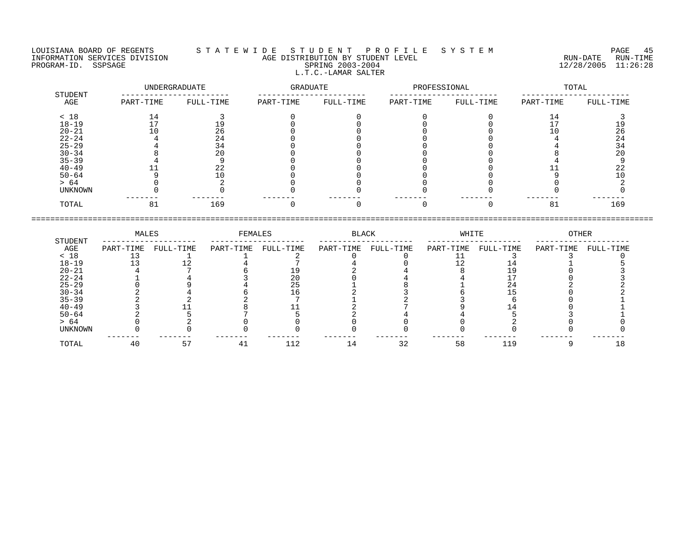LOUISIANA BOARD OF REGENTS S T A T E W I D E S T U D E N T P R O F I L E S Y S T E M PAGE 45 INFORMATION SERVICES DIVISION AGE DISTRIBUTION BY STUDENT LEVEL RUN-DATE RUN-TIME NEORMATION SERVICES DIVISION CONSUMING THE CONSUMING AGE DISTRIBUTION BY STUDENT LEVEL CONSUMING THE RUN-DATE RUN<br>PROGRAM-ID. SSPSAGE SPRING 2003-2004 SPRING 2003-2004 2003-2004 2003-2004 L.T.C.-LAMAR SALTER

| STUDENT        |           | UNDERGRADUATE | GRADUATE  |           | PROFESSIONAL |           |           | TOTAL     |
|----------------|-----------|---------------|-----------|-----------|--------------|-----------|-----------|-----------|
| AGE            | PART-TIME | FULL-TIME     | PART-TIME | FULL-TIME | PART-TIME    | FULL-TIME | PART-TIME | FULL-TIME |
| < 18           | 14        |               |           |           |              |           | 14        |           |
| $18 - 19$      |           |               |           |           |              |           |           |           |
| $20 - 21$      |           | 26            |           |           |              |           |           | 26        |
| $22 - 24$      |           | 24            |           |           |              |           |           | 24        |
| $25 - 29$      |           | 34            |           |           |              |           |           | 34        |
| $30 - 34$      |           | 20            |           |           |              |           |           | 20        |
| $35 - 39$      |           |               |           |           |              |           |           |           |
| $40 - 49$      |           | 22            |           |           |              |           |           | 22        |
| $50 - 64$      |           |               |           |           |              |           |           | 10        |
| > 64           |           |               |           |           |              |           |           |           |
| <b>UNKNOWN</b> |           |               |           |           |              |           |           |           |
| TOTAL          |           | 169           |           |           |              |           | 81        | 169       |

|           | MALES     |           | FEMALES   |           | BLACK     |           | WHITE     |           | <b>OTHER</b> |           |
|-----------|-----------|-----------|-----------|-----------|-----------|-----------|-----------|-----------|--------------|-----------|
| STUDENT   |           |           |           |           |           |           |           |           |              |           |
| AGE       | PART-TIME | FULL-TIME | PART-TIME | FULL-TIME | PART-TIME | FULL-TIME | PART-TIME | FULL-TIME | PART-TIME    | FULL-TIME |
| < 18      |           |           |           |           |           |           |           |           |              |           |
| $18 - 19$ |           |           |           |           |           |           |           |           |              |           |
| $20 - 21$ |           |           |           |           |           |           |           |           |              |           |
| $22 - 24$ |           |           |           |           |           |           |           |           |              |           |
| $25 - 29$ |           |           |           |           |           |           |           |           |              |           |
| $30 - 34$ |           |           |           |           |           |           |           |           |              |           |
| $35 - 39$ |           |           |           |           |           |           |           |           |              |           |
| $40 - 49$ |           |           |           |           |           |           |           |           |              |           |
| $50 - 64$ |           |           |           |           |           |           |           |           |              |           |
| > 64      |           |           |           |           |           |           |           |           |              |           |
| UNKNOWN   |           |           |           |           |           |           |           |           |              |           |
| TOTAL     |           |           | -41       | 112       | 14        | 32        | 58        | 119       |              |           |

====================================================================================================================================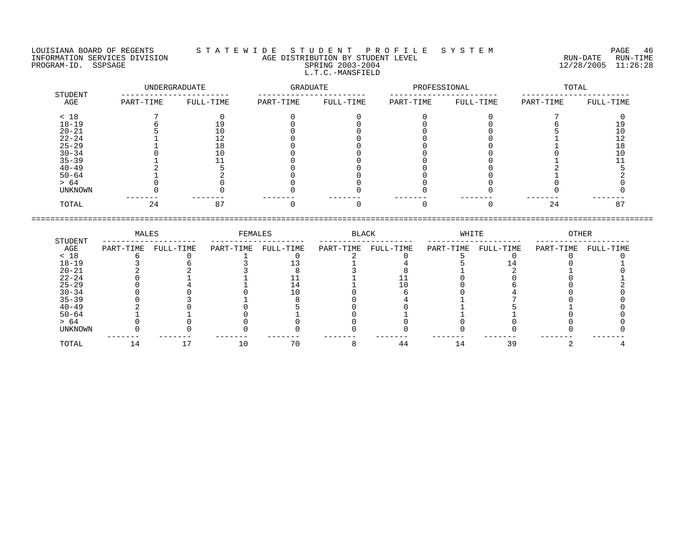#### LOUISIANA BOARD OF REGENTS S T A T E W I D E S T U D E N T P R O F I L E S Y S T E M PAGE 46 INFORMATION SERVICES DIVISION AGE DISTRIBUTION BY STUDENT LEVEL RUN-DATE RUN-TIME ENGENIE SOMETHOUS DERVICES DIVISION CONTRACT TO AGE DISTRIBUTION BY STUDENT LEVEL CONTRACTION SERVICES DIVISION<br>PROGRAM-ID. SSPSAGE SPRING 2003-2004 SPRING 2003-2004 2003-2004 12/28/2005 11:26:28 L.T.C.-MANSFIELD

| STUDENT   | UNDERGRADUATE |           | GRADUATE  |           | PROFESSIONAL |           | TOTAL     |           |
|-----------|---------------|-----------|-----------|-----------|--------------|-----------|-----------|-----------|
| AGE       | PART-TIME     | FULL-TIME | PART-TIME | FULL-TIME | PART-TIME    | FULL-TIME | PART-TIME | FULL-TIME |
| < 18      |               |           |           |           |              |           |           |           |
| $18 - 19$ |               | 19        |           |           |              |           |           |           |
| $20 - 21$ |               |           |           |           |              |           |           |           |
| $22 - 24$ |               | 12        |           |           |              |           |           |           |
| $25 - 29$ |               | 18        |           |           |              |           |           | 18        |
| $30 - 34$ |               |           |           |           |              |           |           |           |
| $35 - 39$ |               |           |           |           |              |           |           |           |
| $40 - 49$ |               |           |           |           |              |           |           |           |
| $50 - 64$ |               |           |           |           |              |           |           |           |
| > 64      |               |           |           |           |              |           |           |           |
| UNKNOWN   |               |           |           |           |              |           |           |           |
| TOTAL     | 24            | 87        |           |           |              |           | 24        | 87        |

|           | MALES     |           | FEMALES   |           | BLACK     |           | WHITE     |           | OTHER     |           |
|-----------|-----------|-----------|-----------|-----------|-----------|-----------|-----------|-----------|-----------|-----------|
| STUDENT   |           |           |           |           |           |           |           |           |           |           |
| AGE       | PART-TIME | FULL-TIME | PART-TIME | FULL-TIME | PART-TIME | FULL-TIME | PART-TIME | FULL-TIME | PART-TIME | FULL-TIME |
| < 18      |           |           |           |           |           |           |           |           |           |           |
| $18 - 19$ |           |           |           |           |           |           |           |           |           |           |
| $20 - 21$ |           |           |           |           |           |           |           |           |           |           |
| $22 - 24$ |           |           |           |           |           |           |           |           |           |           |
| $25 - 29$ |           |           |           |           |           |           |           |           |           |           |
| $30 - 34$ |           |           |           |           |           |           |           |           |           |           |
| $35 - 39$ |           |           |           |           |           |           |           |           |           |           |
| $40 - 49$ |           |           |           |           |           |           |           |           |           |           |
| $50 - 64$ |           |           |           |           |           |           |           |           |           |           |
| > 64      |           |           |           |           |           |           |           |           |           |           |
| UNKNOWN   |           |           |           |           |           |           |           |           |           |           |
|           |           |           |           |           |           |           |           |           |           |           |
| TOTAL     |           |           |           | 70        |           | 44        | 14        | 39        |           |           |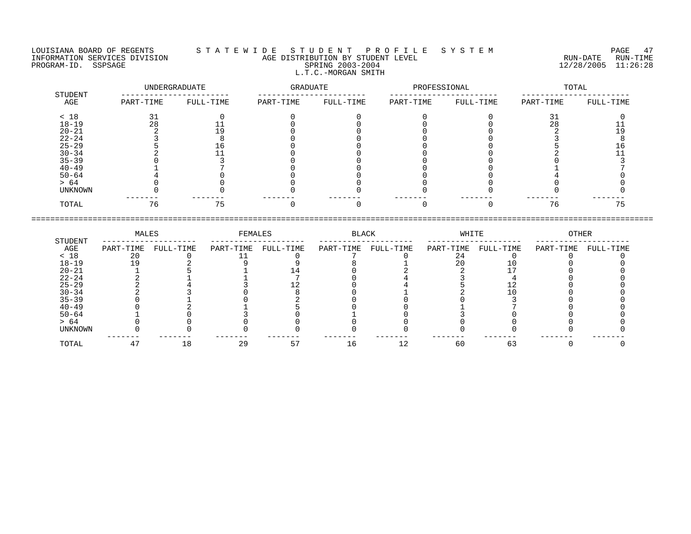### LOUISIANA BOARD OF REGENTS S T A T E W I D E S T U D E N T P R O F I L E S Y S T E M PAGE 47 INFORMATION SERVICES DIVISION AGE DISTRIBUTION BY STUDENT LEVEL RUN-DATE RUN-TIME NEORMATION SERVICES DIVISION CONSULTATION AGE DISTRIBUTION BY STUDENT LEVEL CONSULTATION SERVICES DIVISION CON<br>PROGRAM-ID. SSPSAGE SPRING 2003-2004 SPRING 2003-2004 2003-2004 12/28/2005 11:26:28 L.T.C.-MORGAN SMITH

| STUDENT   | UNDERGRADUATE |           | GRADUATE  |           | PROFESSIONAL |           | TOTAL     |           |
|-----------|---------------|-----------|-----------|-----------|--------------|-----------|-----------|-----------|
| AGE       | PART-TIME     | FULL-TIME | PART-TIME | FULL-TIME | PART-TIME    | FULL-TIME | PART-TIME | FULL-TIME |
| < 18      | 31            |           |           |           |              |           | 31        |           |
| $18 - 19$ | 28            |           |           |           |              |           | 28        |           |
| $20 - 21$ |               | 19        |           |           |              |           |           | 19        |
| $22 - 24$ |               |           |           |           |              |           |           |           |
| $25 - 29$ |               | Lб        |           |           |              |           |           |           |
| $30 - 34$ |               |           |           |           |              |           |           |           |
| $35 - 39$ |               |           |           |           |              |           |           |           |
| $40 - 49$ |               |           |           |           |              |           |           |           |
| $50 - 64$ |               |           |           |           |              |           |           |           |
| > 64      |               |           |           |           |              |           |           |           |
| UNKNOWN   |               |           |           |           |              |           |           |           |
| TOTAL     | 76            | 75        |           |           |              |           | 76        | 75        |

|           | MALES     |           | FEMALES   |           | BLACK     |           | WHITE     |           | OTHER     |           |
|-----------|-----------|-----------|-----------|-----------|-----------|-----------|-----------|-----------|-----------|-----------|
| STUDENT   |           |           |           |           |           |           |           |           |           |           |
| AGE       | PART-TIME | FULL-TIME | PART-TIME | FULL-TIME | PART-TIME | FULL-TIME | PART-TIME | FULL-TIME | PART-TIME | FULL-TIME |
| < 18      | 2 በ       |           |           |           |           |           | 24        |           |           |           |
| $18 - 19$ |           |           |           |           |           |           | 20        |           |           |           |
| $20 - 21$ |           |           |           |           |           |           |           |           |           |           |
| $22 - 24$ |           |           |           |           |           |           |           |           |           |           |
| $25 - 29$ |           |           |           |           |           |           |           |           |           |           |
| $30 - 34$ |           |           |           |           |           |           |           |           |           |           |
| $35 - 39$ |           |           |           |           |           |           |           |           |           |           |
| $40 - 49$ |           |           |           |           |           |           |           |           |           |           |
| $50 - 64$ |           |           |           |           |           |           |           |           |           |           |
| > 64      |           |           |           |           |           |           |           |           |           |           |
| UNKNOWN   |           |           |           |           |           |           |           |           |           |           |
|           |           |           |           |           |           |           |           |           |           |           |
| TOTAL     |           | 18        | 29        | 57        | 16        | 12        | 60        | 63        |           |           |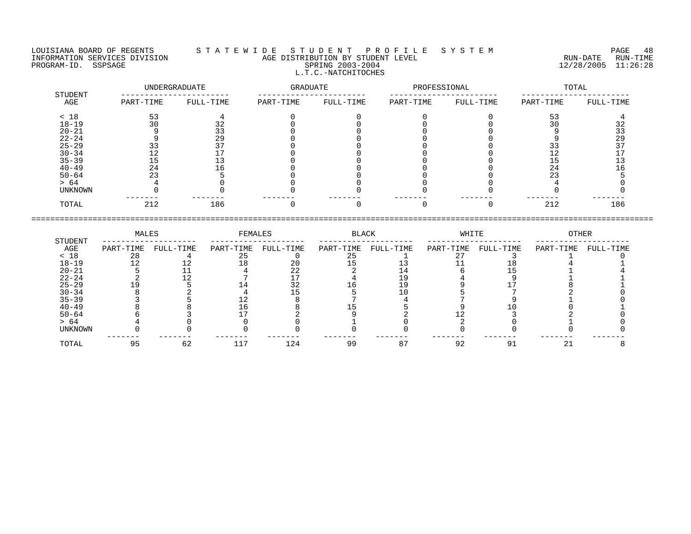#### LOUISIANA BOARD OF REGENTS S T A T E W I D E S T U D E N T P R O F I L E S Y S T E M PAGE 48 INFORMATION SERVICES DIVISION AGE DISTRIBUTION BY STUDENT LEVEL RUN-DATE RUN-TIME ENGENIER PORT AGE DISTRIBUTION BY STUDENT LEVEL<br>PROGRAM-ID. SSPSAGE RUN-TIME RUN-TIME SPRING 2003-2004 SPRING 2003-2004 12/28/2005 11:26:28 L.T.C.-NATCHITOCHES

|                | UNDERGRADUATE |           | GRADUATE  |           | PROFESSIONAL |           | TOTAL     |           |
|----------------|---------------|-----------|-----------|-----------|--------------|-----------|-----------|-----------|
| STUDENT<br>AGE | PART-TIME     | FULL-TIME | PART-TIME | FULL-TIME | PART-TIME    | FULL-TIME | PART-TIME | FULL-TIME |
| < 18           | 53            |           |           |           |              |           | 53        |           |
| $18 - 19$      | 30            | 32        |           |           |              |           | 30        | 32        |
| $20 - 21$      |               | 33        |           |           |              |           |           | 33        |
| $22 - 24$      |               | 29        |           |           |              |           |           | 29        |
| $25 - 29$      | 33            | 37        |           |           |              |           | 33        | 37        |
| $30 - 34$      | 12            |           |           |           |              |           | ⊥∠        |           |
| $35 - 39$      | 15            |           |           |           |              |           | 15        |           |
| $40 - 49$      | 24            | 16        |           |           |              |           | 24        |           |
| $50 - 64$      | 23            |           |           |           |              |           | 23        |           |
| > 64           |               |           |           |           |              |           |           |           |
| UNKNOWN        |               |           |           |           |              |           |           |           |
| TOTAL          | 212           | 186       |           |           |              |           | 212       | 186       |

|           | MALES     |           | FEMALES   |           | BLACK     |           | WHITE     |           | OTHER     |           |
|-----------|-----------|-----------|-----------|-----------|-----------|-----------|-----------|-----------|-----------|-----------|
| STUDENT   |           |           |           |           |           |           |           |           |           |           |
| AGE       | PART-TIME | FULL-TIME | PART-TIME | FULL-TIME | PART-TIME | FULL-TIME | PART-TIME | FULL-TIME | PART-TIME | FULL-TIME |
| < 18      | 28        |           | 25        |           |           |           |           |           |           |           |
| $18 - 19$ |           |           |           | 20        |           |           |           |           |           |           |
| $20 - 21$ |           |           |           | 22        |           |           |           |           |           |           |
| $22 - 24$ |           |           |           |           |           |           |           |           |           |           |
| $25 - 29$ |           |           |           |           |           | 19        |           |           |           |           |
| $30 - 34$ |           |           |           |           |           |           |           |           |           |           |
| $35 - 39$ |           |           |           |           |           |           |           |           |           |           |
| $40 - 49$ |           |           |           |           |           |           |           |           |           |           |
| $50 - 64$ |           |           |           |           |           |           |           |           |           |           |
| > 64      |           |           |           |           |           |           |           |           |           |           |
| UNKNOWN   |           |           |           |           |           |           |           |           |           |           |
| TOTAL     |           | 62        | 117       | 124       | 99        | 87        | 92        |           | 21        |           |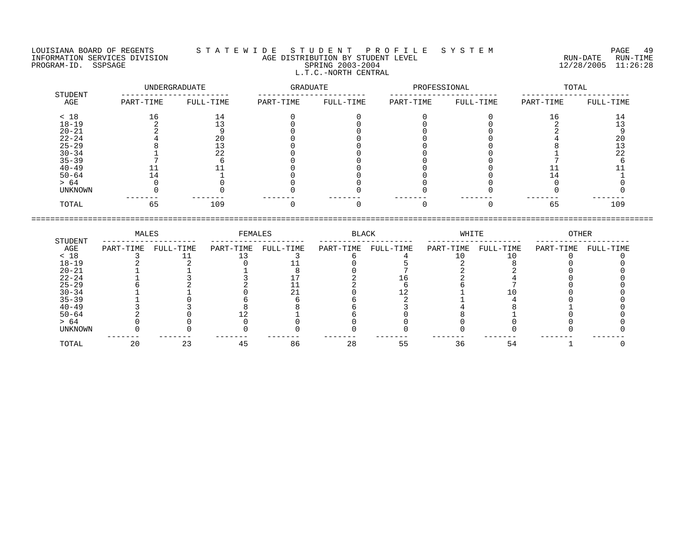#### LOUISIANA BOARD OF REGENTS S T A T E W I D E S T U D E N T P R O F I L E S Y S T E M PAGE 49 INFORMATION SERVICES DIVISION AGE DISTRIBUTION BY STUDENT LEVEL RUN-DATE RUN-TIME PROGRAM-ID. SSPSAGE SPRING 2003-2004 12/28/2005 11:26:28 L.T.C.-NORTH CENTRAL

|                | UNDERGRADUATE |           | GRADUATE  |           | PROFESSIONAL |           | TOTAL     |           |
|----------------|---------------|-----------|-----------|-----------|--------------|-----------|-----------|-----------|
| STUDENT<br>AGE | PART-TIME     | FULL-TIME | PART-TIME | FULL-TIME | PART-TIME    | FULL-TIME | PART-TIME | FULL-TIME |
| < 18           | 16            | 14        |           |           |              |           | 16        | 14        |
| $18 - 19$      |               |           |           |           |              |           |           |           |
| $20 - 21$      |               |           |           |           |              |           |           |           |
| $22 - 24$      |               | 20        |           |           |              |           |           | 20        |
| $25 - 29$      |               |           |           |           |              |           |           |           |
| $30 - 34$      |               | 22        |           |           |              |           |           | 22        |
| $35 - 39$      |               |           |           |           |              |           |           |           |
| $40 - 49$      | ᆠᆠ            |           |           |           |              |           |           |           |
| $50 - 64$      | 14            |           |           |           |              |           | -4        |           |
| > 64           |               |           |           |           |              |           |           |           |
| UNKNOWN        |               |           |           |           |              |           |           |           |
| TOTAL          | 65            | 109       |           |           |              |           | 65        | 109       |

|           | MALES     |           | FEMALES   |           | BLACK     |           | WHITE     |           | OTHER     |           |
|-----------|-----------|-----------|-----------|-----------|-----------|-----------|-----------|-----------|-----------|-----------|
| STUDENT   |           |           |           |           |           |           |           |           |           |           |
| AGE       | PART-TIME | FULL-TIME | PART-TIME | FULL-TIME | PART-TIME | FULL-TIME | PART-TIME | FULL-TIME | PART-TIME | FULL-TIME |
| < 18      |           |           |           |           |           |           |           |           |           |           |
| $18 - 19$ |           |           |           |           |           |           |           |           |           |           |
| $20 - 21$ |           |           |           |           |           |           |           |           |           |           |
| $22 - 24$ |           |           |           |           |           |           |           |           |           |           |
| $25 - 29$ |           |           |           |           |           |           |           |           |           |           |
| $30 - 34$ |           |           |           |           |           |           |           |           |           |           |
| $35 - 39$ |           |           |           |           |           |           |           |           |           |           |
| $40 - 49$ |           |           |           |           |           |           |           |           |           |           |
| $50 - 64$ |           |           |           |           |           |           |           |           |           |           |
| > 64      |           |           |           |           |           |           |           |           |           |           |
| UNKNOWN   |           |           |           |           |           |           |           |           |           |           |
|           |           |           |           |           |           |           |           |           |           |           |
| TOTAL     | 20        | 23        | 45        | 86        | 28        | 55        | 36        | 54        |           |           |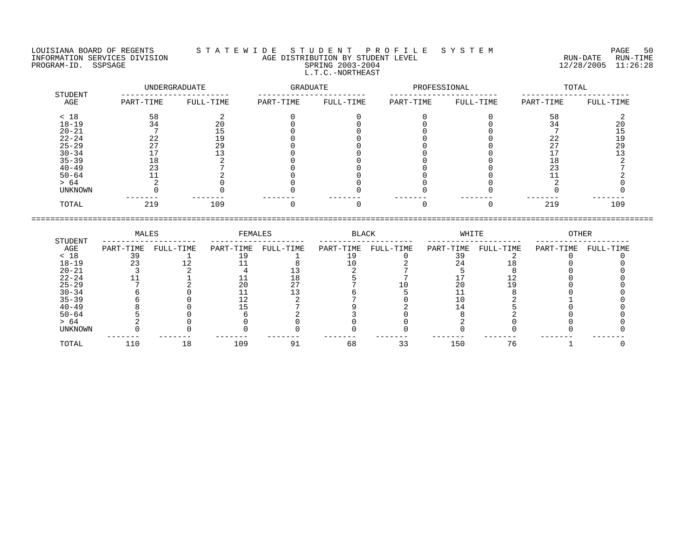#### LOUISIANA BOARD OF REGENTS S T A T E W I D E S T U D E N T P R O F I L E S Y S T E M PAGE 50 INFORMATION SERVICES DIVISION AGE DISTRIBUTION BY STUDENT LEVEL RUN-DATE RUN-TIME ENGENIE SERVICES DIVISION CONTROLLER TO AGE DISTRIBUTION BY STUDENT LEVEL CONTROLLER TO THE RUN-DATE RUN-TIME<br>PROGRAM-ID. SSPSAGE SPRING 2003-2004 SPRING 2003-2004 L.T.C.-NORTHEAST

|                | UNDERGRADUATE |           | GRADUATE  |           | PROFESSIONAL |           | TOTAL     |           |
|----------------|---------------|-----------|-----------|-----------|--------------|-----------|-----------|-----------|
| STUDENT<br>AGE | PART-TIME     | FULL-TIME | PART-TIME | FULL-TIME | PART-TIME    | FULL-TIME | PART-TIME | FULL-TIME |
| < 18           | 58            |           |           |           |              |           | 58        |           |
| $18 - 19$      | 34            | 20        |           |           |              |           | 34        | 20        |
| $20 - 21$      |               | 15        |           |           |              |           |           |           |
| $22 - 24$      | 22            | 19        |           |           |              |           | 22        | 19        |
| $25 - 29$      | 27            | 29        |           |           |              |           | つワ        | 29        |
| $30 - 34$      |               |           |           |           |              |           |           |           |
| $35 - 39$      | 18            |           |           |           |              |           | 18        |           |
| $40 - 49$      | 23            |           |           |           |              |           | 23        |           |
| $50 - 64$      |               |           |           |           |              |           |           |           |
| > 64           |               |           |           |           |              |           |           |           |
| UNKNOWN        |               |           |           |           |              |           |           |           |
| TOTAL          | 219           | 109       |           |           |              |           | 219       | 109       |

|           | MALES     |           | FEMALES   |           | BLACK     |           | WHITE     |           | OTHER     |           |
|-----------|-----------|-----------|-----------|-----------|-----------|-----------|-----------|-----------|-----------|-----------|
| STUDENT   |           |           |           |           |           |           |           |           |           |           |
| AGE       | PART-TIME | FULL-TIME | PART-TIME | FULL-TIME | PART-TIME | FULL-TIME | PART-TIME | FULL-TIME | PART-TIME | FULL-TIME |
| < 18      |           |           |           |           |           |           |           |           |           |           |
| $18 - 19$ |           |           |           |           |           |           |           |           |           |           |
| $20 - 21$ |           |           |           |           |           |           |           |           |           |           |
| $22 - 24$ |           |           |           |           |           |           |           |           |           |           |
| $25 - 29$ |           |           |           |           |           |           |           |           |           |           |
| $30 - 34$ |           |           |           |           |           |           |           |           |           |           |
| $35 - 39$ |           |           |           |           |           |           |           |           |           |           |
| $40 - 49$ |           |           |           |           |           |           |           |           |           |           |
| $50 - 64$ |           |           |           |           |           |           |           |           |           |           |
| > 64      |           |           |           |           |           |           |           |           |           |           |
| UNKNOWN   |           |           |           |           |           |           |           |           |           |           |
| TOTAL     | 110       | 18        | 109       | 91        | 68        | 33        | 150       | 76        |           |           |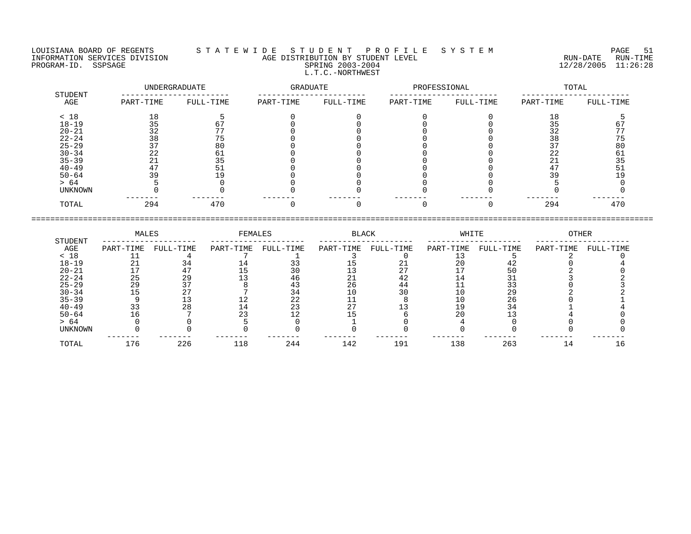LOUISIANA BOARD OF REGENTS S T A T E W I D E S T U D E N T P R O F I L E S Y S T E M PAGE 51 INFORMATION SERVICES DIVISION AGE DISTRIBUTION BY STUDENT LEVEL RUN-DATE RUN-TIME NEORMATION SERVICES DIVISION CONTRACTED AGE DISTRIBUTION BY STUDENT LEVEL CONTRACTION SERVICES DIVISION CONTRA<br>PROGRAM-ID. SSPSAGE SPRING 2003-2004 SPRING 2003-2004 2003-2004 12/28/2005 11:26:28 L.T.C.-NORTHWEST

| STUDENT   |           | UNDERGRADUATE | GRADUATE  |           | PROFESSIONAL |           |           | TOTAL     |
|-----------|-----------|---------------|-----------|-----------|--------------|-----------|-----------|-----------|
| AGE       | PART-TIME | FULL-TIME     | PART-TIME | FULL-TIME | PART-TIME    | FULL-TIME | PART-TIME | FULL-TIME |
| < 18      | 18        |               |           |           |              |           | 18        |           |
| $18 - 19$ |           |               |           |           |              |           |           |           |
| $20 - 21$ | 32        |               |           |           |              |           | 32        |           |
| $22 - 24$ | 38        |               |           |           |              |           | 38        |           |
| $25 - 29$ |           | 80            |           |           |              |           |           | 80        |
| $30 - 34$ | 22        |               |           |           |              |           | 22        | 61        |
| $35 - 39$ |           |               |           |           |              |           | ∠⊥        | 35        |
| $40 - 49$ |           |               |           |           |              |           | 47        |           |
| $50 - 64$ | 39        |               |           |           |              |           |           |           |
| > 64      |           |               |           |           |              |           |           |           |
| UNKNOWN   |           |               |           |           |              |           |           |           |
| TOTAL     | 294       | 470           |           |           |              |           | 294       | 470       |

====================================================================================================================================

|           | MALES     |           | FEMALES   |           | <b>BLACK</b> |           | WHITE     |           | <b>OTHER</b> |           |
|-----------|-----------|-----------|-----------|-----------|--------------|-----------|-----------|-----------|--------------|-----------|
| STUDENT   |           |           |           |           |              |           |           |           |              |           |
| AGE       | PART-TIME | FULL-TIME | PART-TIME | FULL-TIME | PART-TIME    | FULL-TIME | PART-TIME | FULL-TIME | PART-TIME    | FULL-TIME |
| < 18      |           |           |           |           |              |           |           |           |              |           |
| $18 - 19$ |           |           |           |           |              | 21        | 20        |           |              |           |
| $20 - 21$ |           |           |           | 30        |              | っヮ        |           |           |              |           |
| $22 - 24$ | 25        | 29        |           | 46        | 41           | 42        | 14        |           |              |           |
| $25 - 29$ | 29        |           |           |           | 26           | 44        |           |           |              |           |
| $30 - 34$ |           |           |           |           |              | 30        |           | 29        |              |           |
| $35 - 39$ |           |           |           | 22        |              |           | 10        | 26        |              |           |
| $40 - 49$ |           | 28        |           | 23        |              |           |           |           |              |           |
| $50 - 64$ |           |           |           |           |              |           | 20        |           |              |           |
| > 64      |           |           |           |           |              |           |           |           |              |           |
| UNKNOWN   |           |           |           |           |              |           |           |           |              |           |
| TOTAL     | 176       | 226       | 118       | 244       | 142          | 191       | 138       | 263       | 14           |           |
|           |           |           |           |           |              |           |           |           |              |           |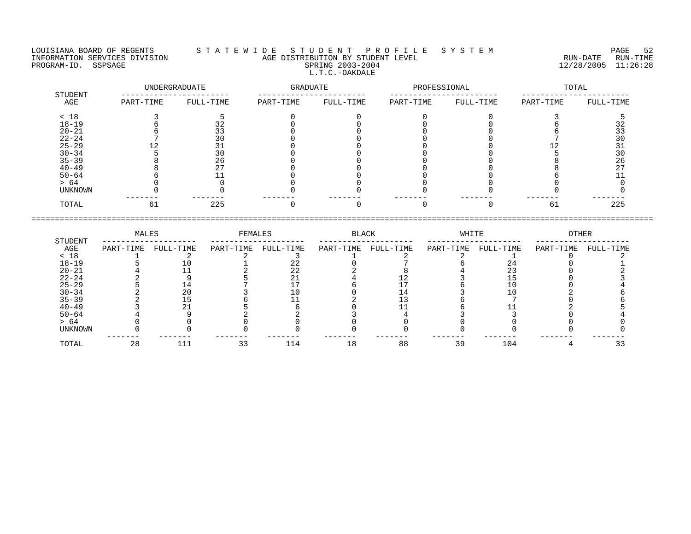LOUISIANA BOARD OF REGENTS S T A T E W I D E S T U D E N T P R O F I L E S Y S T E M PAGE 52 INFORMATION SERVICES DIVISION AGE DISTRIBUTION BY STUDENT LEVEL RUN-DATE RUN-TIME ENGENIER SERVICES DIVISION CONTROLLER TO AGE DISTRIBUTION BY STUDENT LEVEL CONTROLLER TO THE RUN-DATE RUN-TIME<br>PROGRAM-ID. SSPSAGE SPRING 2003-2004 SPRING 2003-2004 L.T.C.-OAKDALE

| STUDENT   |           | UNDERGRADUATE | GRADUATE  |           | PROFESSIONAL |           |           | TOTAL     |
|-----------|-----------|---------------|-----------|-----------|--------------|-----------|-----------|-----------|
| AGE       | PART-TIME | FULL-TIME     | PART-TIME | FULL-TIME | PART-TIME    | FULL-TIME | PART-TIME | FULL-TIME |
| < 18      |           |               |           |           |              |           |           |           |
| $18 - 19$ |           | 32            |           |           |              |           |           | 32        |
| $20 - 21$ |           | 33            |           |           |              |           |           | 33        |
| $22 - 24$ |           | 30            |           |           |              |           |           | 30        |
| $25 - 29$ |           |               |           |           |              |           |           | 31        |
| $30 - 34$ |           | 30            |           |           |              |           |           | 30        |
| $35 - 39$ |           | 26            |           |           |              |           |           | 26        |
| $40 - 49$ |           | 27            |           |           |              |           |           | 27        |
| $50 - 64$ |           |               |           |           |              |           |           |           |
| > 64      |           |               |           |           |              |           |           |           |
| UNKNOWN   |           |               |           |           |              |           |           |           |
| TOTAL     | 61        | 225           |           |           |              |           | 61        | 225       |

|           | MALES     |           | FEMALES   |           | <b>BLACK</b> |           | WHITE     |           | OTHER     |           |
|-----------|-----------|-----------|-----------|-----------|--------------|-----------|-----------|-----------|-----------|-----------|
| STUDENT   |           |           |           |           |              |           |           |           |           |           |
| AGE       | PART-TIME | FULL-TIME | PART-TIME | FULL-TIME | PART-TIME    | FULL-TIME | PART-TIME | FULL-TIME | PART-TIME | FULL-TIME |
| < 18      |           |           |           |           |              |           |           |           |           |           |
| $18 - 19$ |           |           |           |           |              |           |           |           |           |           |
| $20 - 21$ |           |           |           |           |              |           |           |           |           |           |
| $22 - 24$ |           |           |           |           |              |           |           |           |           |           |
| $25 - 29$ |           |           |           |           |              |           |           |           |           |           |
| $30 - 34$ |           |           |           |           |              |           |           |           |           |           |
| $35 - 39$ |           |           |           |           |              |           |           |           |           |           |
| $40 - 49$ |           |           |           |           |              |           |           |           |           |           |
| $50 - 64$ |           |           |           |           |              |           |           |           |           |           |
| > 64      |           |           |           |           |              |           |           |           |           |           |
| UNKNOWN   |           |           |           |           |              |           |           |           |           |           |
| TOTAL     | 28        | 111       |           | 114       |              | 88        | 39        | 104       |           |           |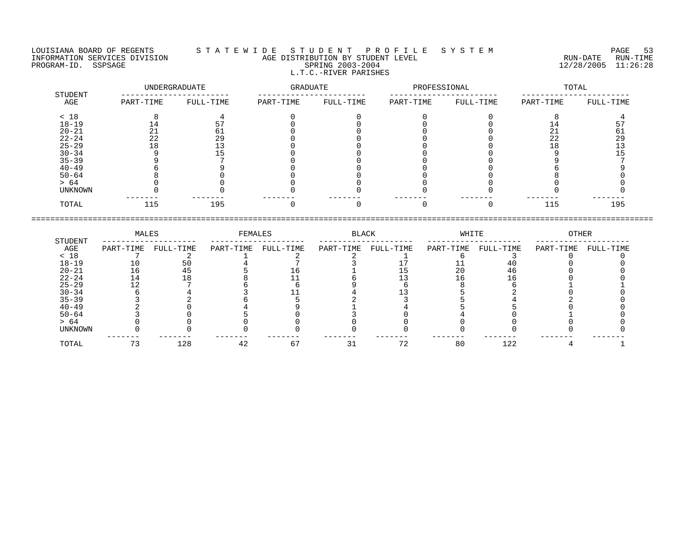#### LOUISIANA BOARD OF REGENTS S T A T E W I D E S T U D E N T P R O F I L E S Y S T E M PAGE 53 INFORMATION SERVICES DIVISION AGE DISTRIBUTION BY STUDENT LEVEL RUN-DATE RUN-TIME NEORMATION SERVICES DIVISION CONSUMING THE CONSUMING AGE DISTRIBUTION BY STUDENT LEVEL CONSUMING THE RUN-DATE RUN<br>PROGRAM-ID. SSPSAGE SPRING 2003-2004 SPRING 2003-2004 2003-2004 2003-2004 L.T.C.-RIVER PARISHES

| STUDENT   |           | UNDERGRADUATE | GRADUATE  |           | PROFESSIONAL |           | TOTAL     |           |  |
|-----------|-----------|---------------|-----------|-----------|--------------|-----------|-----------|-----------|--|
| AGE       | PART-TIME | FULL-TIME     | PART-TIME | FULL-TIME | PART-TIME    | FULL-TIME | PART-TIME | FULL-TIME |  |
| < 18      |           |               |           |           |              |           |           |           |  |
| $18 - 19$ | 14        | 57            |           |           |              |           | 14        |           |  |
| $20 - 21$ | 21        | 61            |           |           |              |           | 21        | 61        |  |
| $22 - 24$ | 22        | 29            |           |           |              |           | 22        | 29        |  |
| $25 - 29$ | 18        |               |           |           |              |           | 18        |           |  |
| $30 - 34$ |           |               |           |           |              |           |           |           |  |
| $35 - 39$ |           |               |           |           |              |           |           |           |  |
| $40 - 49$ |           |               |           |           |              |           |           |           |  |
| $50 - 64$ |           |               |           |           |              |           |           |           |  |
| > 64      |           |               |           |           |              |           |           |           |  |
| UNKNOWN   |           |               |           |           |              |           |           |           |  |
| TOTAL     | 115       | 195           |           |           |              |           | 115       | 195       |  |

| PART-TIME | FULL-TIME | PART-TIME    | FULL-TIME | PART-TIME     | FULL-TIME | PART-TIME   | FULL-TIME | PART-TIME    | FULL-TIME |
|-----------|-----------|--------------|-----------|---------------|-----------|-------------|-----------|--------------|-----------|
|           |           |              |           |               |           |             |           |              |           |
| 10        | 50        |              |           |               |           |             |           |              |           |
| 16        |           |              |           |               |           | 20          | 46        |              |           |
|           |           |              |           |               |           |             |           |              |           |
|           |           |              |           |               |           |             |           |              |           |
|           |           |              |           |               |           |             |           |              |           |
|           |           |              |           |               |           |             |           |              |           |
|           |           |              |           |               |           |             |           |              |           |
|           |           |              |           |               |           |             |           |              |           |
|           |           |              |           |               |           |             |           |              |           |
|           |           |              |           |               |           |             |           |              |           |
|           |           |              |           |               |           |             |           |              |           |
|           |           | MALES<br>128 | 42        | FEMALES<br>67 |           | BLACK<br>72 | 80        | WHITE<br>122 | OTHER     |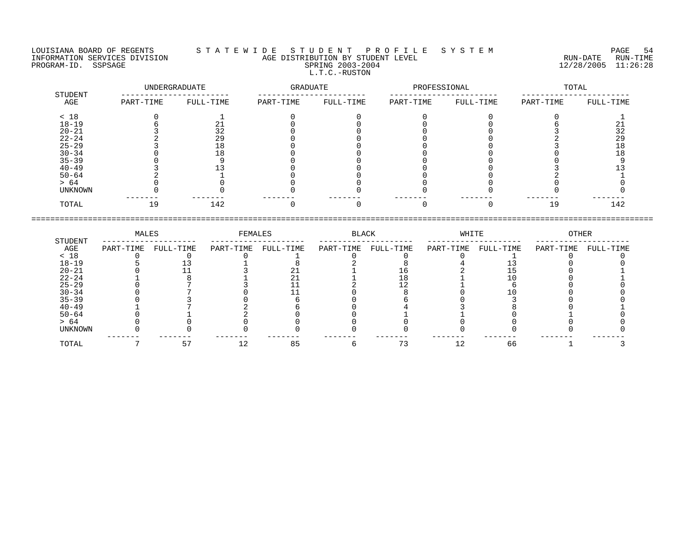LOUISIANA BOARD OF REGENTS S T A T E W I D E S T U D E N T P R O F I L E S Y S T E M PAGE 54 INFORMATION SERVICES DIVISION AGE DISTRIBUTION BY STUDENT LEVEL RUN-DATE RUN-TIME NEORMATION SERVICES DIVISION CONSUMING THE CONSUMING AGE DISTRIBUTION BY STUDENT LEVEL CONSUMING THE RUN-DATE RUN<br>PROGRAM-ID. SSPSAGE SPRING 2003-2004 SPRING 2003-2004 2003-2004 2003-2004 L.T.C.-RUSTON

| STUDENT        |           | UNDERGRADUATE | GRADUATE  |           | PROFESSIONAL |           |           | TOTAL     |
|----------------|-----------|---------------|-----------|-----------|--------------|-----------|-----------|-----------|
| AGE            | PART-TIME | FULL-TIME     | PART-TIME | FULL-TIME | PART-TIME    | FULL-TIME | PART-TIME | FULL-TIME |
| < 18           |           |               |           |           |              |           |           |           |
| $18 - 19$      |           |               |           |           |              |           |           |           |
| $20 - 21$      |           | 32            |           |           |              |           |           | 32        |
| $22 - 24$      |           | 29            |           |           |              |           |           | 29        |
| $25 - 29$      |           | - 8           |           |           |              |           |           | ∣ດ        |
| $30 - 34$      |           |               |           |           |              |           |           |           |
| $35 - 39$      |           |               |           |           |              |           |           |           |
| $40 - 49$      |           |               |           |           |              |           |           |           |
| $50 - 64$      |           |               |           |           |              |           |           |           |
| > 64           |           |               |           |           |              |           |           |           |
| <b>UNKNOWN</b> |           |               |           |           |              |           |           |           |
| TOTAL          | 19        | 142           |           |           |              |           | 19        | 142       |

====================================================================================================================================

|                | MALES     |           | FEMALES   |           | <b>BLACK</b> |           | WHITE     |           | OTHER     |           |
|----------------|-----------|-----------|-----------|-----------|--------------|-----------|-----------|-----------|-----------|-----------|
| STUDENT<br>AGE | PART-TIME | FULL-TIME | PART-TIME | FULL-TIME | PART-TIME    | FULL-TIME | PART-TIME | FULL-TIME | PART-TIME | FULL-TIME |
| < 18           |           |           |           |           |              |           |           |           |           |           |
| $18 - 19$      |           |           |           |           |              |           |           |           |           |           |
| $20 - 21$      |           |           |           |           |              |           |           |           |           |           |
| $22 - 24$      |           |           |           |           |              |           |           |           |           |           |
| $25 - 29$      |           |           |           |           |              |           |           |           |           |           |
| $30 - 34$      |           |           |           |           |              |           |           |           |           |           |
| $35 - 39$      |           |           |           |           |              |           |           |           |           |           |
| $40 - 49$      |           |           |           |           |              |           |           |           |           |           |
| $50 - 64$      |           |           |           |           |              |           |           |           |           |           |
| > 64           |           |           |           |           |              |           |           |           |           |           |
| UNKNOWN        |           |           |           |           |              |           |           |           |           |           |
| TOTAL          |           | י כ       |           | 85        |              |           | 12        | 66        |           |           |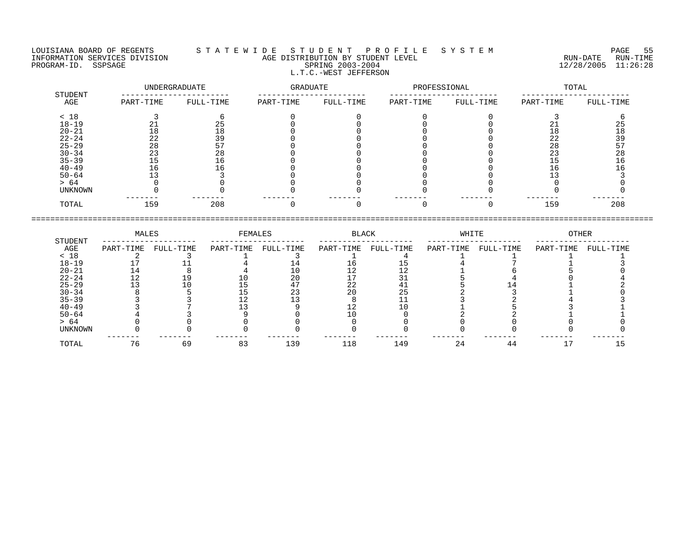LOUISIANA BOARD OF REGENTS STATEWIDE STUDENT PROFILE SYSTEM PAGE 55 INFORMATION SERVICES DIVISION AGE DISTRIBUTION BY STUDENT LEVEL RUN-DATE RUN-TIME PROGRAM-ID. SSPSAGE SPRING 2003-2004 12/28/2005 11:26:28 L.T.C.-WEST JEFFERSON

| STUDENT        |           | UNDERGRADUATE | GRADUATE  |           | PROFESSIONAL |           | TOTAL     |           |  |
|----------------|-----------|---------------|-----------|-----------|--------------|-----------|-----------|-----------|--|
| AGE            | PART-TIME | FULL-TIME     | PART-TIME | FULL-TIME | PART-TIME    | FULL-TIME | PART-TIME | FULL-TIME |  |
| < 18           |           |               |           |           |              |           |           |           |  |
| $18 - 19$      |           | 25            |           |           |              |           |           |           |  |
| $20 - 21$      | 18        | 18            |           |           |              |           | 18        | 18        |  |
| $22 - 24$      | 22        | 39            |           |           |              |           | 22        | 39        |  |
| $25 - 29$      | 28        |               |           |           |              |           | 28        |           |  |
| $30 - 34$      | 23        | 28            |           |           |              |           | 23        | 28        |  |
| $35 - 39$      |           | 16            |           |           |              |           |           |           |  |
| $40 - 49$      | 16        | l 6           |           |           |              |           | 16        |           |  |
| $50 - 64$      |           |               |           |           |              |           |           |           |  |
| > 64           |           |               |           |           |              |           |           |           |  |
| <b>UNKNOWN</b> |           |               |           |           |              |           |           |           |  |
| TOTAL          | 159       | 208           |           |           |              |           | 159       | 208       |  |

|                | MALES     |           | FEMALES   |           | BLACK     |           | WHITE     |           | OTHER     |           |
|----------------|-----------|-----------|-----------|-----------|-----------|-----------|-----------|-----------|-----------|-----------|
| STUDENT<br>AGE | PART-TIME | FULL-TIME | PART-TIME | FULL-TIME | PART-TIME | FULL-TIME | PART-TIME | FULL-TIME | PART-TIME | FULL-TIME |
| < 18           |           |           |           |           |           |           |           |           |           |           |
| $18 - 19$      |           |           |           |           |           |           |           |           |           |           |
| $20 - 21$      |           |           |           |           |           |           |           |           |           |           |
| $22 - 24$      | 12        |           |           | 20        |           |           |           |           |           |           |
| $25 - 29$      |           |           |           |           | 22        |           |           |           |           |           |
| $30 - 34$      |           |           |           |           | 20        |           |           |           |           |           |
| $35 - 39$      |           |           |           |           |           |           |           |           |           |           |
| $40 - 49$      |           |           |           |           |           |           |           |           |           |           |
| $50 - 64$      |           |           |           |           |           |           |           |           |           |           |
| > 64           |           |           |           |           |           |           |           |           |           |           |

UNKNOWN 0 0 0 0 0 0 0 0 0 0

TOTAL 76 69 83 139 118 149 24 44 17 15

------- ------- ------- ------- ------- ------- ------- ------- ------- -------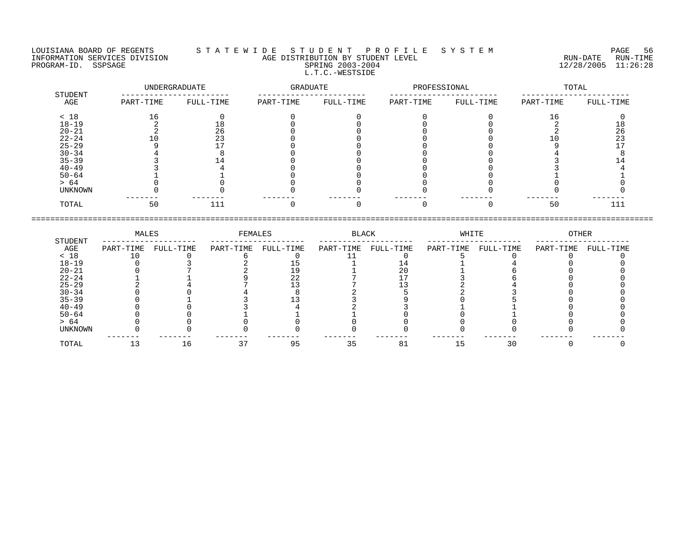#### LOUISIANA BOARD OF REGENTS S T A T E W I D E S T U D E N T P R O F I L E S Y S T E M PAGE 56 INFORMATION SERVICES DIVISION AGE DISTRIBUTION BY STUDENT LEVEL RUN-DATE RUN-TIME PROGRAM-ID. SSPSAGE SPRING 2003-2004 12/28/2005 11:26:28 L.T.C.-WESTSIDE

|                | UNDERGRADUATE |           | GRADUATE  |           | PROFESSIONAL |           | TOTAL     |           |  |
|----------------|---------------|-----------|-----------|-----------|--------------|-----------|-----------|-----------|--|
| STUDENT<br>AGE | PART-TIME     | FULL-TIME | PART-TIME | FULL-TIME | PART-TIME    | FULL-TIME | PART-TIME | FULL-TIME |  |
| < 18           | 16            |           |           |           |              |           | 16        |           |  |
| $18 - 19$      |               | 18        |           |           |              |           |           | 18        |  |
| $20 - 21$      |               | 26        |           |           |              |           |           | 26        |  |
| $22 - 24$      |               | 23        |           |           |              |           |           | 23        |  |
| $25 - 29$      |               |           |           |           |              |           |           |           |  |
| $30 - 34$      |               |           |           |           |              |           |           |           |  |
| $35 - 39$      |               |           |           |           |              |           |           |           |  |
| $40 - 49$      |               |           |           |           |              |           |           |           |  |
| $50 - 64$      |               |           |           |           |              |           |           |           |  |
| > 64           |               |           |           |           |              |           |           |           |  |
| UNKNOWN        |               |           |           |           |              |           |           |           |  |
| TOTAL          | 50            | 111       |           |           |              |           | 50        | 111       |  |

|           | MALES     | FEMALES   |           | BLACK     |           | WHITE     |           | OTHER     |           |           |
|-----------|-----------|-----------|-----------|-----------|-----------|-----------|-----------|-----------|-----------|-----------|
| STUDENT   |           |           |           |           |           |           |           |           |           |           |
| AGE       | PART-TIME | FULL-TIME | PART-TIME | FULL-TIME | PART-TIME | FULL-TIME | PART-TIME | FULL-TIME | PART-TIME | FULL-TIME |
| < 18      |           |           |           |           |           |           |           |           |           |           |
| $18 - 19$ |           |           |           |           |           |           |           |           |           |           |
| $20 - 21$ |           |           |           |           |           |           |           |           |           |           |
| $22 - 24$ |           |           |           | 22        |           |           |           |           |           |           |
| $25 - 29$ |           |           |           |           |           |           |           |           |           |           |
| $30 - 34$ |           |           |           |           |           |           |           |           |           |           |
| $35 - 39$ |           |           |           |           |           |           |           |           |           |           |
| $40 - 49$ |           |           |           |           |           |           |           |           |           |           |
| $50 - 64$ |           |           |           |           |           |           |           |           |           |           |
| > 64      |           |           |           |           |           |           |           |           |           |           |
| UNKNOWN   |           |           |           |           |           |           |           |           |           |           |
|           |           |           |           |           |           |           |           |           |           |           |
| TOTAL     |           | 16        |           | 95        | 35        | 81        |           | 30        |           |           |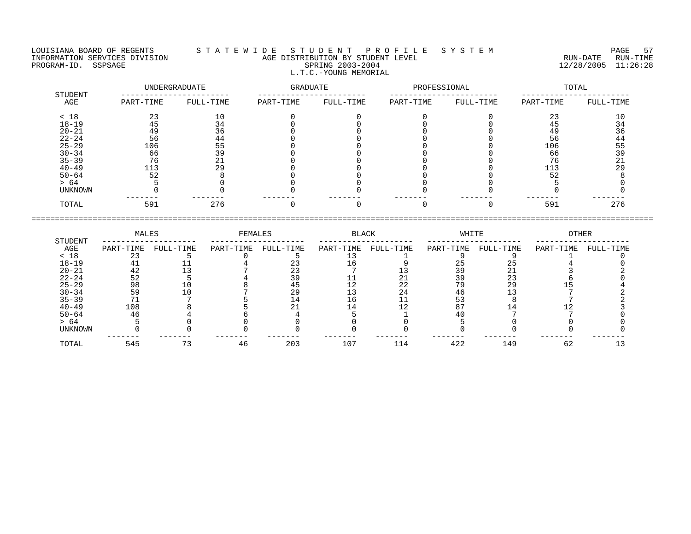LOUISIANA BOARD OF REGENTS S T A T E W I D E S T U D E N T P R O F I L E S Y S T E M PAGE 57

INFORMATION SERVICES DIVISION AGE DISTRIBUTION BY STUDENT LEVEL RUN-DATE RUN-TIME PROGRAM-ID. SSPSAGE SPRING 2003-2004 12/28/2005 11:26:28 L.T.C.-YOUNG MEMORIAL

|                | UNDERGRADUATE |           | GRADUATE  |           | PROFESSIONAL |           | TOTAL     |           |
|----------------|---------------|-----------|-----------|-----------|--------------|-----------|-----------|-----------|
| STUDENT<br>AGE | PART-TIME     | FULL-TIME | PART-TIME | FULL-TIME | PART-TIME    | FULL-TIME | PART-TIME | FULL-TIME |
| < 18           | 23            | 10        |           |           |              |           | 23        | 10        |
| $18 - 19$      | 45            | 34        |           |           |              |           | 45        | 34        |
| $20 - 21$      | 49            | 36        |           |           |              |           | 49        | 36        |
| $22 - 24$      | 56            | 44        |           |           |              |           | 56        | 44        |
| $25 - 29$      | 106           | 55        |           |           |              |           | 106       | 55        |
| $30 - 34$      | 66            | 39        |           |           |              |           | 66        | 39        |
| $35 - 39$      | 76            | 21        |           |           |              |           | 76        | 21        |
| $40 - 49$      | 113           | 29        |           |           |              |           | 113       | 29        |
| $50 - 64$      | 52            |           |           |           |              |           | 52        |           |
| > 64           |               |           |           |           |              |           |           |           |
| UNKNOWN        |               |           |           |           |              |           |           |           |
| TOTAL          | 591           | 276       |           |           |              |           | 591       | 276       |

| STUDENT        | MALES     |           | FEMALES   |           | BLACK     |           | WHITE     |           | OTHER     |           |
|----------------|-----------|-----------|-----------|-----------|-----------|-----------|-----------|-----------|-----------|-----------|
| AGE            | PART-TIME | FULL-TIME | PART-TIME | FULL-TIME | PART-TIME | FULL-TIME | PART-TIME | FULL-TIME | PART-TIME | FULL-TIME |
| < 18           |           |           |           |           |           |           |           |           |           |           |
| $18 - 19$      |           |           |           |           |           |           |           |           |           |           |
| $20 - 21$      |           |           |           |           |           |           |           | า 1       |           |           |
| $22 - 24$      | 52        |           |           |           |           |           | 39        | 23        |           |           |
| $25 - 29$      | 98        |           |           |           |           | 22        | 79        | 29        |           |           |
| $30 - 34$      | 59        |           |           | 29        |           | 24        | 46        |           |           |           |
| $35 - 39$      |           |           |           | 14        |           |           |           |           |           |           |
| $40 - 49$      | 108       |           |           |           |           |           |           |           |           |           |
| $50 - 64$      | 46        |           |           |           |           |           |           |           |           |           |
| > 64           |           |           |           |           |           |           |           |           |           |           |
| <b>UNKNOWN</b> |           |           |           |           |           |           |           |           |           |           |
| TOTAL          | 545       |           | 46        | 203       | 107       | 114       | 422       | 149       | 62        |           |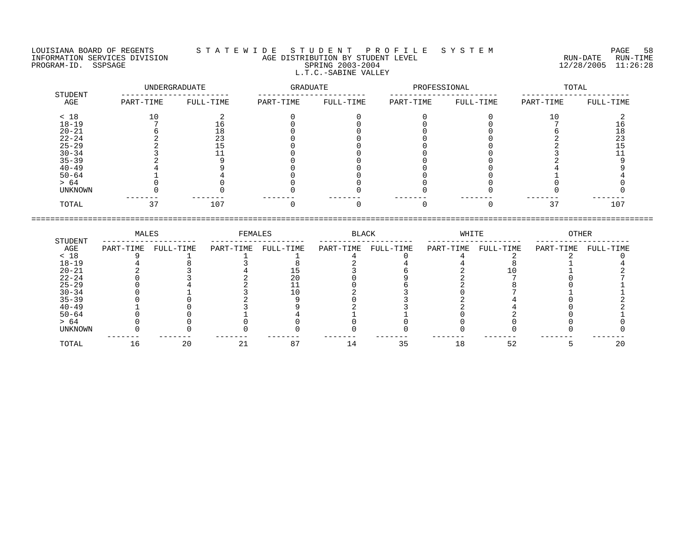### LOUISIANA BOARD OF REGENTS S T A T E W I D E S T U D E N T P R O F I L E S Y S T E M PAGE 58 INFORMATION SERVICES DIVISION AGE DISTRIBUTION BY STUDENT LEVEL RUN-DATE RUN-TIME PROGRAM-ID. SSPSAGE SPRING 2003-2004 12/28/2005 11:26:28 L.T.C.-SABINE VALLEY

|                | UNDERGRADUATE |           | GRADUATE  |           | PROFESSIONAL |           | TOTAL     |           |  |
|----------------|---------------|-----------|-----------|-----------|--------------|-----------|-----------|-----------|--|
| STUDENT<br>AGE | PART-TIME     | FULL-TIME | PART-TIME | FULL-TIME | PART-TIME    | FULL-TIME | PART-TIME | FULL-TIME |  |
| < 18           | 10            |           |           |           |              |           | 10        |           |  |
| $18 - 19$      |               | Τp.       |           |           |              |           |           |           |  |
| $20 - 21$      |               | 18        |           |           |              |           |           | 18        |  |
| $22 - 24$      |               | 23        |           |           |              |           |           | 23        |  |
| $25 - 29$      |               |           |           |           |              |           |           |           |  |
| $30 - 34$      |               |           |           |           |              |           |           |           |  |
| $35 - 39$      |               |           |           |           |              |           |           |           |  |
| $40 - 49$      |               |           |           |           |              |           |           |           |  |
| $50 - 64$      |               |           |           |           |              |           |           |           |  |
| > 64           |               |           |           |           |              |           |           |           |  |
| UNKNOWN        |               |           |           |           |              |           |           |           |  |
| TOTAL          | 37            | 107       |           |           |              |           | 37        | 107       |  |

|           | MALES     |           | FEMALES   |           | BLACK     |           | WHITE     |           | OTHER     |           |
|-----------|-----------|-----------|-----------|-----------|-----------|-----------|-----------|-----------|-----------|-----------|
| STUDENT   |           |           |           |           |           |           |           |           |           |           |
| AGE       | PART-TIME | FULL-TIME | PART-TIME | FULL-TIME | PART-TIME | FULL-TIME | PART-TIME | FULL-TIME | PART-TIME | FULL-TIME |
| < 18      |           |           |           |           |           |           |           |           |           |           |
| $18 - 19$ |           |           |           |           |           |           |           |           |           |           |
| $20 - 21$ |           |           |           |           |           |           |           |           |           |           |
| $22 - 24$ |           |           |           | 20        |           |           |           |           |           |           |
| $25 - 29$ |           |           |           |           |           |           |           |           |           |           |
| $30 - 34$ |           |           |           |           |           |           |           |           |           |           |
| $35 - 39$ |           |           |           |           |           |           |           |           |           |           |
| $40 - 49$ |           |           |           |           |           |           |           |           |           |           |
| $50 - 64$ |           |           |           |           |           |           |           |           |           |           |
| > 64      |           |           |           |           |           |           |           |           |           |           |
| UNKNOWN   |           |           |           |           |           |           |           |           |           |           |
|           |           |           |           |           |           |           |           |           |           |           |
| TOTAL     |           | 20        |           | 87        |           | 35        | 18        | 52        |           |           |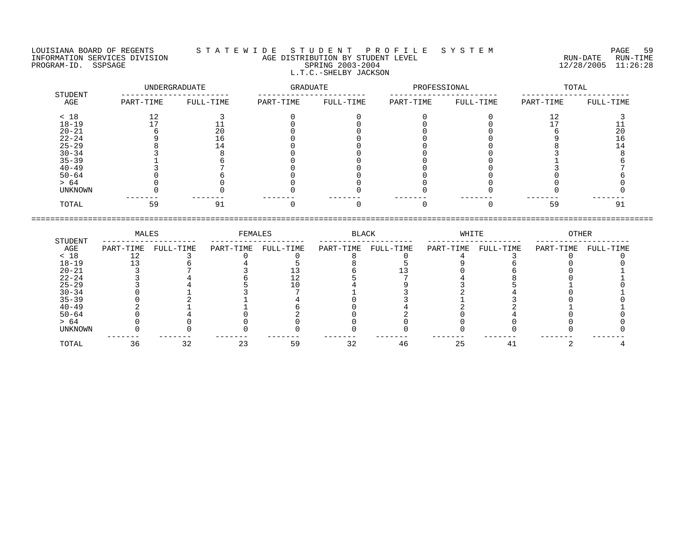#### LOUISIANA BOARD OF REGENTS S T A T E W I D E S T U D E N T P R O F I L E S Y S T E M PAGE 59 INFORMATION SERVICES DIVISION AGE DISTRIBUTION BY STUDENT LEVEL RUN-DATE RUN-TIME NEORMATION SERVICES DIVISION CONSUMING THE CONSUMING AGE DISTRIBUTION BY STUDENT LEVEL CONSUMING THE RUN-DATE RUN<br>PROGRAM-ID. SSPSAGE SPRING 2003-2004 SPRING 2003-2004 2003-2004 2003-2004 L.T.C.-SHELBY JACKSON

|                | UNDERGRADUATE |           | GRADUATE  |           | PROFESSIONAL |           | TOTAL     |           |  |
|----------------|---------------|-----------|-----------|-----------|--------------|-----------|-----------|-----------|--|
| STUDENT<br>AGE | PART-TIME     | FULL-TIME | PART-TIME | FULL-TIME | PART-TIME    | FULL-TIME | PART-TIME | FULL-TIME |  |
| < 18           | 12            |           |           |           |              |           | 12        |           |  |
| $18 - 19$      |               |           |           |           |              |           |           |           |  |
| $20 - 21$      |               | 20        |           |           |              |           |           | 20        |  |
| $22 - 24$      |               | TР        |           |           |              |           |           | 16        |  |
| $25 - 29$      |               |           |           |           |              |           |           |           |  |
| $30 - 34$      |               |           |           |           |              |           |           |           |  |
| $35 - 39$      |               |           |           |           |              |           |           |           |  |
| $40 - 49$      |               |           |           |           |              |           |           |           |  |
| $50 - 64$      |               |           |           |           |              |           |           |           |  |
| > 64           |               |           |           |           |              |           |           |           |  |
| UNKNOWN        |               |           |           |           |              |           |           |           |  |
| TOTAL          | 59            | 91        |           |           |              |           | 59        | 91        |  |

|           | MALES     |           | FEMALES   |           | BLACK     |           | WHITE     |           | OTHER     |           |
|-----------|-----------|-----------|-----------|-----------|-----------|-----------|-----------|-----------|-----------|-----------|
| STUDENT   |           |           |           |           |           |           |           |           |           |           |
| AGE       | PART-TIME | FULL-TIME | PART-TIME | FULL-TIME | PART-TIME | FULL-TIME | PART-TIME | FULL-TIME | PART-TIME | FULL-TIME |
| < 18      |           |           |           |           |           |           |           |           |           |           |
| $18 - 19$ |           |           |           |           |           |           |           |           |           |           |
| $20 - 21$ |           |           |           |           |           |           |           |           |           |           |
| $22 - 24$ |           |           |           |           |           |           |           |           |           |           |
| $25 - 29$ |           |           |           |           |           |           |           |           |           |           |
| $30 - 34$ |           |           |           |           |           |           |           |           |           |           |
| $35 - 39$ |           |           |           |           |           |           |           |           |           |           |
| $40 - 49$ |           |           |           |           |           |           |           |           |           |           |
| $50 - 64$ |           |           |           |           |           |           |           |           |           |           |
| > 64      |           |           |           |           |           |           |           |           |           |           |
| UNKNOWN   |           |           |           |           |           |           |           |           |           |           |
|           |           |           |           |           |           |           |           |           |           |           |
| TOTAL     | 36        | 32        |           | 59        | 32        | 46        | 25        |           |           |           |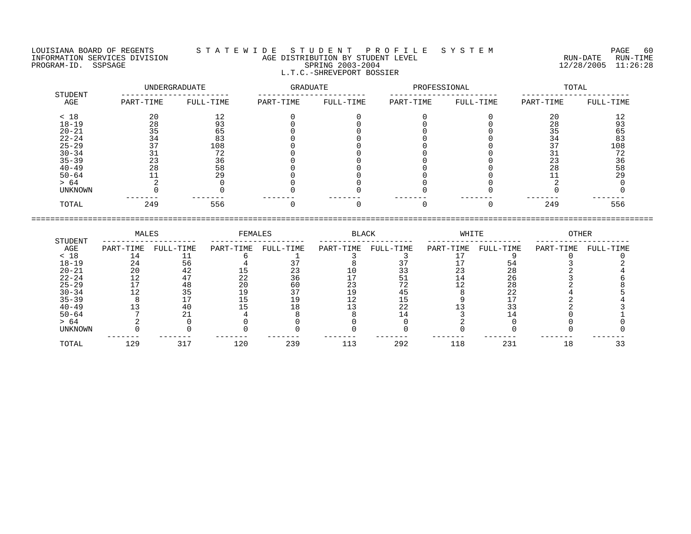LOUISIANA BOARD OF REGENTS STATEWIDE STUDENT PROFILE SYSTEM PAGE 60<br>INFORMATION SERVICES DIVISION AGE DISTRIBUTION BY STUDENT LEVEL AGE DISTRIBUTION BY STUDENT LEVEL<br>SPRING 2003-2004 PROGRAM-ID. SERVICES DIVISION CONTROL AGE DISTRIBUTION BY STUDENT LEVEL CONTROLLER TO THE RUN-DATE RUN-TIME RUN<br>PROGRAM-ID. SSPSAGE SPRING 2003-2004 SPRING 2003-2004 2003-2004 12/28/2005 11:26:28 L.T.C.-SHREVEPORT BOSSIER

| STUDENT   |           | UNDERGRADUATE | GRADUATE  |           | PROFESSIONAL |           | TOTAL     |           |  |
|-----------|-----------|---------------|-----------|-----------|--------------|-----------|-----------|-----------|--|
| AGE       | PART-TIME | FULL-TIME     | PART-TIME | FULL-TIME | PART-TIME    | FULL-TIME | PART-TIME | FULL-TIME |  |
| < 18      | 20        |               |           |           |              |           | 20        |           |  |
| $18 - 19$ | 28        |               |           |           |              |           | 28        |           |  |
| $20 - 21$ | 35        | 65            |           |           |              |           | 35        | 65        |  |
| $22 - 24$ | 34        | 83            |           |           |              |           | 34        | 83        |  |
| $25 - 29$ |           | 108           |           |           |              |           |           | 108       |  |
| $30 - 34$ |           | 72            |           |           |              |           |           | 72        |  |
| $35 - 39$ | 23        | 36            |           |           |              |           | 23        | 36        |  |
| $40 - 49$ | 28        | 58            |           |           |              |           | 28        | 58        |  |
| $50 - 64$ |           | 29            |           |           |              |           |           | 29        |  |
| > 64      |           |               |           |           |              |           |           |           |  |
| UNKNOWN   |           |               |           |           |              |           |           |           |  |
| TOTAL     | 249       | 556           |           |           |              |           | 249       | 556       |  |
|           |           |               |           |           |              |           |           |           |  |

====================================================================================================================================

| PART-TIME | FULL-TIME | PART-TIME | FULL-TIME | PART-TIME | FULL-TIME | PART-TIME |     | PART-TIME          | FULL-TIME |
|-----------|-----------|-----------|-----------|-----------|-----------|-----------|-----|--------------------|-----------|
|           |           |           |           |           |           |           |     |                    |           |
| 24        | 56        |           |           |           |           |           |     |                    |           |
| 20        | 42        |           |           |           |           | 23        | 28  |                    |           |
| 12        |           | 22        | 36        |           |           | 14        | 26  |                    |           |
|           | 48        | 20        | 60        | 23        |           |           | 28  |                    |           |
|           | 35        |           |           | 19        |           |           | 22  |                    |           |
|           |           |           | 19        | 12        |           |           |     |                    |           |
|           | 40        |           | 18        |           | 22        |           |     |                    |           |
|           |           |           |           |           |           |           |     |                    |           |
|           |           |           |           |           |           |           |     |                    |           |
|           |           |           |           |           |           |           |     |                    |           |
| 129       | 317       | 120       | 239       | 113       | 292       | 118       | 231 | 18                 |           |
|           |           | MALES     |           | FEMALES   |           | BLACK     |     | WHITE<br>FULL-TIME | OTHER     |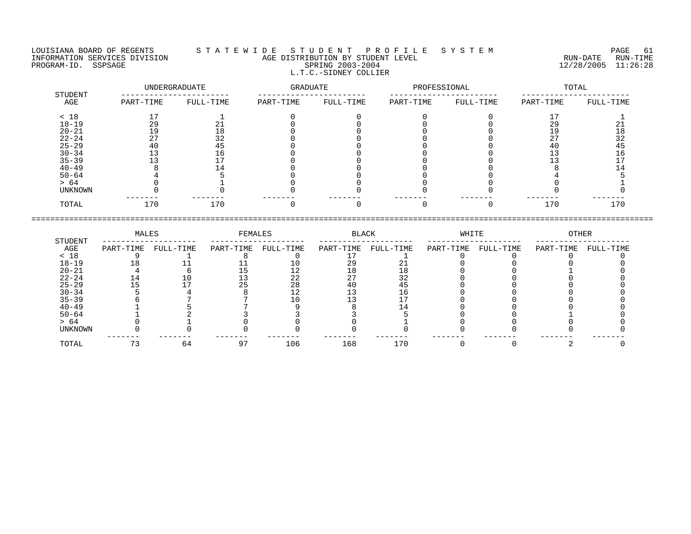LOUISIANA BOARD OF REGENTS S T A T E W I D E S T U D E N T P R O F I L E S Y S T E M PAGE 61 INFORMATION SERVICES DIVISION AGE DISTRIBUTION BY STUDENT LEVEL RUN-DATE RUN-TIME PROGRAM-ID. SSPSAGE SPRING 2003-2004 12/28/2005 11:26:28 L.T.C.-SIDNEY COLLIER

| STUDENT        |           | UNDERGRADUATE | GRADUATE  |           | PROFESSIONAL |           | TOTAL     |           |  |
|----------------|-----------|---------------|-----------|-----------|--------------|-----------|-----------|-----------|--|
| AGE            | PART-TIME | FULL-TIME     | PART-TIME | FULL-TIME | PART-TIME    | FULL-TIME | PART-TIME | FULL-TIME |  |
| < 18           |           |               |           |           |              |           |           |           |  |
| $18 - 19$      | 29        |               |           |           |              |           | 29        |           |  |
| $20 - 21$      |           | 18            |           |           |              |           | 19        | 18        |  |
| $22 - 24$      |           | 32            |           |           |              |           |           | 32        |  |
| $25 - 29$      | 40        | 45            |           |           |              |           | 40        | 45        |  |
| $30 - 34$      |           | 16            |           |           |              |           |           | 16        |  |
| $35 - 39$      |           |               |           |           |              |           |           |           |  |
| $40 - 49$      |           |               |           |           |              |           |           |           |  |
| $50 - 64$      |           |               |           |           |              |           |           |           |  |
| > 64           |           |               |           |           |              |           |           |           |  |
| <b>UNKNOWN</b> |           |               |           |           |              |           |           |           |  |
| TOTAL          | 170       | 170           |           |           |              |           | 170       | 170       |  |

====================================================================================================================================

|                | MALES     | FEMALES   |           | BLACK     |           | WHITE     |           | OTHER     |           |           |
|----------------|-----------|-----------|-----------|-----------|-----------|-----------|-----------|-----------|-----------|-----------|
| STUDENT<br>AGE | PART-TIME | FULL-TIME | PART-TIME | FULL-TIME | PART-TIME | FULL-TIME | PART-TIME | FULL-TIME | PART-TIME | FULL-TIME |
| < 18           |           |           |           |           |           |           |           |           |           |           |
| $18 - 19$      |           |           |           |           |           |           |           |           |           |           |
| $20 - 21$      |           |           |           |           | 18        | L 8       |           |           |           |           |
| $22 - 24$      |           |           |           | 22        |           |           |           |           |           |           |
| $25 - 29$      |           |           |           | 28        |           |           |           |           |           |           |
| $30 - 34$      |           |           |           |           |           |           |           |           |           |           |
| $35 - 39$      |           |           |           |           |           |           |           |           |           |           |
| $40 - 49$      |           |           |           |           |           |           |           |           |           |           |
| $50 - 64$      |           |           |           |           |           |           |           |           |           |           |
| > 64           |           |           |           |           |           |           |           |           |           |           |
| UNKNOWN        |           |           |           |           |           |           |           |           |           |           |
| TOTAL          |           | 64        |           | 106       | 168       | 170       |           |           |           |           |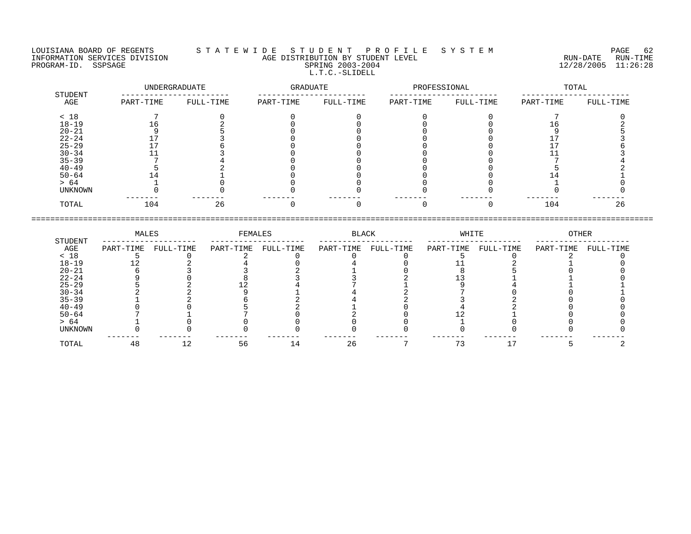#### LOUISIANA BOARD OF REGENTS S T A T E W I D E S T U D E N T P R O F I L E S Y S T E M PAGE 62 INFORMATION SERVICES DIVISION AGE DISTRIBUTION BY STUDENT LEVEL RUN-DATE RUN-TIME NEORMATION SERVICES DIVISION CONSUMING THE MATE CONSUMING AGE DISTRIBUTION BY STUDENT LEVEL CONSUMING THE RUN-DATE RUN-TIME RUN-TIME<br>PROGRAM-ID. SSPSAGE SPRING 2003-2004 SPRING 2003-2004 2003-2004 L.T.C.-SLIDELL

| STUDENT   | UNDERGRADUATE |           | GRADUATE  |           | PROFESSIONAL |           | TOTAL     |           |  |
|-----------|---------------|-----------|-----------|-----------|--------------|-----------|-----------|-----------|--|
| AGE       | PART-TIME     | FULL-TIME | PART-TIME | FULL-TIME | PART-TIME    | FULL-TIME | PART-TIME | FULL-TIME |  |
| < 18      |               |           |           |           |              |           |           |           |  |
| $18 - 19$ | 16            |           |           |           |              |           | L b       |           |  |
| $20 - 21$ |               |           |           |           |              |           |           |           |  |
| $22 - 24$ |               |           |           |           |              |           |           |           |  |
| $25 - 29$ |               |           |           |           |              |           |           |           |  |
| $30 - 34$ |               |           |           |           |              |           |           |           |  |
| $35 - 39$ |               |           |           |           |              |           |           |           |  |
| $40 - 49$ |               |           |           |           |              |           |           |           |  |
| $50 - 64$ | 14            |           |           |           |              |           |           |           |  |
| > 64      |               |           |           |           |              |           |           |           |  |
| UNKNOWN   |               |           |           |           |              |           |           |           |  |
| TOTAL     | 104           | 26        |           |           |              |           | 104       | 26        |  |

|           | MALES     |           | FEMALES   |           | BLACK     |           | WHITE     |           | OTHER     |           |
|-----------|-----------|-----------|-----------|-----------|-----------|-----------|-----------|-----------|-----------|-----------|
| STUDENT   |           |           |           |           |           |           |           |           |           |           |
| AGE       | PART-TIME | FULL-TIME | PART-TIME | FULL-TIME | PART-TIME | FULL-TIME | PART-TIME | FULL-TIME | PART-TIME | FULL-TIME |
| < 18      |           |           |           |           |           |           |           |           |           |           |
| $18 - 19$ |           |           |           |           |           |           |           |           |           |           |
| $20 - 21$ |           |           |           |           |           |           |           |           |           |           |
| $22 - 24$ |           |           |           |           |           |           |           |           |           |           |
| $25 - 29$ |           |           |           |           |           |           |           |           |           |           |
| $30 - 34$ |           |           |           |           |           |           |           |           |           |           |
| $35 - 39$ |           |           |           |           |           |           |           |           |           |           |
| $40 - 49$ |           |           |           |           |           |           |           |           |           |           |
| $50 - 64$ |           |           |           |           |           |           |           |           |           |           |
| > 64      |           |           |           |           |           |           |           |           |           |           |
| UNKNOWN   |           |           |           |           |           |           |           |           |           |           |
|           |           |           |           |           |           |           |           |           |           |           |
| TOTAL     | 48        |           | 56        | 14        | 26        |           | 73        |           |           |           |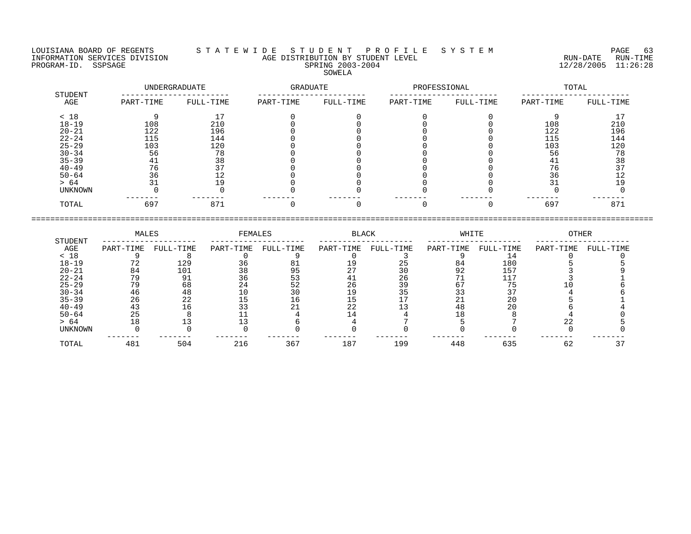LOUISIANA BOARD OF REGENTS STATEWIDE STUDENT PROFILE SYSTEM PAGE 63 INFORMATION SERVICES DIVISION AGE DISTRIBUTION BY STUDENT LEVEL<br>PROGRAM-ID. SSPSAGE SPRING 2003-2004 SOWELA

| STUDENT   |           | UNDERGRADUATE | GRADUATE  |           | PROFESSIONAL |           | TOTAL     |           |  |
|-----------|-----------|---------------|-----------|-----------|--------------|-----------|-----------|-----------|--|
| AGE       | PART-TIME | FULL-TIME     | PART-TIME | FULL-TIME | PART-TIME    | FULL-TIME | PART-TIME | FULL-TIME |  |
| < 18      |           |               |           |           |              |           |           |           |  |
| $18 - 19$ | 108       | 210           |           |           |              |           | 108       | 210       |  |
| $20 - 21$ | 122       | 196           |           |           |              |           | 122       | 196       |  |
| $22 - 24$ | 115       | 144           |           |           |              |           | 115       | 144       |  |
| $25 - 29$ | 103       | 120           |           |           |              |           | 103       | 120       |  |
| $30 - 34$ | 56        | 78            |           |           |              |           | 56        | 78        |  |
| $35 - 39$ | 4 1       | 38            |           |           |              |           | 41        | 38        |  |
| $40 - 49$ | 76        | 37            |           |           |              |           | 76        |           |  |
| $50 - 64$ | 36        | - ∠           |           |           |              |           | 36        |           |  |
| > 64      |           |               |           |           |              |           | 31        | 19        |  |
| UNKNOWN   |           |               |           |           |              |           |           |           |  |
| TOTAL     | 697       | 871           |           |           |              |           | 697       | 871       |  |

====================================================================================================================================

|                | MALES     |           | FEMALES   |           | <b>BLACK</b> |           | WHITE     |           | OTHER     |           |
|----------------|-----------|-----------|-----------|-----------|--------------|-----------|-----------|-----------|-----------|-----------|
| STUDENT<br>AGE | PART-TIME | FULL-TIME | PART-TIME | FULL-TIME | PART-TIME    | FULL-TIME | PART-TIME | FULL-TIME | PART-TIME | FULL-TIME |
| < 18           |           |           |           |           |              |           |           |           |           |           |
| $18 - 19$      |           | 129       | 36        | 81        |              | 25        | 84        | 180       |           |           |
| $20 - 21$      | 84        | 101       | 38        | 95        |              | 30        | 92        | 157       |           |           |
| $22 - 24$      | 79        | 91        | 36        |           |              | 26        |           |           |           |           |
| $25 - 29$      | 79        | 68        | 24        | 52        | 26           | 39        | 67        |           |           |           |
| $30 - 34$      | 46        | 48        |           | 30        |              | 35        |           |           |           |           |
| $35 - 39$      | 26        | 22        |           | 16        |              |           |           | 20        |           |           |
| $40 - 49$      | 43        | 16        |           |           | 22           |           | 48        | 20        |           |           |
| $50 - 64$      | 25        |           |           |           |              |           |           |           |           |           |
| > 64           | 18        |           |           |           |              |           |           |           |           |           |
| UNKNOWN        |           |           |           |           |              |           |           |           |           |           |
| TOTAL          | 481       | 504       | 216       | 367       | 187          | 199       | 448       | 635       | 62        |           |

RUN-DATE RUN-TIME<br>12/28/2005 11:26:28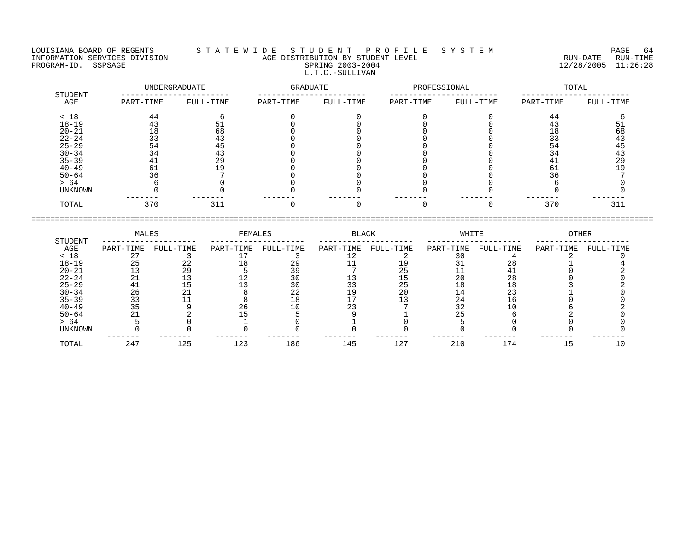#### LOUISIANA BOARD OF REGENTS S T A T E W I D E S T U D E N T P R O F I L E S Y S T E M PAGE 64 INFORMATION SERVICES DIVISION AGE DISTRIBUTION BY STUDENT LEVEL RUN-DATE RUN-TIME PROGRAM-ID. SSPSAGE SPRING 2003-2004 12/28/2005 11:26:28 L.T.C.-SULLIVAN

| STUDENT        | UNDERGRADUATE |           | <b>GRADUATE</b> |           | PROFESSIONAL |           | TOTAL     |           |  |
|----------------|---------------|-----------|-----------------|-----------|--------------|-----------|-----------|-----------|--|
| AGE            | PART-TIME     | FULL-TIME | PART-TIME       | FULL-TIME | PART-TIME    | FULL-TIME | PART-TIME | FULL-TIME |  |
| < 18           | 44            | 6         |                 |           |              |           | 44        |           |  |
| $18 - 19$      | 43            | 51        |                 |           |              |           | 43        |           |  |
| $20 - 21$      | 18            | 68        |                 |           |              |           | 18        | 68        |  |
| $22 - 24$      | 33            | 43        |                 |           |              |           | 33        | 43        |  |
| $25 - 29$      | 54            | 45        |                 |           |              |           | 54        | 45        |  |
| $30 - 34$      | 34            | 43        |                 |           |              |           | 34        | 43        |  |
| $35 - 39$      | 41            | 29        |                 |           |              |           | 41        | 29        |  |
| $40 - 49$      | 61            | 19        |                 |           |              |           | 6 T       | 19        |  |
| $50 - 64$      | 36            |           |                 |           |              |           | 36        |           |  |
| > 64           |               |           |                 |           |              |           |           |           |  |
| <b>UNKNOWN</b> |               |           |                 |           |              |           |           |           |  |
| TOTAL          | 370           | 311       |                 |           |              |           | 370       | 311       |  |

|           | MALES     |           | FEMALES   |           | BLACK     |           | WHITE     |           | OTHER     |           |  |
|-----------|-----------|-----------|-----------|-----------|-----------|-----------|-----------|-----------|-----------|-----------|--|
| STUDENT   |           |           |           |           |           |           |           |           |           |           |  |
| AGE       | PART-TIME | FULL-TIME | PART-TIME | FULL-TIME | PART-TIME | FULL-TIME | PART-TIME | FULL-TIME | PART-TIME | FULL-TIME |  |
| < 18      |           |           |           |           |           |           |           |           |           |           |  |
| $18 - 19$ | 25        |           |           | 29        |           |           |           |           |           |           |  |
| $20 - 21$ |           | 29        |           |           |           |           |           |           |           |           |  |
| $22 - 24$ |           |           |           |           |           |           | 20        | 28        |           |           |  |
| $25 - 29$ |           |           |           |           |           | 25        |           |           |           |           |  |
| $30 - 34$ | 26        |           |           | 22        |           | 20        |           | 23        |           |           |  |
| $35 - 39$ |           |           |           |           |           |           | 24        |           |           |           |  |
| $40 - 49$ |           |           |           |           |           |           |           |           |           |           |  |
| $50 - 64$ |           |           |           |           |           |           |           |           |           |           |  |
| > 64      |           |           |           |           |           |           |           |           |           |           |  |
| UNKNOWN   |           |           |           |           |           |           |           |           |           |           |  |
| TOTAL     | 247       | 125       | 123       | 186       | 145       | 127       | 210       | 174       |           |           |  |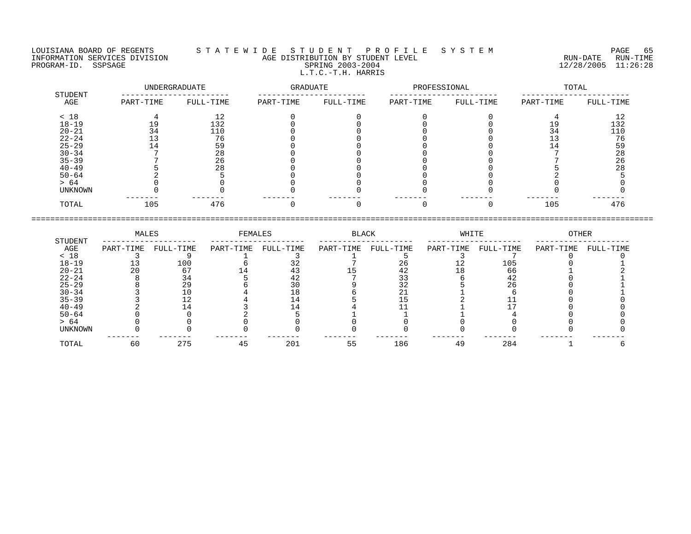LOUISIANA BOARD OF REGENTS S T A T E W I D E S T U D E N T P R O F I L E S Y S T E M PAGE 65 INFORMATION SERVICES DIVISION AGE DISTRIBUTION BY STUDENT LEVEL RUN-DATE RUN-TIME PROGRAM-ID. SERVICES DIVISION CONTROL AGE DISTRIBUTION BY STUDENT LEVEL CONTROLLER TO THE RUN-DATE RUN-TIME TO<br>PROGRAM-ID. SSPSAGE SPRING 2003-2004 SPRING 2003-2004 2003-2004 12/28/2005 11:26:28 L.T.C.-T.H. HARRIS

| STUDENT        | UNDERGRADUATE |           | <b>GRADUATE</b> |           | PROFESSIONAL |           | TOTAL     |           |  |
|----------------|---------------|-----------|-----------------|-----------|--------------|-----------|-----------|-----------|--|
| AGE            | PART-TIME     | FULL-TIME | PART-TIME       | FULL-TIME | PART-TIME    | FULL-TIME | PART-TIME | FULL-TIME |  |
| < 18           |               | 12        |                 |           |              |           |           | 12        |  |
| $18 - 19$      | 19            | 132       |                 |           |              |           |           | 132       |  |
| $20 - 21$      | 34            | 110       |                 |           |              |           | 34        | 110       |  |
| $22 - 24$      |               | 76        |                 |           |              |           |           | 76        |  |
| $25 - 29$      |               | 59        |                 |           |              |           |           | 59        |  |
| $30 - 34$      |               | 28        |                 |           |              |           |           | 28        |  |
| $35 - 39$      |               | 26        |                 |           |              |           |           | 26        |  |
| $40 - 49$      |               | 28        |                 |           |              |           |           | 28        |  |
| $50 - 64$      |               |           |                 |           |              |           |           |           |  |
| > 64           |               |           |                 |           |              |           |           |           |  |
| <b>UNKNOWN</b> |               |           |                 |           |              |           |           |           |  |
| TOTAL          | 105           | 476       |                 |           |              |           | 105       | 476       |  |

====================================================================================================================================

|           | MALES     |           | FEMALES   |           | BLACK     |           | WHITE     |           | OTHER     |           |
|-----------|-----------|-----------|-----------|-----------|-----------|-----------|-----------|-----------|-----------|-----------|
| STUDENT   |           |           |           |           |           |           |           |           |           |           |
| AGE       | PART-TIME | FULL-TIME | PART-TIME | FULL-TIME | PART-TIME | FULL-TIME | PART-TIME | FULL-TIME | PART-TIME | FULL-TIME |
| < 18      |           |           |           |           |           |           |           |           |           |           |
| $18 - 19$ |           | 100       |           |           |           | 26        |           | 105       |           |           |
| $20 - 21$ | 20        | 67        |           |           |           | 42        |           | 66        |           |           |
| $22 - 24$ |           | 34        |           |           |           |           |           | 42        |           |           |
| $25 - 29$ |           | 29        |           |           |           | 32        |           | 26        |           |           |
| $30 - 34$ |           |           |           |           |           |           |           |           |           |           |
| $35 - 39$ |           |           |           |           |           |           |           |           |           |           |
| $40 - 49$ |           |           |           |           |           |           |           |           |           |           |
| $50 - 64$ |           |           |           |           |           |           |           |           |           |           |
| > 64      |           |           |           |           |           |           |           |           |           |           |
| UNKNOWN   |           |           |           |           |           |           |           |           |           |           |
| TOTAL     | 60        | 275       | 45        | 201       | 55        | 186       | 49        | 284       |           |           |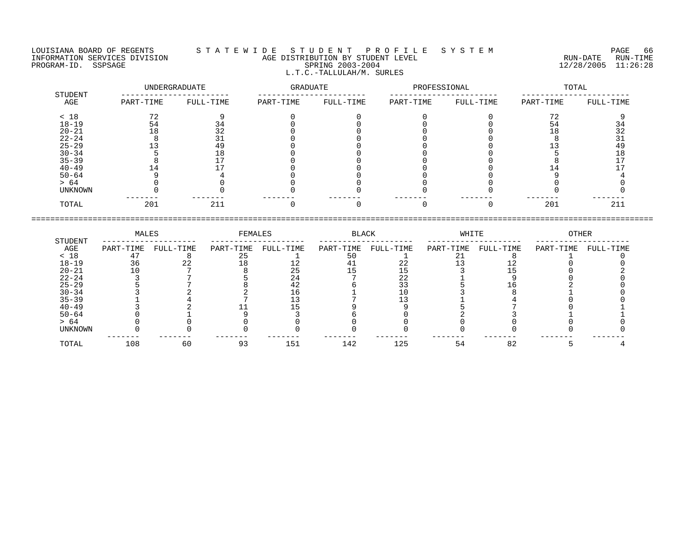## LOUISIANA BOARD OF REGENTS S T A T E W I D E S T U D E N T P R O F I L E S Y S T E M PAGE 66 INFORMATION SERVICES DIVISION AGE DISTRIBUTION BY STUDENT LEVEL RUN-DATE RUN-TIME ENDUISIANA BOARD OF REGENTS STATEWIDE STUDENT PROFILE SYSTEM PAGE POST PAGE 66<br>INFORMATION SERVICES DIVISION AGE DISTRIBUTION BY STUDENT LEVEL PROGRAM-ID. SSPSAGE RUN-TIME<br>PROGRAM-ID. SSPSAGE SPRING 2003-2004 12/28/2005 11 L.T.C.-TALLULAH/M. SURLES

|                | UNDERGRADUATE |           | GRADUATE  |           | PROFESSIONAL |           | TOTAL     |           |  |
|----------------|---------------|-----------|-----------|-----------|--------------|-----------|-----------|-----------|--|
| STUDENT<br>AGE | PART-TIME     | FULL-TIME | PART-TIME | FULL-TIME | PART-TIME    | FULL-TIME | PART-TIME | FULL-TIME |  |
| < 18           | 72            | Q         |           |           |              |           | 72        |           |  |
| $18 - 19$      | 54            | 34        |           |           |              |           | 54        | 34        |  |
| $20 - 21$      | 18            | 32        |           |           |              |           | 18        | 32        |  |
| $22 - 24$      |               | 31        |           |           |              |           |           | 31        |  |
| $25 - 29$      |               | 49        |           |           |              |           |           | 49        |  |
| $30 - 34$      |               | 18        |           |           |              |           |           | 18        |  |
| $35 - 39$      |               |           |           |           |              |           |           |           |  |
| $40 - 49$      | 14            |           |           |           |              |           | L 4       |           |  |
| $50 - 64$      |               |           |           |           |              |           |           |           |  |
| > 64           |               |           |           |           |              |           |           |           |  |
| UNKNOWN        |               |           |           |           |              |           |           |           |  |
| TOTAL          | 201           | 211       |           |           |              |           | 201       | 211       |  |

|           | MALES     |           | FEMALES   |           | BLACK     |           | WHITE     |           | OTHER     |           |
|-----------|-----------|-----------|-----------|-----------|-----------|-----------|-----------|-----------|-----------|-----------|
| STUDENT   |           |           |           |           |           |           |           |           |           |           |
| AGE       | PART-TIME | FULL-TIME | PART-TIME | FULL-TIME | PART-TIME | FULL-TIME | PART-TIME | FULL-TIME | PART-TIME | FULL-TIME |
| < 18      |           |           |           |           | 5 C       |           |           |           |           |           |
| $18 - 19$ | 36        |           |           |           |           | 2. Z      |           |           |           |           |
| $20 - 21$ |           |           |           |           |           |           |           |           |           |           |
| $22 - 24$ |           |           |           |           |           | 22        |           |           |           |           |
| $25 - 29$ |           |           |           | 42        |           | 33        |           |           |           |           |
| $30 - 34$ |           |           |           |           |           |           |           |           |           |           |
| $35 - 39$ |           |           |           |           |           |           |           |           |           |           |
| $40 - 49$ |           |           |           |           |           |           |           |           |           |           |
| $50 - 64$ |           |           |           |           |           |           |           |           |           |           |
| > 64      |           |           |           |           |           |           |           |           |           |           |
| UNKNOWN   |           |           |           |           |           |           |           |           |           |           |
| TOTAL     | 108       | 60        | 93        | 151       | 142       | 125       | 54        | 82        |           |           |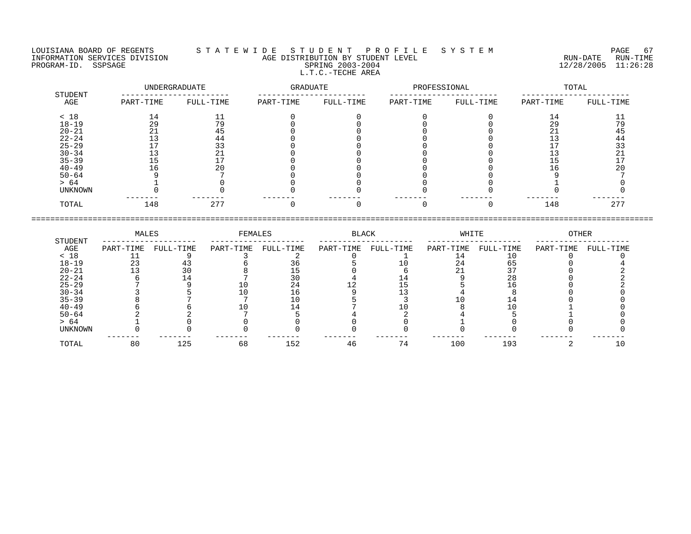LOUISIANA BOARD OF REGENTS S T A T E W I D E S T U D E N T P R O F I L E S Y S T E M PAGE 67 INFORMATION SERVICES DIVISION AGE DISTRIBUTION BY STUDENT LEVEL RUN-DATE RUN-TIME PROGRAM-ID. SSPSAGE SPRING 2003-2004 12/28/2005 11:26:28 L.T.C.-TECHE AREA

 UNDERGRADUATE GRADUATE PROFESSIONAL TOTAL STUDENT ----------------------- ----------------------- ----------------------- ----------------------- AGE PART-TIME FULL-TIME PART-TIME FULL-TIME PART-TIME FULL-TIME PART-TIME FULL-TIME < 18 14 11 0 0 0 0 14 11 18-19 29 79 0 0 0 0 29 79 20-21 21 45 0 0 0 0 21 45 22-24 13 44 0 0 0 0 13 44 25-29 17 33 0 0 0 0 17 33

| $35 - 39$      |           |           |           |           |           |           |           |           |           |           |  |
|----------------|-----------|-----------|-----------|-----------|-----------|-----------|-----------|-----------|-----------|-----------|--|
| $40 - 49$      |           |           |           |           |           |           |           |           |           |           |  |
| $50 - 64$      |           |           |           |           |           |           |           |           |           |           |  |
| > 64           |           |           |           |           |           |           |           |           |           |           |  |
| <b>UNKNOWN</b> |           |           |           |           |           |           |           |           |           |           |  |
| TOTAL          |           | 148       | 277       |           |           |           |           |           | 148       | 277       |  |
|                |           |           |           |           |           |           |           |           |           |           |  |
| STUDENT        | MALES     |           | FEMALES   |           | BLACK     |           | WHITE     |           | OTHER     |           |  |
| AGE            | PART-TIME | FULL-TIME | PART-TIME | FULL-TIME | PART-TIME | FULL-TIME | PART-TIME | FULL-TIME | PART-TIME | FULL-TIME |  |
| < 18           |           |           |           |           |           |           |           |           |           |           |  |
| $18 - 19$      | 23        |           |           |           |           |           |           |           |           |           |  |
| $20 - 21$      |           |           |           |           |           |           |           |           |           |           |  |
| -- - - -       |           |           |           |           |           |           |           |           |           |           |  |

30-34 13 21 0 0 0 0 13 21

| エローエン          | ت ہے          |     |    | ں ر | ∸  |     | ັບ         |  |
|----------------|---------------|-----|----|-----|----|-----|------------|--|
| $20 - 21$      | $\sim$<br>T R |     |    |     |    |     | $\sim$ $-$ |  |
| $22 - 24$      |               | 14  |    |     |    |     | 28         |  |
| $25 - 29$      |               |     |    |     |    |     |            |  |
| $30 - 34$      |               |     |    |     |    |     |            |  |
| $35 - 39$      |               |     |    |     |    |     |            |  |
| $40 - 49$      |               |     |    |     |    |     |            |  |
| $50 - 64$      |               |     |    |     |    |     |            |  |
| > 64           |               |     |    |     |    |     |            |  |
| <b>UNKNOWN</b> |               |     |    |     |    |     |            |  |
|                |               |     |    |     |    |     |            |  |
| TOTAL          | 80            | 125 | 68 | 152 | 7/ | 100 | 193        |  |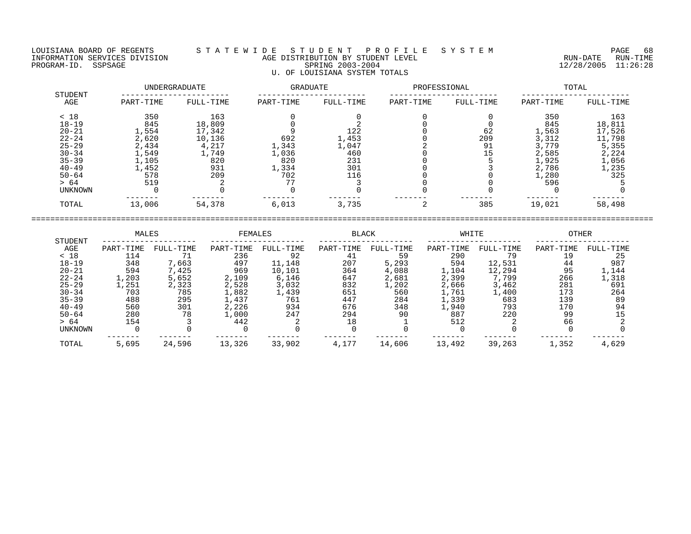#### LOUISIANA BOARD OF REGENTS S T A T E W I D E S T U D E N T P R O F I L E S Y S T E M PAGE 68 INFORMATION SERVICES DIVISION AGE DISTRIBUTION BY STUDENT LEVEL RUN-DATE RUN-TIME PROGRAM-ID. SSPSAGE SPRING 2003-2004 SPRING 2003-2004 2012 2012 12/28/2005 11:26:28 U. OF LOUISIANA SYSTEM TOTALS

|                | UNDERGRADUATE |           |           | GRADUATE  |           | PROFESSIONAL | TOTAL     |           |  |
|----------------|---------------|-----------|-----------|-----------|-----------|--------------|-----------|-----------|--|
| STUDENT<br>AGE | PART-TIME     | FULL-TIME | PART-TIME | FULL-TIME | PART-TIME | FULL-TIME    | PART-TIME | FULL-TIME |  |
| < 18           | 350           | 163       |           |           |           |              | 350       | 163       |  |
| $18 - 19$      | 845           | 18,809    |           |           |           |              | 845       | 18,811    |  |
| $20 - 21$      | 1,554         | 17,342    |           | 122       |           | 62           | 1,563     | 17,526    |  |
| $22 - 24$      | 2,620         | 10,136    | 692       | 1,453     |           | 209          | 3,312     | 11,798    |  |
| $25 - 29$      | 2,434         | 4,217     | 1,343     | 1,047     |           | 91           | 3,779     | 5,355     |  |
| $30 - 34$      | 1,549         | 1,749     | 1,036     | 460       |           | 15           | 2,585     | 2,224     |  |
| $35 - 39$      | 1,105         | 820       | 820       | 231       |           |              | 1,925     | 1,056     |  |
| $40 - 49$      | 1,452         | 931       | 1,334     | 301       |           |              | 2,786     | 1,235     |  |
| $50 - 64$      | 578           | 209       | 702       | 116       |           |              | 1,280     | 325       |  |
| > 64           | 519           |           | 77        |           |           |              | 596       |           |  |
| UNKNOWN        |               |           |           |           |           |              |           |           |  |
| TOTAL          | 13,006        | 54,378    | 6,013     | 3,735     |           | 385          | 19,021    | 58,498    |  |

|                | MALES     |           | FEMALES   |           | <b>BLACK</b> |           | WHITE     |           | OTHER     |           |  |
|----------------|-----------|-----------|-----------|-----------|--------------|-----------|-----------|-----------|-----------|-----------|--|
| STUDENT<br>AGE | PART-TIME | FULL-TIME | PART-TIME | FULL-TIME | PART-TIME    | FULL-TIME | PART-TIME | FULL-TIME | PART-TIME | FULL-TIME |  |
| < 18           | 114       |           | 236       | 92        | 41           | 59        | 290       | 79        | 19        | 25        |  |
| $18 - 19$      | 348       | 7,663     | 497       | 11,148    | 207          | 5,293     | 594       | 12,531    | 44        | 987       |  |
| $20 - 21$      | 594       | 7,425     | 969       | 10,101    | 364          | 4,088     | 1,104     | 12,294    | 95        | 1,144     |  |
| $22 - 24$      | 1,203     | 5,652     | 2,109     | 6,146     | 647          | 2,681     | 2,399     | 7,799     | 266       | 1,318     |  |
| $25 - 29$      | 1,251     | 2,323     | 2,528     | 3,032     | 832          | 1,202     | 2,666     | 3,462     | 281       | 691       |  |
| $30 - 34$      | 703       | 785       | 1,882     | 1,439     | 651          | 560       | 1,761     | 1,400     | 173       | 264       |  |
| $35 - 39$      | 488       | 295       | 1,437     | 761       | 447          | 284       | 1,339     | 683       | 139       | 89        |  |
| $40 - 49$      | 560       | 301       | 2,226     | 934       | 676          | 348       | 1,940     | 793       | 170       | 94        |  |
| $50 - 64$      | 280       | 78        | 1,000     | 247       | 294          | 90        | 887       | 220       | 99        |           |  |
| > 64           | 154       |           | 442       |           | 18           |           | 512       |           | 66        |           |  |
| UNKNOWN        |           |           |           |           |              |           |           |           |           |           |  |
| TOTAL          | 5,695     | 24,596    | 13,326    | 33,902    | 4,177        | 14,606    | 13,492    | 39,263    | 1,352     | 4,629     |  |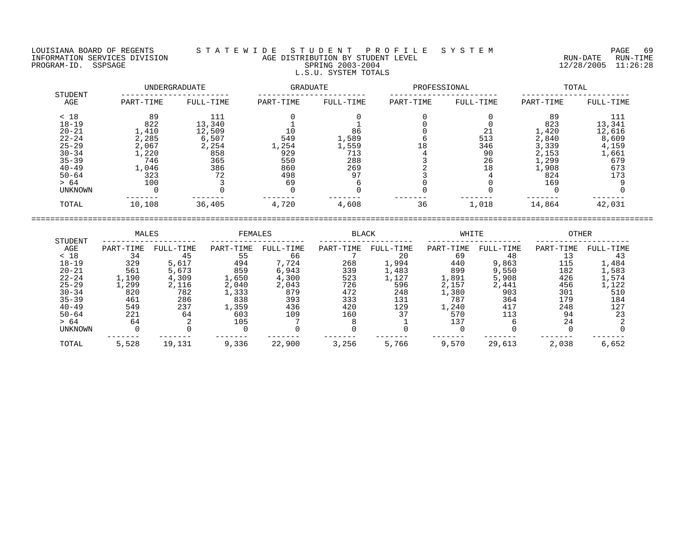#### LOUISIANA BOARD OF REGENTS S T A T E W I D E S T U D E N T P R O F I L E S Y S T E M PAGE 69 INFORMATION SERVICES DIVISION AGE DISTRIBUTION BY STUDENT LEVEL RUN-DATE RUN-TIME NEORMATION SERVICES DIVISION CONSUMING THE MATE AGE DISTRIBUTION BY STUDENT LEVEL CONSUMING THE RUN-DATE RUN-TIME<br>PROGRAM-ID. SSPSAGE SPRING 2003-2004 SPRING 2003-2004 2003-2004 2003-2004 L.S.U. SYSTEM TOTALS

|                | UNDERGRADUATE |           |           | GRADUATE  |           | PROFESSIONAL | TOTAL     |           |  |
|----------------|---------------|-----------|-----------|-----------|-----------|--------------|-----------|-----------|--|
| STUDENT<br>AGE | PART-TIME     | FULL-TIME | PART-TIME | FULL-TIME | PART-TIME | FULL-TIME    | PART-TIME | FULL-TIME |  |
| < 18           | 89            | 111       |           |           |           |              | 89        | 111       |  |
| $18 - 19$      | 822           | 13,340    |           |           |           |              | 823       | 13,341    |  |
| $20 - 21$      | 1,410         | 12,509    | 10        | 86        |           | 21           | 1,420     | 12,616    |  |
| $22 - 24$      | 2,285         | 6,507     | 549       | 1,589     |           | 513          | 2,840     | 8,609     |  |
| $25 - 29$      | 2,067         | 2,254     | 1,254     | 1,559     | 18        | 346          | 3,339     | 4,159     |  |
| $30 - 34$      | 1,220         | 858       | 929       | 713       |           | 90           | 2,153     | 1,661     |  |
| $35 - 39$      | 746           | 365       | 550       | 288       |           | 26           | 1,299     | 679       |  |
| $40 - 49$      | 1,046         | 386       | 860       | 269       |           | 18           | 1,908     | 673       |  |
| $50 - 64$      | 323           | 72        | 498       | 97        |           |              | 824       | 173       |  |
| > 64           | 100           |           | 69        |           |           |              | 169       |           |  |
| UNKNOWN        |               |           |           |           |           |              |           |           |  |
| TOTAL          | 10,108        | 36,405    | 4,720     | 4,608     | 36        | 1,018        | 14,864    | 42,031    |  |

|           | MALES     |           | FEMALES   |           | <b>BLACK</b> |           | WHITE     |           | <b>OTHER</b> |           |
|-----------|-----------|-----------|-----------|-----------|--------------|-----------|-----------|-----------|--------------|-----------|
| STUDENT   |           |           |           |           |              |           |           |           |              |           |
| AGE       | PART-TIME | FULL-TIME | PART-TIME | FULL-TIME | PART-TIME    | FULL-TIME | PART-TIME | FULL-TIME | PART-TIME    | FULL-TIME |
| < 18      | 34        | 45        | 55        | 66        |              | 20        | 69        | 48        | 13           | 43        |
| $18 - 19$ | 329       | 5,617     | 494       | 7.724     | 268          | 1,994     | 440       | 9,863     | 115          | 1,484     |
| $20 - 21$ | 561       | 5,673     | 859       | 6,943     | 339          | 1,483     | 899       | 9,550     | 182          | 1,583     |
| $22 - 24$ | .,190     | 4,309     | L,650     | 4,300     | 523          | 1,127     | 1,891     | 5,908     | 426          | 1,574     |
| $25 - 29$ | .,299     | 2,116     | 2,040     | 2,043     | 726          | 596       | 2,157     | 2,441     | 456          | 1,122     |
| $30 - 34$ | 820       | 782       | .,333     | 879       | 472          | 248       | 1,380     | 903       | 301          | 510       |
| $35 - 39$ | 461       | 286       | 838       | 393       | 333          | 131       | 787       | 364       | 179          | 184       |
| $40 - 49$ | 549       | 237       | ,359      | 436       | 420          | 129       | 1,240     | 417       | 248          | 127       |
| $50 - 64$ | 221       | 64        | 603       | 109       | 160          | 37        | 570       | 113       | 94           | 23        |
| > 64      | 64        |           | 105       |           |              |           | 137       |           | 24           |           |
| UNKNOWN   |           |           |           |           |              |           |           |           |              |           |
| TOTAL     | 5,528     | 19,131    | 9,336     | 22,900    | 3,256        | 5,766     | 9,570     | 29,613    | 2,038        | 6,652     |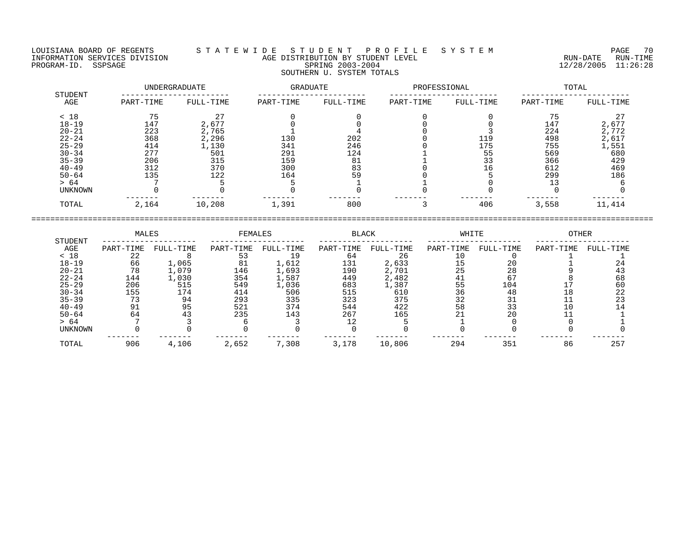#### LOUISIANA BOARD OF REGENTS S T A T E W I D E S T U D E N T P R O F I L E S Y S T E M PAGE 70 INFORMATION SERVICES DIVISION AGE DISTRIBUTION BY STUDENT LEVEL RUN-DATE RUN-TIME ENGENIES DERVICES DIVISION CONSUMING THE RESERVICES DIVISION CONSUMING AGE DISTRIBUTION BY STUDENT LEVEL CONSUMING THE RUN-DATE RUN-TIME RUN-TIME RUN-TIME<br>PROGRAM-ID. SSPSAGE SPRING 2003-2004 SPRING 2003-2004 SOUTHERN U. SYSTEM TOTALS

|                | UNDERGRADUATE |           | GRADUATE  |           | PROFESSIONAL |           | TOTAL     |           |  |
|----------------|---------------|-----------|-----------|-----------|--------------|-----------|-----------|-----------|--|
| STUDENT<br>AGE | PART-TIME     | FULL-TIME | PART-TIME | FULL-TIME | PART-TIME    | FULL-TIME | PART-TIME | FULL-TIME |  |
| < 18           | 75            | 27        |           |           |              |           | 75        | 27        |  |
| $18 - 19$      | 147           | 2,677     |           |           |              |           | 147       | 2,677     |  |
| $20 - 21$      | 223           | 2,765     |           |           |              |           | 224       | 2,772     |  |
| $22 - 24$      | 368           | 2,296     | 130       | 202       |              | 119       | 498       | 2,617     |  |
| $25 - 29$      | 414           | 1,130     | 341       | 246       |              | 175       | 755       | 1,551     |  |
| $30 - 34$      | 277           | 501       | 291       | 124       |              | 55        | 569       | 680       |  |
| $35 - 39$      | 206           | 315       | 159       | 81        |              | 33        | 366       | 429       |  |
| $40 - 49$      | 312           | 370       | 300       | 83        |              | 16        | 612       | 469       |  |
| $50 - 64$      | 135           | 122       | 164       | 59        |              |           | 299       | 186       |  |
| > 64           |               |           |           |           |              |           |           |           |  |
| UNKNOWN        |               |           |           |           |              |           |           |           |  |
| TOTAL          | 2,164         | 10,208    | 1,391     | 800       |              | 406       | 3,558     | 11,414    |  |

|                | MALES     |           | FEMALES   |           | <b>BLACK</b> |           | WHITE     |           | OTHER     |           |
|----------------|-----------|-----------|-----------|-----------|--------------|-----------|-----------|-----------|-----------|-----------|
| STUDENT<br>AGE | PART-TIME | FULL-TIME | PART-TIME | FULL-TIME | PART-TIME    | FULL-TIME | PART-TIME | FULL-TIME | PART-TIME | FULL-TIME |
| < 18           | 22        |           |           |           | 64           | 26        |           |           |           |           |
| $18 - 19$      | 66        | 1,065     | 81        | 1,612     | 131          | 2,633     |           | 20        |           |           |
| $20 - 21$      | 78        | 1,079     | 146       | 1,693     | 190          | 2,701     | 25        | 28        |           |           |
| $22 - 24$      | 144       | 1,030     | 354       | 1,587     | 449          | 2,482     | 41        | 67        |           | 68        |
| $25 - 29$      | 206       | 515       | 549       | 1,036     | 683          | 1,387     | 55        | 104       |           | 60        |
| $30 - 34$      | 155       | 174       | 414       | 506       | 515          | 610       | 36        | 48        | 18        | 22        |
| $35 - 39$      |           | 94        | 293       | 335       | 323          | 375       | 32        | 31        |           |           |
| $40 - 49$      | 91        | 95        | 521       | 374       | 544          | 422       | 58        | 33        |           |           |
| $50 - 64$      | 64        | 43        | 235       | 143       | 267          | 165       |           | 20        |           |           |
| > 64           |           |           |           |           |              |           |           |           |           |           |
| UNKNOWN        |           |           |           |           |              |           |           |           |           |           |
| TOTAL          | 906       | 4,106     | 2,652     | 7,308     | 3,178        | 10,806    | 294       | 351       | 86        | 257       |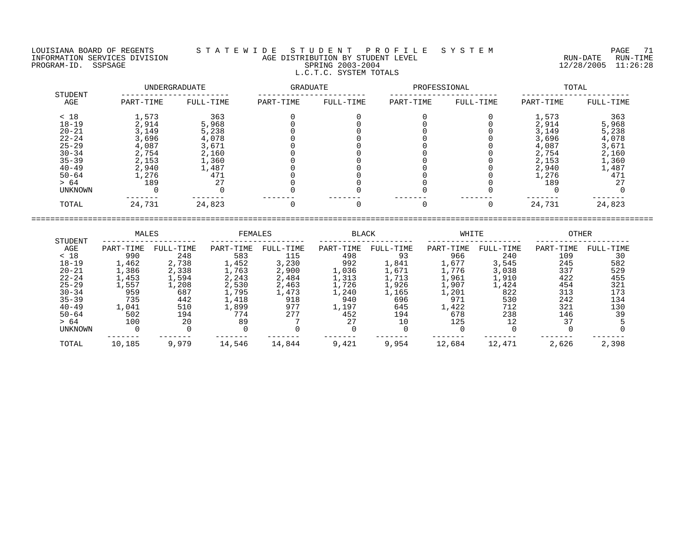#### LOUISIANA BOARD OF REGENTS S T A T E W I D E S T U D E N T P R O F I L E S Y S T E M PAGE 71 INFORMATION SERVICES DIVISION AGE DISTRIBUTION BY STUDENT LEVEL RUN-DATE RUN-TIME PROGRAM-ID. SSPSAGE SPRING 2003-2004 12/28/2005 11:26:28 L.C.T.C. SYSTEM TOTALS

|                | UNDERGRADUATE |           | GRADUATE  |           | PROFESSIONAL |           | TOTAL     |           |  |
|----------------|---------------|-----------|-----------|-----------|--------------|-----------|-----------|-----------|--|
| STUDENT<br>AGE | PART-TIME     | FULL-TIME | PART-TIME | FULL-TIME | PART-TIME    | FULL-TIME | PART-TIME | FULL-TIME |  |
| < 18           | 1,573         | 363       |           |           |              |           | 1,573     | 363       |  |
| $18 - 19$      | 2,914         | 5,968     |           |           |              |           | 2,914     | 5,968     |  |
| $20 - 21$      | 3,149         | 5,238     |           |           |              |           | 3,149     | 5,238     |  |
| $22 - 24$      | 3,696         | 4,078     |           |           |              |           | 3,696     | 4,078     |  |
| $25 - 29$      | 4,087         | 3,671     |           |           |              |           | 4,087     | 3,671     |  |
| $30 - 34$      | 2,754         | 2,160     |           |           |              |           | 2,754     | 2,160     |  |
| $35 - 39$      | 2,153         | 1,360     |           |           |              |           | 2,153     | 1,360     |  |
| $40 - 49$      | 2,940         | 1,487     |           |           |              |           | 2,940     | 1,487     |  |
| $50 - 64$      | 1,276         | 471       |           |           |              |           | 1,276     | 471       |  |
| > 64           | 189           | 27        |           |           |              |           | 189       | 27        |  |
| UNKNOWN        |               |           |           |           |              |           |           |           |  |
| TOTAL          | 24,731        | 24,823    |           |           |              |           | 24,731    | 24,823    |  |

|                |           | MALES     |           | FEMALES   |           | <b>BLACK</b> |           | WHITE     | OTHER     |           |
|----------------|-----------|-----------|-----------|-----------|-----------|--------------|-----------|-----------|-----------|-----------|
| STUDENT<br>AGE | PART-TIME | FULL-TIME | PART-TIME | FULL-TIME | PART-TIME | FULL-TIME    | PART-TIME | FULL-TIME | PART-TIME | FULL-TIME |
| < 18           | 990       | 248       | 583       | 115       | 498       | 93           | 966       | 240       | 109       | 30        |
| $18 - 19$      | 1,462     | 2,738     | 1,452     | 3,230     | 992       | 1,841        | 1,677     | 3,545     | 245       | 582       |
| $20 - 21$      | 1,386     | 2,338     | 1,763     | 2,900     | 1,036     | 1,671        | L,776     | 3,038     | 337       | 529       |
| $22 - 24$      | 1,453     | 1,594     | 2,243     | 2,484     | .,313     | 1,713        | 1,961     | 1,910     | 422       | 455       |
| $25 - 29$      | l,557     | 1,208     | 2,530     | 2,463     | .,726     | 1,926        | 1,907     | 1,424     | 454       | 321       |
| $30 - 34$      | 959       | 687       | 1,795     | 1,473     | ., 240    | 1,165        | 1,201     | 822       | 313       | 173       |
| $35 - 39$      | 735       | 442       | 1,418     | 918       | 940       | 696          | 971       | 530       | 242       | 134       |
| $40 - 49$      | 1,041     | 510       | 1,899     | 977       | L, 197    | 645          | 1,422     | 712       | 321       | 130       |
| $50 - 64$      | 502       | 194       | 774       | 277       | 452       | 194          | 678       | 238       | 146       | 39        |
| > 64           | 100       | 20        | 89        |           | 27        | 10           | 125       |           | 37        |           |
| UNKNOWN        |           |           |           |           |           |              |           |           |           |           |
| TOTAL          | 10,185    | 9,979     | 14,546    | 14,844    | 9,421     | 9,954        | 12,684    | 12,471    | 2,626     | 2,398     |